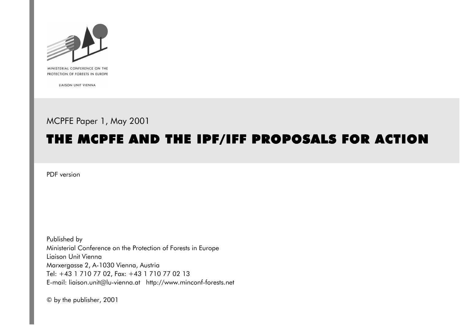

MINISTERIAL CONFERENCE ON THE PROTECTION OF FORESTS IN EUROPE

LIAISON UNIT VIENNA

# MCPFE Paper 1, May 2001

# THE MCPFE AND THE IPF/IFF PROPOSALS FOR ACTION

PDF version

Published by Ministerial Conference on the Protection of Forests in Europe Liaison Unit Vienna Marxergasse 2, A-1030 Vienna, Austria Tel: +43 1 710 77 02, Fax: +43 1 710 77 02 13 E-mail: liaison.unit@lu-vienna.at http://www.minconf-forests.net

© by the publisher, 2001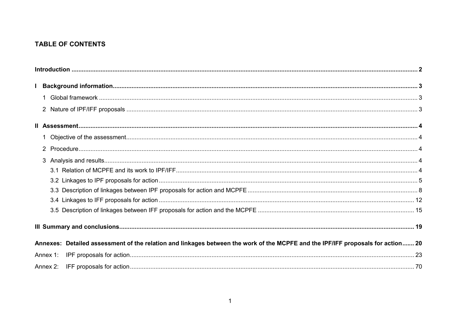# **TABLE OF CONTENTS**

|          | Annexes: Detailed assessment of the relation and linkages between the work of the MCPFE and the IPF/IFF proposals for action 20 |  |
|----------|---------------------------------------------------------------------------------------------------------------------------------|--|
| Annex 1: |                                                                                                                                 |  |
|          |                                                                                                                                 |  |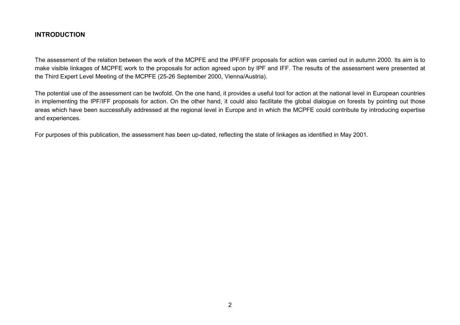#### <span id="page-2-0"></span>**INTRODUCTION**

The assessment of the relation between the work of the MCPFE and the IPF/IFF proposals for action was carried out in autumn 2000. Its aim is to make visible linkages of MCPFE work to the proposals for action agreed upon by IPF and IFF. The results of the assessment were presented at the Third Expert Level Meeting of the MCPFE (25-26 September 2000, Vienna/Austria).

The potential use of the assessment can be twofold. On the one hand, it provides a useful tool for action at the national level in European countries in implementing the IPF/IFF proposals for action. On the other hand, it could also facilitate the global dialogue on forests by pointing out those areas which have been successfully addressed at the regional level in Europe and in which the MCPFE could contribute by introducing expertise and experiences.

For purposes of this publication, the assessment has been up-dated, reflecting the state of linkages as identified in May 2001.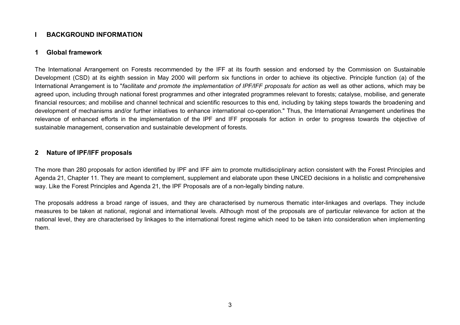## <span id="page-3-0"></span>**I BACKGROUND INFORMATION**

#### **1 Global framework**

The International Arrangement on Forests recommended by the IFF at its fourth session and endorsed by the Commission on Sustainable Development (CSD) at its eighth session in May 2000 will perform six functions in order to achieve its objective. Principle function (a) of the International Arrangement is to "*facilitate and promote the implementation of IPF/IFF proposals for action* as well as other actions, which may be agreed upon, including through national forest programmes and other integrated programmes relevant to forests; catalyse, mobilise, and generate financial resources; and mobilise and channel technical and scientific resources to this end, including by taking steps towards the broadening and development of mechanisms and/or further initiatives to enhance international co-operation." Thus, the International Arrangement underlines the relevance of enhanced efforts in the implementation of the IPF and IFF proposals for action in order to progress towards the objective of sustainable management, conservation and sustainable development of forests.

#### **2 Nature of IPF/IFF proposals**

The more than 280 proposals for action identified by IPF and IFF aim to promote multidisciplinary action consistent with the Forest Principles and Agenda 21, Chapter 11. They are meant to complement, supplement and elaborate upon these UNCED decisions in a holistic and comprehensive way. Like the Forest Principles and Agenda 21, the IPF Proposals are of a non-legally binding nature.

The proposals address a broad range of issues, and they are characterised by numerous thematic inter-linkages and overlaps. They include measures to be taken at national, regional and international levels. Although most of the proposals are of particular relevance for action at the national level, they are characterised by linkages to the international forest regime which need to be taken into consideration when implementing them.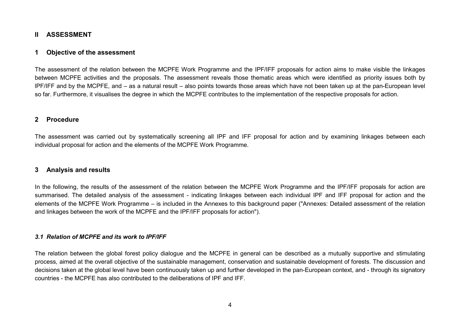#### <span id="page-4-0"></span>**II ASSESSMENT**

#### **1 Objective of the assessment**

The assessment of the relation between the MCPFE Work Programme and the IPF/IFF proposals for action aims to make visible the linkages between MCPFE activities and the proposals. The assessment reveals those thematic areas which were identified as priority issues both by lPF/IFF and by the MCPFE, and – as a natural result – also points towards those areas which have not been taken up at the pan-European level so far. Furthermore, it visualises the degree in which the MCPFE contributes to the implementation of the respective proposals for action.

#### **2 Procedure**

The assessment was carried out by systematically screening all IPF and IFF proposal for action and by examining linkages between each individual proposal for action and the elements of the MCPFE Work Programme.

#### **3 Analysis and results**

In the following, the results of the assessment of the relation between the MCPFE Work Programme and the IPF/IFF proposals for action are summarised. The detailed analysis of the assessment - indicating linkages between each individual IPF and IFF proposal for action and the elements of the MCPFE Work Programme – is included in the Annexes to this background paper ("Annexes: Detailed assessment of the relation and linkages between the work of the MCPFE and the IPF/IFF proposals for action").

#### *3.1 Relation of MCPFE and its work to IPF/IFF*

The relation between the global forest policy dialogue and the MCPFE in general can be described as a mutually supportive and stimulating process, aimed at the overall objective of the sustainable management, conservation and sustainable development of forests. The discussion and decisions taken at the global level have been continuously taken up and further developed in the pan-European context, and - through its signatory countries - the MCPFE has also contributed to the deliberations of IPF and IFF.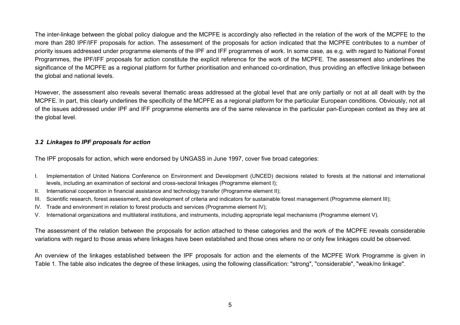<span id="page-5-0"></span>The inter-linkage between the global policy dialogue and the MCPFE is accordingly also reflected in the relation of the work of the MCPFE to the more than 280 IPF/IFF proposals for action. The assessment of the proposals for action indicated that the MCPFE contributes to a number of priority issues addressed under programme elements of the IPF and IFF programmes of work. In some case, as e.g. with regard to National Forest Programmes, the IPF/IFF proposals for action constitute the explicit reference for the work of the MCPFE. The assessment also underlines the significance of the MCPFE as a regional platform for further prioritisation and enhanced co-ordination, thus providing an effective linkage between the global and national levels.

However, the assessment also reveals several thematic areas addressed at the global level that are only partially or not at all dealt with by the MCPFE. In part, this clearly underlines the specificity of the MCPFE as a regional platform for the particular European conditions. Obviously, not all of the issues addressed under IPF and IFF programme elements are of the same relevance in the particular pan-European context as they are at the global level.

#### *3.2 Linkages to IPF proposals for action*

The IPF proposals for action, which were endorsed by UNGASS in June 1997, cover five broad categories:

- I. Implementation of United Nations Conference on Environment and Development (UNCED) decisions related to forests at the national and international levels, including an examination of sectoral and cross-sectoral linkages (Programme element I);
- II. International cooperation in financial assistance and technology transfer (Programme element II);
- III. Scientific research, forest assessment, and development of criteria and indicators for sustainable forest management (Programme element III);
- IV. Trade and environment in relation to forest products and services (Programme element IV);
- V. International organizations and multilateral institutions, and instruments, including appropriate legal mechanisms (Programme element V).

The assessment of the relation between the proposals for action attached to these categories and the work of the MCPFE reveals considerable variations with regard to those areas where linkages have been established and those ones where no or only few linkages could be observed.

An overview of the linkages established between the IPF proposals for action and the elements of the MCPFE Work Programme is given in Table 1. The table also indicates the degree of these linkages, using the following classification: "strong", "considerable", "weak/no linkage".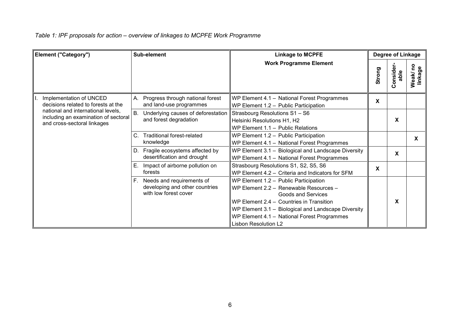# *Table 1: IPF proposals for action – overview of linkages to MCPFE Work Programme*

| Element ("Category") |                                                                                                           |             | Sub-element                                                                             | <b>Linkage to MCPFE</b>                                                                                                                                                                                                                                                         |        | Degree of Linkage |                     |
|----------------------|-----------------------------------------------------------------------------------------------------------|-------------|-----------------------------------------------------------------------------------------|---------------------------------------------------------------------------------------------------------------------------------------------------------------------------------------------------------------------------------------------------------------------------------|--------|-------------------|---------------------|
|                      |                                                                                                           |             |                                                                                         | <b>Work Programme Element</b>                                                                                                                                                                                                                                                   | Strong | Consider<br>able  | Weak/ no<br>linkage |
|                      | Implementation of UNCED<br>decisions related to forests at the                                            |             | A. Progress through national forest<br>and land-use programmes                          | WP Element 4.1 - National Forest Programmes<br>WP Element 1.2 - Public Participation                                                                                                                                                                                            | X      |                   |                     |
|                      | national and international levels,<br>including an examination of sectoral<br>and cross-sectoral linkages |             | Underlying causes of deforestation<br>and forest degradation                            | Strasbourg Resolutions S1 - S6<br>Helsinki Resolutions H1, H2<br>WP Element 1.1 - Public Relations                                                                                                                                                                              |        | X                 |                     |
|                      |                                                                                                           | $C_{\cdot}$ | <b>Traditional forest-related</b><br>knowledge                                          | WP Element 1.2 - Public Participation<br>WP Element 4.1 - National Forest Programmes                                                                                                                                                                                            |        |                   | X                   |
|                      |                                                                                                           |             | D. Fragile ecosystems affected by<br>desertification and drought                        | WP Element 3.1 - Biological and Landscape Diversity<br>WP Element 4.1 - National Forest Programmes                                                                                                                                                                              |        | X                 |                     |
|                      |                                                                                                           | Е.          | Impact of airborne pollution on<br>forests                                              | Strasbourg Resolutions S1, S2, S5, S6<br>WP Element 4.2 - Criteria and Indicators for SFM                                                                                                                                                                                       | X      |                   |                     |
|                      |                                                                                                           |             | F. Needs and requirements of<br>developing and other countries<br>with low forest cover | WP Element 1.2 - Public Participation<br>WP Element 2.2 - Renewable Resources -<br>Goods and Services<br>WP Element 2.4 - Countries in Transition<br>WP Element 3.1 - Biological and Landscape Diversity<br>WP Element 4.1 - National Forest Programmes<br>Lisbon Resolution L2 |        | X                 |                     |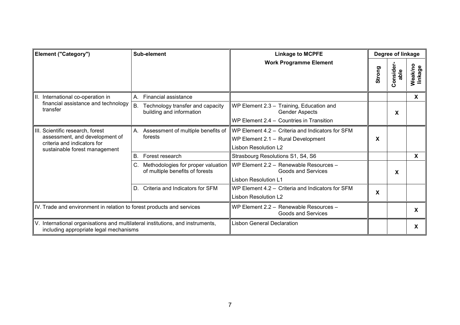| <b>Element ("Category")</b>                                                                                                        | Sub-element                                                           | <b>Linkage to MCPFE</b>                                                                                               | Degree of linkage |                   |                           |
|------------------------------------------------------------------------------------------------------------------------------------|-----------------------------------------------------------------------|-----------------------------------------------------------------------------------------------------------------------|-------------------|-------------------|---------------------------|
|                                                                                                                                    |                                                                       | <b>Work Programme Element</b>                                                                                         | Strong            | Consider-<br>able | Weakino<br>linkage        |
| II. International co-operation in                                                                                                  | Financial assistance<br>А.                                            |                                                                                                                       |                   |                   | X                         |
| financial assistance and technology<br>transfer                                                                                    | B.<br>Technology transfer and capacity<br>building and information    | WP Element 2.3 - Training, Education and<br><b>Gender Aspects</b><br>WP Element 2.4 - Countries in Transition         |                   | X                 |                           |
| III. Scientific research, forest<br>assessment, and development of<br>criteria and indicators for<br>sustainable forest management | Assessment of multiple benefits of<br>Α.<br>forests                   | WP Element 4.2 - Criteria and Indicators for SFM<br>WP Element 2.1 - Rural Development<br><b>Lisbon Resolution L2</b> | X                 |                   |                           |
|                                                                                                                                    | В.<br>Forest research                                                 | Strasbourg Resolutions S1, S4, S6                                                                                     |                   |                   | $\boldsymbol{\mathsf{X}}$ |
|                                                                                                                                    | Methodologies for proper valuation<br>of multiple benefits of forests | WP Element 2.2 - Renewable Resources -<br><b>Goods and Services</b><br><b>Lisbon Resolution L1</b>                    |                   | X                 |                           |
|                                                                                                                                    | Criteria and Indicators for SFM<br>D.                                 | WP Element 4.2 – Criteria and Indicators for SFM<br><b>Lisbon Resolution L2</b>                                       | X                 |                   |                           |
| IV. Trade and environment in relation to forest products and services                                                              |                                                                       | WP Element 2.2 - Renewable Resources -<br><b>Goods and Services</b>                                                   |                   |                   | X                         |
| V. International organisations and multilateral institutions, and instruments,<br>including appropriate legal mechanisms           |                                                                       | <b>Lisbon General Declaration</b>                                                                                     |                   |                   | X                         |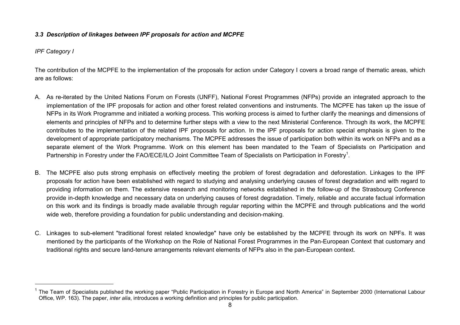#### <span id="page-8-0"></span>*3.3 Description of linkages between IPF proposals for action and MCPFE*

*IPF Category I*

The contribution of the MCPFE to the implementation of the proposals for action under Category I covers a broad range of thematic areas, which are as follows:

- A. As re-iterated by the United Nations Forum on Forests (UNFF), National Forest Programmes (NFPs) provide an integrated approach to the implementation of the IPF proposals for action and other forest related conventions and instruments. The MCPFE has taken up the issue of NFPs in its Work Programme and initiated a working process. This working process is aimed to further clarify the meanings and dimensions of elements and principles of NFPs and to determine further steps with a view to the next Ministerial Conference. Through its work, the MCPFE contributes to the implementation of the related IPF proposals for action. In the IPF proposals for action special emphasis is given to the development of appropriate participatory mechanisms. The MCPFE addresses the issue of participation both within its work on NFPs and as a separate element of the Work Programme. Work on this element has been mandated to the Team of Specialists on Participation and Partnership in Forestry under the FAO/ECE/ILO Joint Committee Team of Specialists on Participation in Forestry<sup>1</sup>.
- B. The MCPFE also puts strong emphasis on effectively meeting the problem of forest degradation and deforestation. Linkages to the IPF proposals for action have been established with regard to studying and analysing underlying causes of forest degradation and with regard to providing information on them. The extensive research and monitoring networks established in the follow-up of the Strasbourg Conference provide in-depth knowledge and necessary data on underlying causes of forest degradation. Timely, reliable and accurate factual information on this work and its findings is broadly made available through regular reporting within the MCPFE and through publications and the world wide web, therefore providing a foundation for public understanding and decision-making.
- C. Linkages to sub-element "traditional forest related knowledge" have only be established by the MCPFE through its work on NPFs. It was mentioned by the participants of the Workshop on the Role of National Forest Programmes in the Pan-European Context that customary and traditional rights and secure land-tenure arrangements relevant elements of NFPs also in the pan-European context.

<sup>&</sup>lt;sup>1</sup> The Team of Specialists published the working paper "Public Participation in Forestry in Europe and North America" in September 2000 (International Labour Office, WP. 163). The paper, *inter alia*, introduces a working definition and principles for public participation.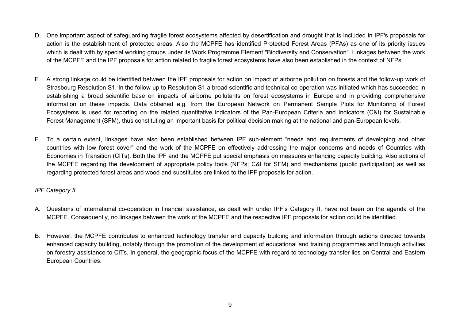- D. One important aspect of safeguarding fragile forest ecosystems affected by desertification and drought that is included in IPF's proposals for action is the establishment of protected areas. Also the MCPFE has identified Protected Forest Areas (PFAs) as one of its priority issues which is dealt with by special working groups under its Work Programme Element "Biodiversity and Conservation". Linkages between the work of the MCPFE and the IPF proposals for action related to fragile forest ecosystems have also been established in the context of NFPs.
- E. A strong linkage could be identified between the IPF proposals for action on impact of airborne pollution on forests and the follow-up work of Strasbourg Resolution S1. In the follow-up to Resolution S1 a broad scientific and technical co-operation was initiated which has succeeded in establishing a broad scientific base on impacts of airborne pollutants on forest ecosystems in Europe and in providing comprehensive information on these impacts. Data obtained e.g. from the European Network on Permanent Sample Plots for Monitoring of Forest Ecosystems is used for reporting on the related quantitative indicators of the Pan-European Criteria and Indicators (C&I) for Sustainable Forest Management (SFM), thus constituting an important basis for political decision making at the national and pan-European levels.
- F. To a certain extent, linkages have also been established between IPF sub-element "needs and requirements of developing and other countries with low forest cover" and the work of the MCPFE on effectively addressing the major concerns and needs of Countries with Economies in Transition (CITs). Both the IPF and the MCPFE put special emphasis on measures enhancing capacity building. Also actions of the MCPFE regarding the development of appropriate policy tools (NFPs; C&I for SFM) and mechanisms (public participation) as well as regarding protected forest areas and wood and substitutes are linked to the IPF proposals for action.

*IPF Category II*

- A. Questions of international co-operation in financial assistance, as dealt with under IPF's Category II, have not been on the agenda of the MCPFE. Consequently, no linkages between the work of the MCPFE and the respective IPF proposals for action could be identified.
- B. However, the MCPFE contributes to enhanced technology transfer and capacity building and information through actions directed towards enhanced capacity building, notably through the promotion of the development of educational and training programmes and through activities on forestry assistance to CITs. In general, the geographic focus of the MCPFE with regard to technology transfer lies on Central and Eastern European Countries.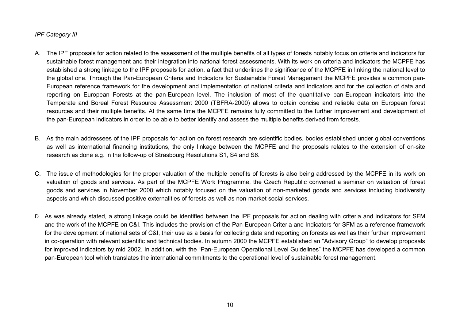#### *IPF Category III*

- A. The IPF proposals for action related to the assessment of the multiple benefits of all types of forests notably focus on criteria and indicators for sustainable forest management and their integration into national forest assessments. With its work on criteria and indicators the MCPFE has established a strong linkage to the IPF proposals for action, a fact that underlines the significance of the MCPFE in linking the national level to the global one. Through the Pan-European Criteria and Indicators for Sustainable Forest Management the MCPFE provides a common pan-European reference framework for the development and implementation of national criteria and indicators and for the collection of data and reporting on European Forests at the pan-European level. The inclusion of most of the quantitative pan-European indicators into the Temperate and Boreal Forest Resource Assessment 2000 (TBFRA-2000) allows to obtain concise and reliable data on European forest resources and their multiple benefits. At the same time the MCPFE remains fully committed to the further improvement and development of the pan-European indicators in order to be able to better identify and assess the multiple benefits derived from forests.
- B. As the main addressees of the IPF proposals for action on forest research are scientific bodies, bodies established under global conventions as well as international financing institutions, the only linkage between the MCPFE and the proposals relates to the extension of on-site research as done e.g. in the follow-up of Strasbourg Resolutions S1, S4 and S6.
- C. The issue of methodologies for the proper valuation of the multiple benefits of forests is also being addressed by the MCPFE in its work on valuation of goods and services. As part of the MCPFE Work Programme, the Czech Republic convened a seminar on valuation of forest goods and services in November 2000 which notably focused on the valuation of non-marketed goods and services including biodiversity aspects and which discussed positive externalities of forests as well as non-market social services.
- D. As was already stated, a strong linkage could be identified between the IPF proposals for action dealing with criteria and indicators for SFM and the work of the MCPFE on C&I. This includes the provision of the Pan-European Criteria and Indicators for SFM as a reference framework for the development of national sets of C&I, their use as a basis for collecting data and reporting on forests as well as their further improvement in co-operation with relevant scientific and technical bodies. In autumn 2000 the MCPFE established an "Advisory Group" to develop proposals for improved indicators by mid 2002. In addition, with the "Pan-European Operational Level Guidelines" the MCPFE has developed a common pan-European tool which translates the international commitments to the operational level of sustainable forest management.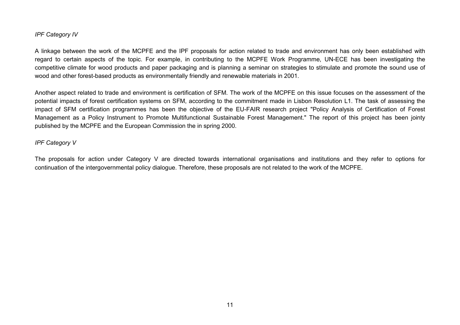#### *IPF Category IV*

A linkage between the work of the MCPFE and the IPF proposals for action related to trade and environment has only been established with regard to certain aspects of the topic. For example, in contributing to the MCPFE Work Programme, UN-ECE has been investigating the competitive climate for wood products and paper packaging and is planning a seminar on strategies to stimulate and promote the sound use of wood and other forest-based products as environmentally friendly and renewable materials in 2001.

Another aspect related to trade and environment is certification of SFM. The work of the MCPFE on this issue focuses on the assessment of the potential impacts of forest certification systems on SFM, according to the commitment made in Lisbon Resolution L1. The task of assessing the impact of SFM certification programmes has been the objective of the EU-FAIR research project "Policy Analysis of Certification of Forest Management as a Policy Instrument to Promote Multifunctional Sustainable Forest Management." The report of this project has been jointy published by the MCPFE and the European Commission the in spring 2000.

#### *IPF Category V*

The proposals for action under Category V are directed towards international organisations and institutions and they refer to options for continuation of the intergovernmental policy dialogue. Therefore, these proposals are not related to the work of the MCPFE.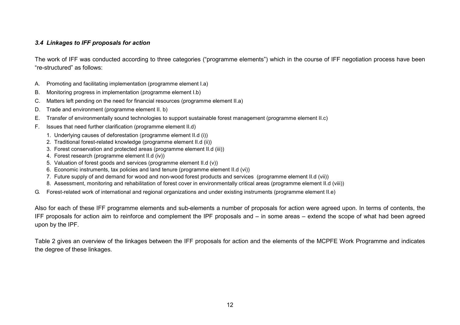#### <span id="page-12-0"></span>*3.4 Linkages to IFF proposals for action*

The work of IFF was conducted according to three categories ("programme elements") which in the course of IFF negotiation process have been "re-structured" as follows:

- A. Promoting and facilitating implementation (programme element I.a)
- B. Monitoring progress in implementation (programme element I.b)
- C. Matters left pending on the need for financial resources (programme element II.a)
- D. Trade and environment (programme element II. b)
- E. Transfer of environmentally sound technologies to support sustainable forest management (programme element II.c)
- F. Issues that need further clarification (programme element II.d)
	- 1. Underlying causes of deforestation (programme element II.d (i))
	- 2. Traditional forest-related knowledge (programme element II.d (ii))
	- 3. Forest conservation and protected areas (programme element II.d (iii))
	- 4. Forest research (programme element II.d (iv))
	- 5. Valuation of forest goods and services (programme element II.d (v))
	- 6. Economic instruments, tax policies and land tenure (programme element II.d (vi))
	- 7. Future supply of and demand for wood and non-wood forest products and services (programme element II.d (vii))
	- 8. Assessment, monitoring and rehabilitation of forest cover in environmentally critical areas (programme element II.d (viii))
- G. Forest-related work of international and regional organizations and under existing instruments (programme element II.e)

Also for each of these IFF programme elements and sub-elements a number of proposals for action were agreed upon. In terms of contents, the IFF proposals for action aim to reinforce and complement the IPF proposals and – in some areas – extend the scope of what had been agreed upon by the IPF.

Table 2 gives an overview of the linkages between the IFF proposals for action and the elements of the MCPFE Work Programme and indicates the degree of these linkages.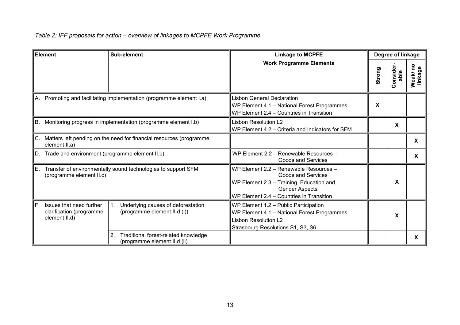# *Table 2: IFF proposals for action – overview of linkages to MCPFE Work Programme*

| Element |                                                                                                 | Sub-element                                                                | <b>Linkage to MCPFE</b>                                                                                                                                                       |        | Degree of linkage |                     |  |  |
|---------|-------------------------------------------------------------------------------------------------|----------------------------------------------------------------------------|-------------------------------------------------------------------------------------------------------------------------------------------------------------------------------|--------|-------------------|---------------------|--|--|
|         |                                                                                                 |                                                                            | <b>Work Programme Elements</b>                                                                                                                                                | Strong | Consider<br>able  | Weak/ no<br>linkage |  |  |
|         |                                                                                                 | A. Promoting and facilitating implementation (programme element I.a)       | <b>Lisbon General Declaration</b><br>WP Element 4.1 - National Forest Programmes<br>WP Element 2.4 - Countries in Transition                                                  | X      |                   |                     |  |  |
|         | Monitoring progress in implementation (programme element I.b)<br>B.                             |                                                                            | <b>Lisbon Resolution L2</b><br>WP Element 4.2 - Criteria and Indicators for SFM                                                                                               |        | X                 |                     |  |  |
|         | Matters left pending on the need for financial resources (programme<br>C.<br>element II.a)      |                                                                            |                                                                                                                                                                               |        |                   | X                   |  |  |
|         | D. Trade and environment (programme element II.b)                                               |                                                                            | WP Element 2.2 - Renewable Resources -<br><b>Goods and Services</b>                                                                                                           |        |                   | X                   |  |  |
|         | Transfer of environmentally sound technologies to support SFM<br>Е.<br>(programme element II.c) |                                                                            | WP Element 2.2 - Renewable Resources -<br>Goods and Services<br>WP Element 2.3 - Training, Education and<br><b>Gender Aspects</b><br>WP Element 2.4 - Countries in Transition |        | X                 |                     |  |  |
| F.      | Issues that need further<br>clarification (programme<br>element II.d)                           | Underlying causes of deforestation<br>(programme element II.d (i))         | WP Element 1.2 - Public Participation<br>WP Element 4.1 - National Forest Programmes<br><b>Lisbon Resolution L2</b><br>Strasbourg Resolutions S1, S3, S6                      |        | X                 |                     |  |  |
|         |                                                                                                 | 2.<br>Traditional forest-related knowledge<br>(programme element II.d (ii) |                                                                                                                                                                               |        |                   | X                   |  |  |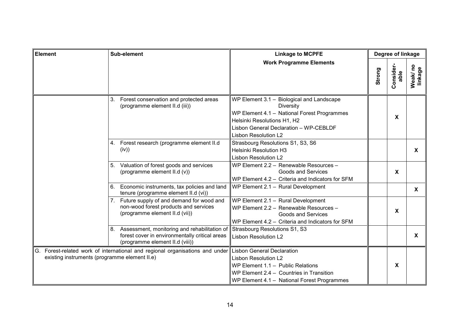| Sub-element<br><b>Element</b>                 |                                                                                                                                         | <b>Linkage to MCPFE</b>                                                                                                                                                                                              | Degree of linkage |                           |                     |
|-----------------------------------------------|-----------------------------------------------------------------------------------------------------------------------------------------|----------------------------------------------------------------------------------------------------------------------------------------------------------------------------------------------------------------------|-------------------|---------------------------|---------------------|
|                                               |                                                                                                                                         | <b>Work Programme Elements</b>                                                                                                                                                                                       | Strong            | Consider-<br>able         | Weak/ no<br>linkage |
|                                               | Forest conservation and protected areas<br>3.<br>(programme element II.d (iii))                                                         | WP Element 3.1 - Biological and Landscape<br><b>Diversity</b><br>WP Element 4.1 - National Forest Programmes<br>Helsinki Resolutions H1, H2<br>Lisbon General Declaration - WP-CEBLDF<br><b>Lisbon Resolution L2</b> |                   | X                         |                     |
|                                               | Forest research (programme element II.d<br>4.<br>(iv))                                                                                  | Strasbourg Resolutions S1, S3, S6<br><b>Helsinki Resolution H3</b><br>Lisbon Resolution L2                                                                                                                           |                   |                           | $\mathbf{x}$        |
|                                               | Valuation of forest goods and services<br>5.<br>(programme element II.d (v))                                                            | WP Element 2.2 - Renewable Resources -<br>Goods and Services<br>WP Element 4.2 - Criteria and Indicators for SFM                                                                                                     |                   | $\boldsymbol{\mathsf{X}}$ |                     |
|                                               | Economic instruments, tax policies and land<br>6.<br>tenure (programme element II.d (vi))                                               | WP Element 2.1 - Rural Development                                                                                                                                                                                   |                   |                           | $\mathsf{X}$        |
|                                               | Future supply of and demand for wood and<br>7.<br>non-wood forest products and services<br>(programme element II.d (vii))               | WP Element 2.1 - Rural Development<br>WP Element 2.2 - Renewable Resources -<br><b>Goods and Services</b><br>WP Element 4.2 - Criteria and Indicators for SFM                                                        |                   | $\mathbf{x}$              |                     |
|                                               | Assessment, monitoring and rehabilitation of<br>8.<br>forest cover in environmentally critical areas<br>(programme element II.d (viii)) | Strasbourg Resolutions S1, S3<br><b>Lisbon Resolution L2</b>                                                                                                                                                         |                   |                           | X                   |
| existing instruments (programme element II.e) | G. Forest-related work of international and regional organisations and under                                                            | <b>Lisbon General Declaration</b><br><b>Lisbon Resolution L2</b><br>WP Element 1.1 - Public Relations<br>WP Element 2.4 - Countries in Transition<br>WP Element 4.1 - National Forest Programmes                     |                   | $\mathbf{x}$              |                     |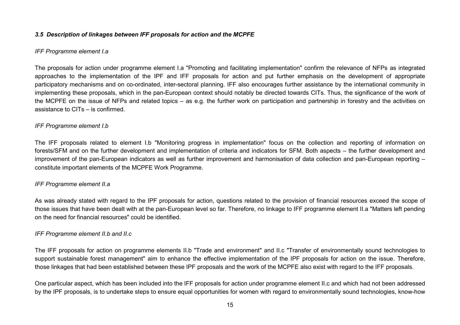#### <span id="page-15-0"></span>*3.5 Description of linkages between IFF proposals for action and the MCPFE*

#### *IFF Programme element I.a*

The proposals for action under programme element I.a "Promoting and facilitating implementation" confirm the relevance of NFPs as integrated approaches to the implementation of the IPF and IFF proposals for action and put further emphasis on the development of appropriate participatory mechanisms and on co-ordinated, inter-sectoral planning. IFF also encourages further assistance by the international community in implementing these proposals, which in the pan-European context should notably be directed towards CITs. Thus, the significance of the work of the MCPFE on the issue of NFPs and related topics – as e.g. the further work on participation and partnership in forestry and the activities on assistance to CITs – is confirmed.

#### *IFF Programme element I.b*

The IFF proposals related to element I.b "Monitoring progress in implementation" focus on the collection and reporting of information on forests/SFM and on the further development and implementation of criteria and indicators for SFM. Both aspects – the further development and improvement of the pan-European indicators as well as further improvement and harmonisation of data collection and pan-European reporting – constitute important elements of the MCPFE Work Programme.

#### *IFF Programme element II.a*

As was already stated with regard to the IPF proposals for action, questions related to the provision of financial resources exceed the scope of those issues that have been dealt with at the pan-European level so far. Therefore, no linkage to IFF programme element II.a "Matters left pending on the need for financial resources" could be identified.

#### *IFF Programme element II.b and II.c*

The IFF proposals for action on programme elements II.b "Trade and environment" and II.c "Transfer of environmentally sound technologies to support sustainable forest management" aim to enhance the effective implementation of the IPF proposals for action on the issue. Therefore, those linkages that had been established between these IPF proposals and the work of the MCPFE also exist with regard to the IFF proposals.

One particular aspect, which has been included into the IFF proposals for action under programme element II.c and which had not been addressed by the IPF proposals, is to undertake steps to ensure equal opportunities for women with regard to environmentally sound technologies, know-how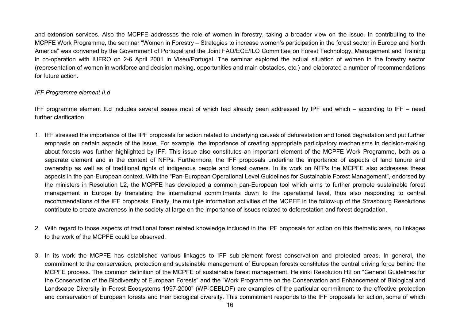and extension services. Also the MCPFE addresses the role of women in forestry, taking a broader view on the issue. In contributing to the MCPFE Work Programme, the seminar "Women in Forestry – Strategies to increase women's participation in the forest sector in Europe and North America" was convened by the Government of Portugal and the Joint FAO/ECE/ILO Committee on Forest Technology, Management and Training in co-operation with IUFRO on 2-6 April 2001 in Viseu/Portugal. The seminar explored the actual situation of women in the forestry sector (representation of women in workforce and decision making, opportunities and main obstacles, etc.) and elaborated a number of recommendations for future action.

#### *IFF Programme element II.d*

IFF programme element II.d includes several issues most of which had already been addressed by IPF and which – according to IFF – need further clarification.

- 1. IFF stressed the importance of the IPF proposals for action related to underlying causes of deforestation and forest degradation and put further emphasis on certain aspects of the issue. For example, the importance of creating appropriate participatory mechanisms in decision-making about forests was further highlighted by IFF. This issue also constitutes an important element of the MCPFE Work Programme, both as a separate element and in the context of NFPs. Furthermore, the IFF proposals underline the importance of aspects of land tenure and ownership as well as of traditional rights of indigenous people and forest owners. In its work on NFPs the MCPFE also addresses these aspects in the pan-European context. With the "Pan-European Operational Level Guidelines for Sustainable Forest Management", endorsed by the ministers in Resolution L2, the MCPFE has developed a common pan-European tool which aims to further promote sustainable forest management in Europe by translating the international commitments down to the operational level, thus also responding to central recommendations of the IFF proposals. Finally, the multiple information activities of the MCPFE in the follow-up of the Strasbourg Resolutions contribute to create awareness in the society at large on the importance of issues related to deforestation and forest degradation.
- 2. With regard to those aspects of traditional forest related knowledge included in the IPF proposals for action on this thematic area, no linkages to the work of the MCPFE could be observed.
- 3. In its work the MCPFE has established various linkages to IFF sub-element forest conservation and protected areas. In general, the commitment to the conservation, protection and sustainable management of European forests constitutes the central driving force behind the MCPFE process. The common definition of the MCPFE of sustainable forest management, Helsinki Resolution H2 on "General Guidelines for the Conservation of the Biodiversity of European Forests" and the "Work Programme on the Conservation and Enhancement of Biological and Landscape Diversity in Forest Ecosystems 1997-2000" (WP-CEBLDF) are examples of the particular commitment to the effective protection and conservation of European forests and their biological diversity. This commitment responds to the IFF proposals for action, some of which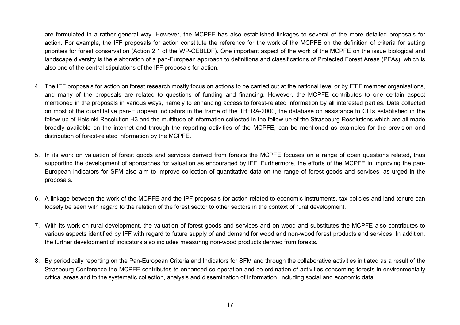are formulated in a rather general way. However, the MCPFE has also established linkages to several of the more detailed proposals for action. For example, the IFF proposals for action constitute the reference for the work of the MCPFE on the definition of criteria for setting priorities for forest conservation (Action 2.1 of the WP-CEBLDF). One important aspect of the work of the MCPFE on the issue biological and landscape diversity is the elaboration of a pan-European approach to definitions and classifications of Protected Forest Areas (PFAs), which is also one of the central stipulations of the IFF proposals for action.

- 4. The IFF proposals for action on forest research mostly focus on actions to be carried out at the national level or by ITFF member organisations, and many of the proposals are related to questions of funding and financing. However, the MCPFE contributes to one certain aspect mentioned in the proposals in various ways, namely to enhancing access to forest-related information by all interested parties. Data collected on most of the quantitative pan-European indicators in the frame of the TBFRA-2000, the database on assistance to CITs established in the follow-up of Helsinki Resolution H3 and the multitude of information collected in the follow-up of the Strasbourg Resolutions which are all made broadly available on the internet and through the reporting activities of the MCPFE, can be mentioned as examples for the provision and distribution of forest-related information by the MCPFE.
- 5. In its work on valuation of forest goods and services derived from forests the MCPFE focuses on a range of open questions related, thus supporting the development of approaches for valuation as encouraged by IFF. Furthermore, the efforts of the MCPFE in improving the pan-European indicators for SFM also aim to improve collection of quantitative data on the range of forest goods and services, as urged in the proposals.
- 6. A linkage between the work of the MCPFE and the IPF proposals for action related to economic instruments, tax policies and land tenure can loosely be seen with regard to the relation of the forest sector to other sectors in the context of rural development.
- 7. With its work on rural development, the valuation of forest goods and services and on wood and substitutes the MCPFE also contributes to various aspects identified by IFF with regard to future supply of and demand for wood and non-wood forest products and services. In addition, the further development of indicators also includes measuring non-wood products derived from forests.
- 8. By periodically reporting on the Pan-European Criteria and Indicators for SFM and through the collaborative activities initiated as a result of the Strasbourg Conference the MCPFE contributes to enhanced co-operation and co-ordination of activities concerning forests in environmentally critical areas and to the systematic collection, analysis and dissemination of information, including social and economic data.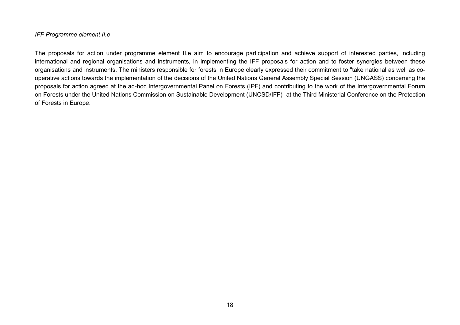#### *IFF Programme element II.e*

The proposals for action under programme element II.e aim to encourage participation and achieve support of interested parties, including international and regional organisations and instruments, in implementing the IFF proposals for action and to foster synergies between these organisations and instruments. The ministers responsible for forests in Europe clearly expressed their commitment to "take national as well as cooperative actions towards the implementation of the decisions of the United Nations General Assembly Special Session (UNGASS) concerning the proposals for action agreed at the ad-hoc Intergovernmental Panel on Forests (IPF) and contributing to the work of the Intergovernmental Forum on Forests under the United Nations Commission on Sustainable Development (UNCSD/IFF)" at the Third Ministerial Conference on the Protection of Forests in Europe.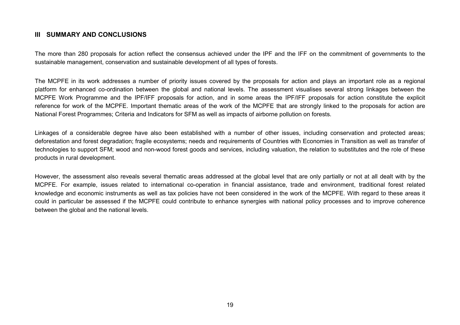### <span id="page-19-0"></span>**III SUMMARY AND CONCLUSIONS**

The more than 280 proposals for action reflect the consensus achieved under the IPF and the IFF on the commitment of governments to the sustainable management, conservation and sustainable development of all types of forests.

The MCPFE in its work addresses a number of priority issues covered by the proposals for action and plays an important role as a regional platform for enhanced co-ordination between the global and national levels. The assessment visualises several strong linkages between the MCPFE Work Programme and the IPF/IFF proposals for action, and in some areas the IPF/IFF proposals for action constitute the explicit reference for work of the MCPFE. Important thematic areas of the work of the MCPFE that are strongly linked to the proposals for action are National Forest Programmes; Criteria and Indicators for SFM as well as impacts of airborne pollution on forests.

Linkages of a considerable degree have also been established with a number of other issues, including conservation and protected areas; deforestation and forest degradation; fragile ecosystems; needs and requirements of Countries with Economies in Transition as well as transfer of technologies to support SFM; wood and non-wood forest goods and services, including valuation, the relation to substitutes and the role of these products in rural development.

However, the assessment also reveals several thematic areas addressed at the global level that are only partially or not at all dealt with by the MCPFE. For example, issues related to international co-operation in financial assistance, trade and environment, traditional forest related knowledge and economic instruments as well as tax policies have not been considered in the work of the MCPFE. With regard to these areas it could in particular be assessed if the MCPFE could contribute to enhance synergies with national policy processes and to improve coherence between the global and the national levels.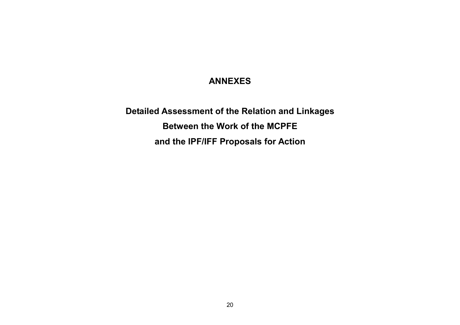# **ANNEXES**

<span id="page-20-0"></span>**Detailed Assessment of the Relation and Linkages Between the Work of the MCPFE and the IPF/IFF Proposals for Action**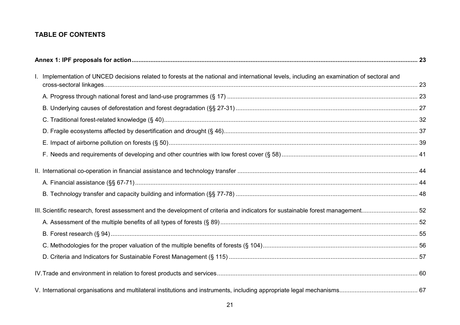## **TABLE OF CONTENTS**

| I. Implementation of UNCED decisions related to forests at the national and international levels, including an examination of sectoral and |  |
|--------------------------------------------------------------------------------------------------------------------------------------------|--|
|                                                                                                                                            |  |
|                                                                                                                                            |  |
|                                                                                                                                            |  |
|                                                                                                                                            |  |
|                                                                                                                                            |  |
|                                                                                                                                            |  |
|                                                                                                                                            |  |
|                                                                                                                                            |  |
|                                                                                                                                            |  |
|                                                                                                                                            |  |
|                                                                                                                                            |  |
|                                                                                                                                            |  |
|                                                                                                                                            |  |
|                                                                                                                                            |  |
|                                                                                                                                            |  |
|                                                                                                                                            |  |
|                                                                                                                                            |  |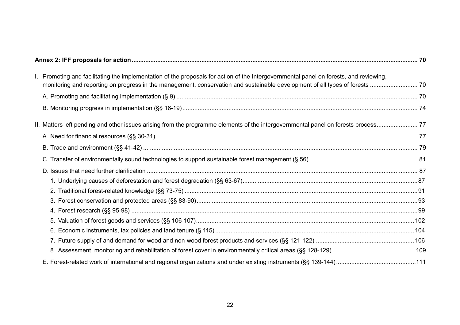| I. Promoting and facilitating the implementation of the proposals for action of the Intergovernmental panel on forests, and reviewing, |  |
|----------------------------------------------------------------------------------------------------------------------------------------|--|
|                                                                                                                                        |  |
|                                                                                                                                        |  |
|                                                                                                                                        |  |
|                                                                                                                                        |  |
|                                                                                                                                        |  |
|                                                                                                                                        |  |
|                                                                                                                                        |  |
|                                                                                                                                        |  |
|                                                                                                                                        |  |
|                                                                                                                                        |  |
|                                                                                                                                        |  |
|                                                                                                                                        |  |
|                                                                                                                                        |  |
|                                                                                                                                        |  |
|                                                                                                                                        |  |
|                                                                                                                                        |  |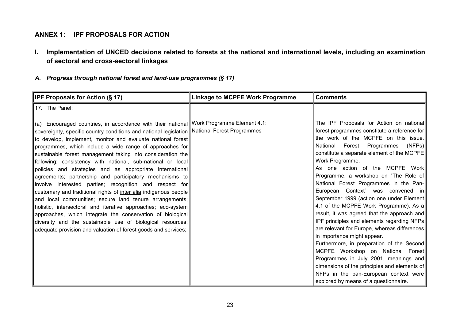## <span id="page-23-0"></span>**ANNEX 1: IPF PROPOSALS FOR ACTION**

**I. Implementation of UNCED decisions related to forests at the national and international levels, including an examination of sectoral and cross-sectoral linkages**

## *A. Progress through national forest and land-use programmes (§ 17)*

| <b>IPF Proposals for Action (§ 17)</b>                                                                                                                                                                                                                                                                                                                                                                                                                                                                                                                                                                                                                                                                                                                                                                                                                                                                                                                                                                                          | <b>Linkage to MCPFE Work Programme</b> | <b>Comments</b>                                                                                                                                                                                                                                                                                                                                                                                                                                                                                                                                                                                                                                                                                                                                                                                                                                                                                                                        |
|---------------------------------------------------------------------------------------------------------------------------------------------------------------------------------------------------------------------------------------------------------------------------------------------------------------------------------------------------------------------------------------------------------------------------------------------------------------------------------------------------------------------------------------------------------------------------------------------------------------------------------------------------------------------------------------------------------------------------------------------------------------------------------------------------------------------------------------------------------------------------------------------------------------------------------------------------------------------------------------------------------------------------------|----------------------------------------|----------------------------------------------------------------------------------------------------------------------------------------------------------------------------------------------------------------------------------------------------------------------------------------------------------------------------------------------------------------------------------------------------------------------------------------------------------------------------------------------------------------------------------------------------------------------------------------------------------------------------------------------------------------------------------------------------------------------------------------------------------------------------------------------------------------------------------------------------------------------------------------------------------------------------------------|
| 17. The Panel:                                                                                                                                                                                                                                                                                                                                                                                                                                                                                                                                                                                                                                                                                                                                                                                                                                                                                                                                                                                                                  |                                        |                                                                                                                                                                                                                                                                                                                                                                                                                                                                                                                                                                                                                                                                                                                                                                                                                                                                                                                                        |
| (a) Encouraged countries, in accordance with their national Work Programme Element 4.1:<br>sovereignty, specific country conditions and national legislation National Forest Programmes<br>to develop, implement, monitor and evaluate national forest<br>programmes, which include a wide range of approaches for<br>sustainable forest management taking into consideration the<br>following: consistency with national, sub-national or local<br>policies and strategies and as appropriate international<br>agreements; partnership and participatory mechanisms to<br>involve interested parties; recognition and respect for<br>customary and traditional rights of inter alia indigenous people<br>and local communities; secure land tenure arrangements;<br>holistic, intersectoral and iterative approaches; eco-system<br>approaches, which integrate the conservation of biological<br>diversity and the sustainable use of biological resources;<br>adequate provision and valuation of forest goods and services; |                                        | The IPF Proposals for Action on national<br>forest programmes constitute a reference for<br>the work of the MCPFE on this issue.<br>Forest Programmes<br>(NFPs)<br>National<br>constitute a separate element of the MCPFE<br>Work Programme.<br>As one action of the MCPFE Work<br>Programme, a workshop on "The Role of<br>National Forest Programmes in the Pan-<br>European Context" was convened in<br>September 1999 (action one under Element<br>4.1 of the MCPFE Work Programme). As a<br>result, it was agreed that the approach and<br>IPF principles and elements regarding NFPs<br>are relevant for Europe, whereas differences<br>in importance might appear.<br>Furthermore, in preparation of the Second<br>MCPFE Workshop on National Forest<br>Programmes in July 2001, meanings and<br>dimensions of the principles and elements of<br>NFPs in the pan-European context were<br>explored by means of a questionnaire. |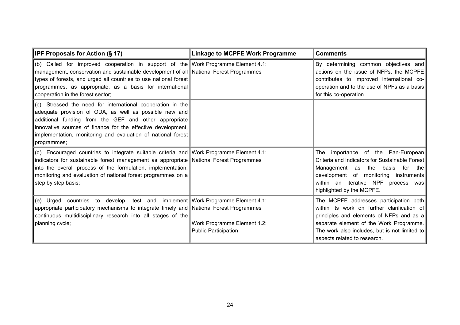| IPF Proposals for Action (§ 17)                                                                                                                                                                                                                                                                                                                  | <b>Linkage to MCPFE Work Programme</b>                     | <b>Comments</b>                                                                                                                                                                                                                                               |
|--------------------------------------------------------------------------------------------------------------------------------------------------------------------------------------------------------------------------------------------------------------------------------------------------------------------------------------------------|------------------------------------------------------------|---------------------------------------------------------------------------------------------------------------------------------------------------------------------------------------------------------------------------------------------------------------|
| (b) Called for improved cooperation in support of the Work Programme Element 4.1:<br>management, conservation and sustainable development of all National Forest Programmes<br>types of forests, and urged all countries to use national forest<br>programmes, as appropriate, as a basis for international<br>cooperation in the forest sector; |                                                            | By determining common objectives and<br>actions on the issue of NFPs, the MCPFE<br>contributes to improved international co-<br>operation and to the use of NPFs as a basis<br>for this co-operation.                                                         |
| (c) Stressed the need for international cooperation in the<br>adequate provision of ODA, as well as possible new and<br>additional funding from the GEF and other appropriate<br>innovative sources of finance for the effective development,<br>implementation, monitoring and evaluation of national forest<br>programmes;                     |                                                            |                                                                                                                                                                                                                                                               |
| (d) Encouraged countries to integrate suitable criteria and Work Programme Element 4.1:<br>indicators for sustainable forest management as appropriate National Forest Programmes<br>into the overall process of the formulation, implementation,<br>monitoring and evaluation of national forest programmes on a<br>step by step basis;         |                                                            | The importance of the Pan-European<br>Criteria and Indicators for Sustainable Forest<br>the basis<br>Management as<br>for the I<br>development of monitoring instruments<br>within an iterative NPF process was<br>highlighted by the MCPFE.                  |
| (e) Urged countries to develop, test and implement Work Programme Element 4.1:<br>appropriate participatory mechanisms to integrate timely and National Forest Programmes<br>continuous multidisciplinary research into all stages of the<br>planning cycle;                                                                                     | Work Programme Element 1.2:<br><b>Public Participation</b> | The MCPFE addresses participation both<br>within its work on further clarification of<br>principles and elements of NFPs and as a<br>separate element of the Work Programme.<br>The work also includes, but is not limited to<br>aspects related to research. |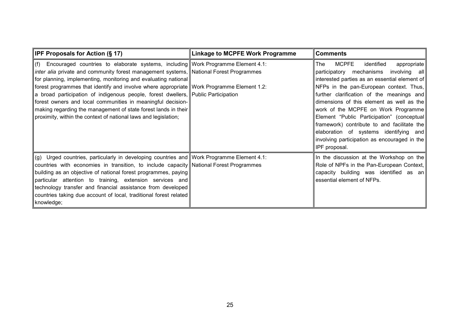| <b>IPF Proposals for Action (§ 17)</b>                                                                                                                                                                                                                                                                                                                                                                                                                                                                                                                                                                                                   | <b>Linkage to MCPFE Work Programme</b> | <b>Comments</b>                                                                                                                                                                                                                                                                                                                                                                                                                                                                                                               |
|------------------------------------------------------------------------------------------------------------------------------------------------------------------------------------------------------------------------------------------------------------------------------------------------------------------------------------------------------------------------------------------------------------------------------------------------------------------------------------------------------------------------------------------------------------------------------------------------------------------------------------------|----------------------------------------|-------------------------------------------------------------------------------------------------------------------------------------------------------------------------------------------------------------------------------------------------------------------------------------------------------------------------------------------------------------------------------------------------------------------------------------------------------------------------------------------------------------------------------|
| (f) Encouraged countries to elaborate systems, including Work Programme Element 4.1:<br>inter alia private and community forest management systems, National Forest Programmes<br>for planning, implementing, monitoring and evaluating national<br>forest programmes that identify and involve where appropriate Work Programme Element 1.2:<br>a broad participation of indigenous people, forest dwellers, Public Participation<br>forest owners and local communities in meaningful decision-<br>  making regarding the management of state forest lands in their<br>proximity, within the context of national laws and legislation; |                                        | MCPFE<br>identified<br>appropriate<br>The .<br>involving all<br>participatory mechanisms<br>interested parties as an essential element of<br>NFPs in the pan-European context. Thus,<br>further clarification of the meanings and<br>dimensions of this element as well as the<br>work of the MCPFE on Work Programme<br>Element "Public Participation" (conceptual<br>framework) contribute to and facilitate the<br>elaboration of systems identifying and<br>involving participation as encouraged in the<br>IPF proposal. |
| (g) Urged countries, particularly in developing countries and Work Programme Element 4.1:<br>countries with economies in transition, to include capacity National Forest Programmes<br>building as an objective of national forest programmes, paying<br>particular attention to training, extension services and<br>technology transfer and financial assistance from developed<br>countries taking due account of local, traditional forest related<br>knowledge;                                                                                                                                                                      |                                        | In the discussion at the Workshop on the<br>Role of NPFs in the Pan-European Context,  <br>capacity building was identified as an<br>essential element of NFPs.                                                                                                                                                                                                                                                                                                                                                               |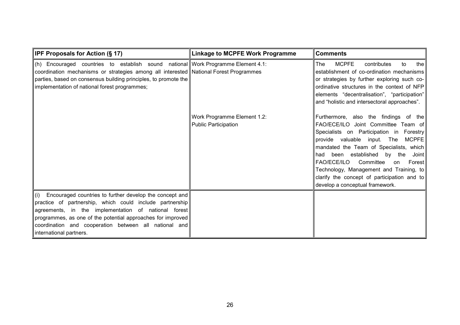| <b>IPF Proposals for Action (§ 17)</b>                                                                                                                                                                                                                                                                                             | <b>Linkage to MCPFE Work Programme</b>                     | <b>Comments</b>                                                                                                                                                                                                                                                                                                                                                                                                                                          |
|------------------------------------------------------------------------------------------------------------------------------------------------------------------------------------------------------------------------------------------------------------------------------------------------------------------------------------|------------------------------------------------------------|----------------------------------------------------------------------------------------------------------------------------------------------------------------------------------------------------------------------------------------------------------------------------------------------------------------------------------------------------------------------------------------------------------------------------------------------------------|
| (h) Encouraged countries to establish sound national Work Programme Element 4.1:<br>coordination mechanisms or strategies among all interested National Forest Programmes<br>parties, based on consensus building principles, to promote the<br>implementation of national forest programmes;                                      |                                                            | <b>MCPFE</b><br>contributes<br><b>The</b><br>the  <br>to<br>establishment of co-ordination mechanisms<br>or strategies by further exploring such co-<br>ordinative structures in the context of NFP<br>elements "decentralisation", "participation"<br>and "holistic and intersectoral approaches".                                                                                                                                                      |
|                                                                                                                                                                                                                                                                                                                                    | Work Programme Element 1.2:<br><b>Public Participation</b> | Furthermore, also the findings of the<br>FAO/ECE/ILO Joint Committee Team of<br>Specialists on Participation in Forestry<br>$MC$ PFE<br>provide valuable<br>input.<br>The<br>mandated the Team of Specialists, which<br>been established by the<br>Joint l<br>had<br><b>FAO/ECE/ILO</b><br>Committee<br><b>Forest</b><br>on<br>Technology, Management and Training, to<br>clarify the concept of participation and to<br>develop a conceptual framework. |
| (i) Encouraged countries to further develop the concept and<br>practice of partnership, which could include partnership<br>agreements, in the implementation of national forest<br>programmes, as one of the potential approaches for improved<br>coordination and cooperation between all national and<br>international partners. |                                                            |                                                                                                                                                                                                                                                                                                                                                                                                                                                          |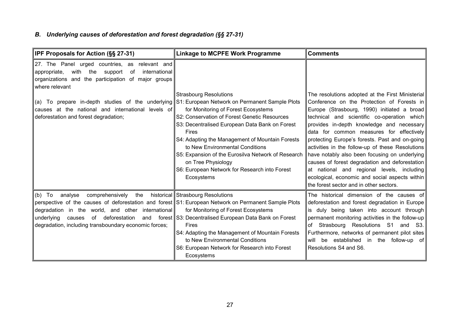# <span id="page-27-0"></span>*B. Underlying causes of deforestation and forest degradation (§§ 27-31)*

| <b>IPF Proposals for Action (§§ 27-31)</b>                                                                                                                                                                                                                                                                                                | <b>Linkage to MCPFE Work Programme</b>                                                                                                                                                                                                                                                                                                                                                                                                               | <b>Comments</b>                                                                                                                                                                                                                                                                                                                                                                                                                                                                                                                              |
|-------------------------------------------------------------------------------------------------------------------------------------------------------------------------------------------------------------------------------------------------------------------------------------------------------------------------------------------|------------------------------------------------------------------------------------------------------------------------------------------------------------------------------------------------------------------------------------------------------------------------------------------------------------------------------------------------------------------------------------------------------------------------------------------------------|----------------------------------------------------------------------------------------------------------------------------------------------------------------------------------------------------------------------------------------------------------------------------------------------------------------------------------------------------------------------------------------------------------------------------------------------------------------------------------------------------------------------------------------------|
| 27. The Panel urged countries, as relevant and<br>with the<br>support<br>international<br>appropriate,<br>of<br>organizations and the participation of major groups<br>where relevant<br>(a) To prepare in-depth studies of the underlying<br>causes at the national and international levels of<br>deforestation and forest degradation; | <b>Strasbourg Resolutions</b><br>S1: European Network on Permanent Sample Plots<br>for Monitoring of Forest Ecosystems<br>S2: Conservation of Forest Genetic Resources<br>S3: Decentralised European Data Bank on Forest<br>Fires<br>S4: Adapting the Management of Mountain Forests<br>to New Environmental Conditions<br>S5: Expansion of the Eurosilva Network of Research<br>on Tree Physiology<br>S6: European Network for Research into Forest | The resolutions adopted at the First Ministerial<br>Conference on the Protection of Forests in<br>Europe (Strasbourg, 1990) initiated a broad<br>technical and scientific co-operation which<br>provides in-depth knowledge and necessary<br>data for common measures for effectively<br>protecting Europe's forests. Past and on-going<br>activities in the follow-up of these Resolutions<br>have notably also been focusing on underlying<br>causes of forest degradation and deforestation<br>at national and regional levels, including |
|                                                                                                                                                                                                                                                                                                                                           | Ecosystems                                                                                                                                                                                                                                                                                                                                                                                                                                           | ecological, economic and social aspects within<br>the forest sector and in other sectors.                                                                                                                                                                                                                                                                                                                                                                                                                                                    |
| comprehensively the<br>(b) To<br>analyse<br>perspective of the causes of deforestation and forest S1: European Network on Permanent Sample Plots<br>degradation in the world, and other international<br>of deforestation<br>underlying<br>causes<br>degradation, including transboundary economic forces;                                | historical Strasbourg Resolutions<br>for Monitoring of Forest Ecosystems<br>and forest S3: Decentralised European Data Bank on Forest<br><b>Fires</b><br>S4: Adapting the Management of Mountain Forests<br>to New Environmental Conditions<br>S6: European Network for Research into Forest<br>Ecosystems                                                                                                                                           | The historical dimension of the causes of<br>deforestation and forest degradation in Europe<br>is duly being taken into account through<br>permanent monitoring activities in the follow-up<br>Strasbourg Resolutions S1 and S3.<br>οf<br>Furthermore, networks of permanent pilot sites<br>will be established in the follow-up of<br>Resolutions S4 and S6.                                                                                                                                                                                |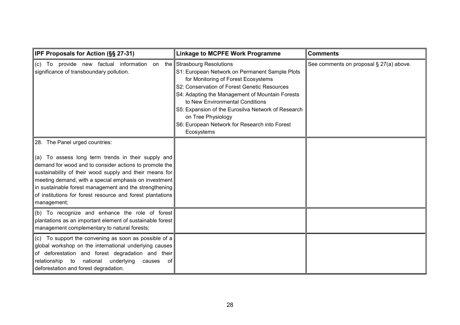| IPF Proposals for Action (§§ 27-31)                                                                                                                                                                                                                                                                                                                                                                       | <b>Linkage to MCPFE Work Programme</b>                                                                                                                                                                                                                                                                                                                                                               | <b>Comments</b>                         |
|-----------------------------------------------------------------------------------------------------------------------------------------------------------------------------------------------------------------------------------------------------------------------------------------------------------------------------------------------------------------------------------------------------------|------------------------------------------------------------------------------------------------------------------------------------------------------------------------------------------------------------------------------------------------------------------------------------------------------------------------------------------------------------------------------------------------------|-----------------------------------------|
| (c) To provide new factual information on<br>significance of transboundary pollution.                                                                                                                                                                                                                                                                                                                     | the Strasbourg Resolutions<br>S1: European Network on Permanent Sample Plots<br>for Monitoring of Forest Ecosystems<br>S2: Conservation of Forest Genetic Resources<br>S4: Adapting the Management of Mountain Forests<br>to New Environmental Conditions<br>S5: Expansion of the Eurosilva Network of Research<br>on Tree Physiology<br>S6: European Network for Research into Forest<br>Ecosystems | See comments on proposal § 27(a) above. |
| 28. The Panel urged countries:<br>(a) To assess long term trends in their supply and<br>demand for wood and to consider actions to promote the<br>sustainability of their wood supply and their means for<br>meeting demand, with a special emphasis on investment<br>in sustainable forest management and the strengthening<br>of institutions for forest resource and forest plantations<br>management; |                                                                                                                                                                                                                                                                                                                                                                                                      |                                         |
| (b) To recognize and enhance the role of forest<br>plantations as an important element of sustainable forest<br>management complementary to natural forests;                                                                                                                                                                                                                                              |                                                                                                                                                                                                                                                                                                                                                                                                      |                                         |
| (c) To support the convening as soon as possible of a<br>global workshop on the international underlying causes<br>of deforestation and forest degradation and their<br>relationship to national underlying<br>causes<br>−ofl<br>deforestation and forest degradation.                                                                                                                                    |                                                                                                                                                                                                                                                                                                                                                                                                      |                                         |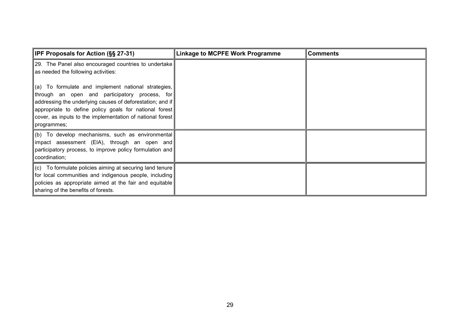| <b>IPF Proposals for Action (§§ 27-31)</b>                                                                                                                                                                                                                                                               | <b>Linkage to MCPFE Work Programme</b> | <b>Comments</b> |
|----------------------------------------------------------------------------------------------------------------------------------------------------------------------------------------------------------------------------------------------------------------------------------------------------------|----------------------------------------|-----------------|
| [29. The Panel also encouraged countries to undertake<br>as needed the following activities:                                                                                                                                                                                                             |                                        |                 |
| (a) To formulate and implement national strategies,<br>through an open and participatory process, for<br>addressing the underlying causes of deforestation; and if<br>appropriate to define policy goals for national forest<br>cover, as inputs to the implementation of national forest<br>programmes; |                                        |                 |
| (b) To develop mechanisms, such as environmental<br>impact assessment (EIA), through an open and<br>participatory process, to improve policy formulation and<br>coordination;                                                                                                                            |                                        |                 |
| $\vert$ (c) To formulate policies aiming at securing land tenure<br>for local communities and indigenous people, including<br>policies as appropriate aimed at the fair and equitable<br>sharing of the benefits of forests.                                                                             |                                        |                 |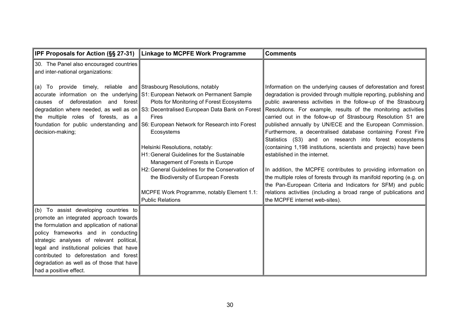| <b>IPF Proposals for Action (SS 27-31)</b>                                                                                                                                                                                                                                                                                                                                         | <b>Linkage to MCPFE Work Programme</b>                                                                                                                                                                                                                                                                                                                                                                                                                                                                                                                                                                                              | <b>Comments</b>                                                                                                                                                                                                                                                                                                                                                                                                                                                                                                                                                                                                                                                                                                                                                                                                                                                                                                                                           |
|------------------------------------------------------------------------------------------------------------------------------------------------------------------------------------------------------------------------------------------------------------------------------------------------------------------------------------------------------------------------------------|-------------------------------------------------------------------------------------------------------------------------------------------------------------------------------------------------------------------------------------------------------------------------------------------------------------------------------------------------------------------------------------------------------------------------------------------------------------------------------------------------------------------------------------------------------------------------------------------------------------------------------------|-----------------------------------------------------------------------------------------------------------------------------------------------------------------------------------------------------------------------------------------------------------------------------------------------------------------------------------------------------------------------------------------------------------------------------------------------------------------------------------------------------------------------------------------------------------------------------------------------------------------------------------------------------------------------------------------------------------------------------------------------------------------------------------------------------------------------------------------------------------------------------------------------------------------------------------------------------------|
| 30. The Panel also encouraged countries<br>and inter-national organizations:                                                                                                                                                                                                                                                                                                       |                                                                                                                                                                                                                                                                                                                                                                                                                                                                                                                                                                                                                                     |                                                                                                                                                                                                                                                                                                                                                                                                                                                                                                                                                                                                                                                                                                                                                                                                                                                                                                                                                           |
| provide timely, reliable and Strasbourg Resolutions, notably<br>(a) To<br>of deforestation and forest<br>causes<br>the multiple roles of forests, as a<br>decision-making;                                                                                                                                                                                                         | accurate information on the underlying S1: European Network on Permanent Sample<br>Plots for Monitoring of Forest Ecosystems<br>degradation where needed, as well as on S3: Decentralised European Data Bank on Forest<br><b>Fires</b><br>foundation for public understanding and S6: European Network for Research into Forest<br>Ecosystems<br>Helsinki Resolutions, notably:<br>H1: General Guidelines for the Sustainable<br>Management of Forests in Europe<br>H2: General Guidelines for the Conservation of<br>the Biodiversity of European Forests<br>MCPFE Work Programme, notably Element 1.1:<br><b>Public Relations</b> | Information on the underlying causes of deforestation and forest<br>degradation is provided through multiple reporting, publishing and<br>public awareness activities in the follow-up of the Strasbourg<br>Resolutions. For example, results of the monitoring activities<br>carried out in the follow-up of Strasbourg Resolution S1 are<br>published annually by UN/ECE and the European Commission.<br>Furthermore, a decentralised database containing Forest Fire<br>Statistics (S3) and on research into forest ecosystems<br>(containing 1,198 institutions, scientists and projects) have been<br>established in the internet.<br>In addition, the MCPFE contributes to providing information on<br>the multiple roles of forests through its manifold reporting (e.g. on<br>the Pan-European Criteria and Indicators for SFM) and public<br>relations activities (including a broad range of publications and<br>the MCPFE internet web-sites). |
| (b) To assist developing countries to<br>promote an integrated approach towards<br>the formulation and application of national<br>policy frameworks and in conducting<br>strategic analyses of relevant political,<br>legal and institutional policies that have<br>contributed to deforestation and forest<br>degradation as well as of those that have<br>had a positive effect. |                                                                                                                                                                                                                                                                                                                                                                                                                                                                                                                                                                                                                                     |                                                                                                                                                                                                                                                                                                                                                                                                                                                                                                                                                                                                                                                                                                                                                                                                                                                                                                                                                           |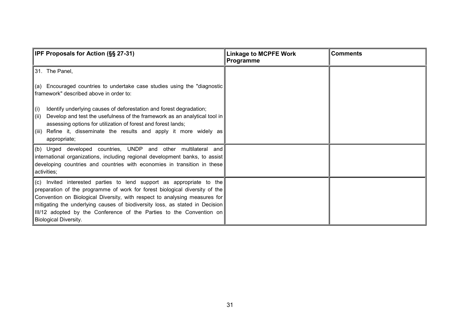| <b>IPF Proposals for Action (§§ 27-31)</b>                                                                                                                                                                                                                                                                                                                                                                                | <b>Linkage to MCPFE Work</b><br>Programme | <b>Comments</b> |
|---------------------------------------------------------------------------------------------------------------------------------------------------------------------------------------------------------------------------------------------------------------------------------------------------------------------------------------------------------------------------------------------------------------------------|-------------------------------------------|-----------------|
| 31. The Panel,                                                                                                                                                                                                                                                                                                                                                                                                            |                                           |                 |
| (a) Encouraged countries to undertake case studies using the "diagnostic<br>framework" described above in order to:                                                                                                                                                                                                                                                                                                       |                                           |                 |
| Identify underlying causes of deforestation and forest degradation;<br>(i)<br>Develop and test the usefulness of the framework as an analytical tool in<br>(ii)<br>assessing options for utilization of forest and forest lands;<br>Refine it, disseminate the results and apply it more widely as<br>(iii)<br>appropriate;                                                                                               |                                           |                 |
| (b) Urged developed countries, UNDP and other multilateral and<br>international organizations, including regional development banks, to assist<br>developing countries and countries with economies in transition in these<br>activities;                                                                                                                                                                                 |                                           |                 |
| (c) Invited interested parties to lend support as appropriate to the<br>preparation of the programme of work for forest biological diversity of the<br>Convention on Biological Diversity, with respect to analysing measures for<br>mitigating the underlying causes of biodiversity loss, as stated in Decision<br>III/12 adopted by the Conference of the Parties to the Convention on<br><b>Biological Diversity.</b> |                                           |                 |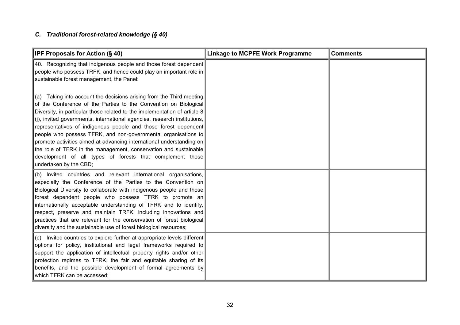## <span id="page-32-0"></span>*C. Traditional forest-related knowledge (§ 40)*

| <b>IPF Proposals for Action (§ 40)</b>                                                                                                                                                                                                                                                                                                                                                                                                                                                                                                                                                                                                                                      | <b>Linkage to MCPFE Work Programme</b> | <b>Comments</b> |
|-----------------------------------------------------------------------------------------------------------------------------------------------------------------------------------------------------------------------------------------------------------------------------------------------------------------------------------------------------------------------------------------------------------------------------------------------------------------------------------------------------------------------------------------------------------------------------------------------------------------------------------------------------------------------------|----------------------------------------|-----------------|
| 40. Recognizing that indigenous people and those forest dependent<br>people who possess TRFK, and hence could play an important role in<br>sustainable forest management, the Panel:                                                                                                                                                                                                                                                                                                                                                                                                                                                                                        |                                        |                 |
| (a) Taking into account the decisions arising from the Third meeting<br>of the Conference of the Parties to the Convention on Biological<br>Diversity, in particular those related to the implementation of article $8$<br>(j), invited governments, international agencies, research institutions,<br>representatives of indigenous people and those forest dependent<br>people who possess TFRK, and non-governmental organisations to<br>promote activities aimed at advancing international understanding on<br>the role of TFRK in the management, conservation and sustainable<br>development of all types of forests that complement those<br>undertaken by the CBD; |                                        |                 |
| (b) Invited countries and relevant international organisations,<br>especially the Conference of the Parties to the Convention on<br>Biological Diversity to collaborate with indigenous people and those<br>forest dependent people who possess TFRK to promote an<br>internationally acceptable understanding of TFRK and to identify,<br>respect, preserve and maintain TRFK, including innovations and<br>practices that are relevant for the conservation of forest biological<br>diversity and the sustainable use of forest biological resources;                                                                                                                     |                                        |                 |
| (c) Invited countries to explore further at appropriate levels different<br>options for policy, institutional and legal frameworks required to<br>support the application of intellectual property rights and/or other<br>protection regimes to TFRK, the fair and equitable sharing of its<br>benefits, and the possible development of formal agreements by<br>which TFRK can be accessed;                                                                                                                                                                                                                                                                                |                                        |                 |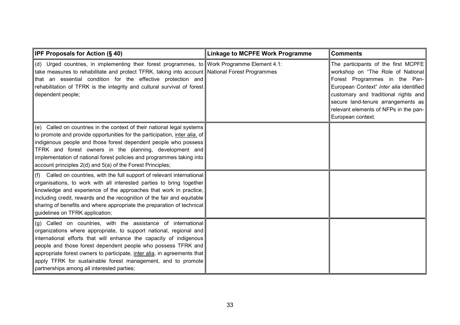| IPF Proposals for Action (§ 40)                                                                                                                                                                                                                                                                                                                                                                                                                                      | <b>Linkage to MCPFE Work Programme</b> | <b>Comments</b>                                                                                                                                                                                                                                                                                  |
|----------------------------------------------------------------------------------------------------------------------------------------------------------------------------------------------------------------------------------------------------------------------------------------------------------------------------------------------------------------------------------------------------------------------------------------------------------------------|----------------------------------------|--------------------------------------------------------------------------------------------------------------------------------------------------------------------------------------------------------------------------------------------------------------------------------------------------|
| (d) Urged countries, in implementing their forest programmes, to Work Programme Element 4.1:<br>take measures to rehabilitate and protect TFRK, taking into account National Forest Programmes<br>that an essential condition for the effective protection and<br>rehabilitation of TFRK is the integrity and cultural survival of forest<br>dependent people;                                                                                                       |                                        | The participants of the first MCPFE<br>workshop on "The Role of National<br>Forest Programmes in the Pan-<br>European Context" inter alia identified<br>customary and traditional rights and<br>secure land-tenure arrangements as<br>relevant elements of NFPs in the pan-<br>European context. |
| (e) Called on countries in the context of their national legal systems<br>to promote and provide opportunities for the participation, inter alia, of<br>indigenous people and those forest dependent people who possess<br>TFRK and forest owners in the planning, development and<br>implementation of national forest policies and programmes taking into<br>account principles 2(d) and 5(a) of the Forest Principles;                                            |                                        |                                                                                                                                                                                                                                                                                                  |
| (f) Called on countries, with the full support of relevant international<br>organisations, to work with all interested parties to bring together<br>knowledge and experience of the approaches that work in practice,<br>including credit, rewards and the recognition of the fair and equitable<br>sharing of benefits and where appropriate the preparation of technical<br>guidelines on TFRK application;                                                        |                                        |                                                                                                                                                                                                                                                                                                  |
| (g) Called on countries, with the assistance of international<br>organizations where appropriate, to support national, regional and<br>international efforts that will enhance the capacity of indigenous<br>people and those forest dependent people who possess TFRK and<br>appropriate forest owners to participate, inter alia, in agreements that<br>apply TFRK for sustainable forest management, and to promote<br>partnerships among all interested parties; |                                        |                                                                                                                                                                                                                                                                                                  |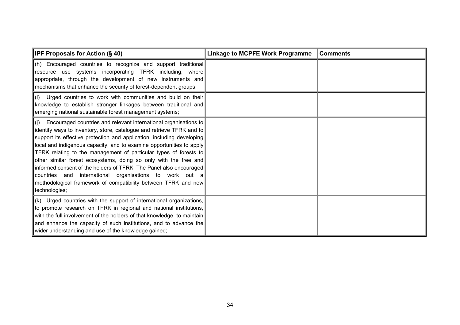| <b>IPF Proposals for Action (§ 40)</b>                                                                                                                                                                                                                                                                                                                                                                                                                                                                                                                                                                                                                               | <b>Linkage to MCPFE Work Programme</b> | <b>Comments</b> |
|----------------------------------------------------------------------------------------------------------------------------------------------------------------------------------------------------------------------------------------------------------------------------------------------------------------------------------------------------------------------------------------------------------------------------------------------------------------------------------------------------------------------------------------------------------------------------------------------------------------------------------------------------------------------|----------------------------------------|-----------------|
| $\ $ (h) Encouraged countries to recognize and support traditional<br>resource use systems incorporating TFRK including, where<br>appropriate, through the development of new instruments and<br>mechanisms that enhance the security of forest-dependent groups;                                                                                                                                                                                                                                                                                                                                                                                                    |                                        |                 |
| $\ $ (i) Urged countries to work with communities and build on their<br>knowledge to establish stronger linkages between traditional and<br>emerging national sustainable forest management systems;                                                                                                                                                                                                                                                                                                                                                                                                                                                                 |                                        |                 |
| $ $ (j) Encouraged countries and relevant international organisations to $ $<br>identify ways to inventory, store, catalogue and retrieve TFRK and to<br>support its effective protection and application, including developing<br>local and indigenous capacity, and to examine opportunities to apply<br>TFRK relating to the management of particular types of forests to<br>other similar forest ecosystems, doing so only with the free and<br>informed consent of the holders of TFRK. The Panel also encouraged<br>countries and international organisations to work out a<br>methodological framework of compatibility between TFRK and new<br>technologies; |                                        |                 |
| $\vert$ (k) Urged countries with the support of international organizations,<br>to promote research on TFRK in regional and national institutions,<br>with the full involvement of the holders of that knowledge, to maintain<br>and enhance the capacity of such institutions, and to advance the<br>wider understanding and use of the knowledge gained;                                                                                                                                                                                                                                                                                                           |                                        |                 |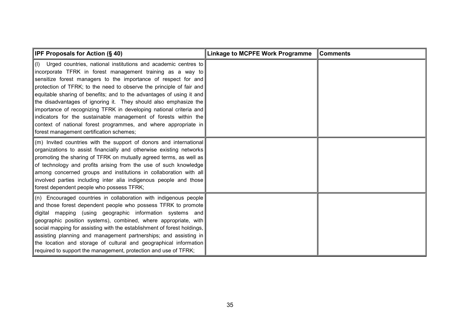| <b>IPF Proposals for Action (§ 40)</b>                                                                                                                                                                                                                                                                                                                                                                                                                                                                                                                                                                                                                                                 | <b>Linkage to MCPFE Work Programme</b> | <b>Comments</b> |
|----------------------------------------------------------------------------------------------------------------------------------------------------------------------------------------------------------------------------------------------------------------------------------------------------------------------------------------------------------------------------------------------------------------------------------------------------------------------------------------------------------------------------------------------------------------------------------------------------------------------------------------------------------------------------------------|----------------------------------------|-----------------|
| $\vert$ (I) Urged countries, national institutions and academic centres to<br>incorporate TFRK in forest management training as a way to<br>sensitize forest managers to the importance of respect for and<br>protection of TFRK; to the need to observe the principle of fair and<br>equitable sharing of benefits; and to the advantages of using it and<br>the disadvantages of ignoring it. They should also emphasize the<br>importance of recognizing TFRK in developing national criteria and<br>indicators for the sustainable management of forests within the<br>context of national forest programmes, and where appropriate in<br>forest management certification schemes; |                                        |                 |
| (m) Invited countries with the support of donors and international<br>organizations to assist financially and otherwise existing networks<br>promoting the sharing of TFRK on mutually agreed terms, as well as<br>of technology and profits arising from the use of such knowledge<br>among concerned groups and institutions in collaboration with all<br>involved parties including inter alia indigenous people and those<br>forest dependent people who possess TFRK;                                                                                                                                                                                                             |                                        |                 |
| $(n)$ Encouraged countries in collaboration with indigenous people<br>and those forest dependent people who possess TFRK to promote<br>digital mapping (using geographic information systems and<br>geographic position systems), combined, where appropriate, with<br>social mapping for assisting with the establishment of forest holdings,<br>assisting planning and management partnerships; and assisting in<br>the location and storage of cultural and geographical information<br>required to support the management, protection and use of TFRK;                                                                                                                             |                                        |                 |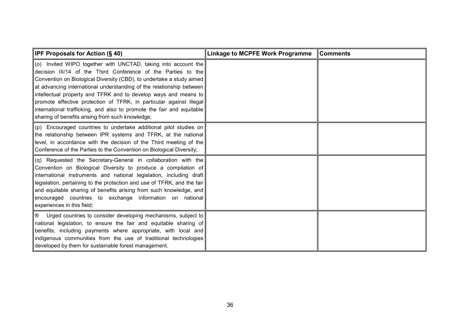| <b>IPF Proposals for Action <math>(\S 40)</math></b>                                                                                                                                                                                                                                                                                                                                                                                                                                                                                                   | <b>Linkage to MCPFE Work Programme</b> | <b>Comments</b> |
|--------------------------------------------------------------------------------------------------------------------------------------------------------------------------------------------------------------------------------------------------------------------------------------------------------------------------------------------------------------------------------------------------------------------------------------------------------------------------------------------------------------------------------------------------------|----------------------------------------|-----------------|
| (o) Invited WIPO together with UNCTAD, taking into account the<br>decision III/14 of the Third Conference of the Parties to the<br>Convention on Biological Diversity (CBD), to undertake a study aimed<br>at advancing international understanding of the relationship between<br>intellectual property and TFRK and to develop ways and means to<br>promote effective protection of TFRK, in particular against illegal<br>international trafficking, and also to promote the fair and equitable<br>sharing of benefits arising from such knowledge; |                                        |                 |
| (p) Encouraged countries to undertake additional pilot studies on<br>the relationship between IPR systems and TFRK, at the national<br>level, in accordance with the decision of the Third meeting of the<br>Conference of the Parties to the Convention on Biological Diversity;                                                                                                                                                                                                                                                                      |                                        |                 |
| (q) Requested the Secretary-General in collaboration with the<br>Convention on Biological Diversity to produce a compilation of<br>international instruments and national legislation, including draft<br>legislation, pertaining to the protection and use of TFRK, and the fair<br>and equitable sharing of benefits arising from such knowledge, and<br>encouraged countries to exchange information on national<br>experiences in this field;                                                                                                      |                                        |                 |
| $\circledR$ Urged countries to consider developing mechanisms, subject to<br>national legislation, to ensure the fair and equitable sharing of<br>benefits, including payments where appropriate, with local and<br>indigenous communities from the use of traditional technologies<br>developed by them for sustainable forest management.                                                                                                                                                                                                            |                                        |                 |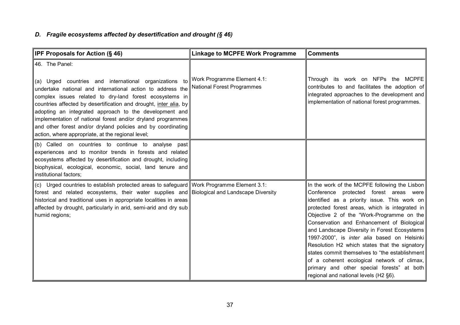### *D. Fragile ecosystems affected by desertification and drought (§ 46)*

| IPF Proposals for Action (§ 46)                                                                                                                                                                                                                                                                                                                                                                                                                                                                                      | <b>Linkage to MCPFE Work Programme</b>                           | <b>Comments</b>                                                                                                                                                                                                                                                                                                                                                                                                                                                                                                                                                                                                              |
|----------------------------------------------------------------------------------------------------------------------------------------------------------------------------------------------------------------------------------------------------------------------------------------------------------------------------------------------------------------------------------------------------------------------------------------------------------------------------------------------------------------------|------------------------------------------------------------------|------------------------------------------------------------------------------------------------------------------------------------------------------------------------------------------------------------------------------------------------------------------------------------------------------------------------------------------------------------------------------------------------------------------------------------------------------------------------------------------------------------------------------------------------------------------------------------------------------------------------------|
| 46. The Panel:<br>(a) Urged countries and international organizations to<br>undertake national and international action to address the<br>complex issues related to dry-land forest ecosystems in<br>countries affected by desertification and drought, inter alia, by<br>adopting an integrated approach to the development and<br>implementation of national forest and/or dryland programmes<br>and other forest and/or dryland policies and by coordinating<br>action, where appropriate, at the regional level; | Work Programme Element 4.1:<br><b>National Forest Programmes</b> | Through its work on NFPs the MCPFE<br>contributes to and facilitates the adoption of<br>integrated approaches to the development and<br>implementation of national forest programmes.                                                                                                                                                                                                                                                                                                                                                                                                                                        |
| (b) Called on countries to continue to analyse past<br>experiences and to monitor trends in forests and related<br>ecosystems affected by desertification and drought, including<br>biophysical, ecological, economic, social, land tenure and<br>institutional factors;                                                                                                                                                                                                                                             |                                                                  |                                                                                                                                                                                                                                                                                                                                                                                                                                                                                                                                                                                                                              |
| (c) Urged countries to establish protected areas to safeguard Work Programme Element 3.1:<br>forest and related ecosystems, their water supplies and Biological and Landscape Diversity<br>historical and traditional uses in appropriate localities in areas<br>affected by drought, particularly in arid, semi-arid and dry sub<br>humid regions;                                                                                                                                                                  |                                                                  | In the work of the MCPFE following the Lisbon<br>Conference protected forest areas were<br>identified as a priority issue. This work on<br>protected forest areas, which is integrated in<br>Objective 2 of the "Work-Programme on the<br>Conservation and Enhancement of Biological<br>and Landscape Diversity in Forest Ecosystems<br>1997-2000", is inter alia based on Helsinki<br>Resolution H2 which states that the signatory<br>states commit themselves to "the establishment<br>of a coherent ecological network of climax,<br>primary and other special forests" at both<br>regional and national levels (H2 §6). |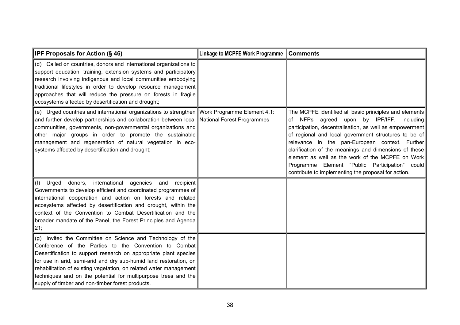| <b>IPF Proposals for Action (§ 46)</b>                                                                                                                                                                                                                                                                                                                                                                                                                   | Linkage to MCPFE Work Programme   Comments |                                                                                                                                                                                                                                                                                                                                                                                                                                                                                                   |
|----------------------------------------------------------------------------------------------------------------------------------------------------------------------------------------------------------------------------------------------------------------------------------------------------------------------------------------------------------------------------------------------------------------------------------------------------------|--------------------------------------------|---------------------------------------------------------------------------------------------------------------------------------------------------------------------------------------------------------------------------------------------------------------------------------------------------------------------------------------------------------------------------------------------------------------------------------------------------------------------------------------------------|
| (d) Called on countries, donors and international organizations to<br>support education, training, extension systems and participatory<br>research involving indigenous and local communities embodying<br>traditional lifestyles in order to develop resource management<br>approaches that will reduce the pressure on forests in fragile<br>ecosystems affected by desertification and drought;                                                       |                                            |                                                                                                                                                                                                                                                                                                                                                                                                                                                                                                   |
| (e) Urged countries and international organizations to strengthen Work Programme Element 4.1:<br>and further develop partnerships and collaboration between local National Forest Programmes<br>communities, governments, non-governmental organizations and<br>other major groups in order to promote the sustainable<br>management and regeneration of natural vegetation in eco-<br>systems affected by desertification and drought;                  |                                            | The MCPFE identified all basic principles and elements<br>NFPs agreed upon by IPF/IFF, including<br>ot<br>participation, decentralisation, as well as empowerment<br>of regional and local government structures to be of<br>relevance in the pan-European context. Further<br>clarification of the meanings and dimensions of these<br>element as well as the work of the MCPFE on Work<br>Programme Element "Public Participation" could<br>contribute to implementing the proposal for action. |
| international<br>agencies<br>(f) Urged<br>donors,<br>recipient<br>and<br>Governments to develop efficient and coordinated programmes of<br>international cooperation and action on forests and related<br>ecosystems affected by desertification and drought, within the<br>context of the Convention to Combat Desertification and the<br>broader mandate of the Panel, the Forest Principles and Agenda<br>21;                                         |                                            |                                                                                                                                                                                                                                                                                                                                                                                                                                                                                                   |
| (g) Invited the Committee on Science and Technology of the<br>Conference of the Parties to the Convention to Combat<br>Desertification to support research on appropriate plant species<br>for use in arid, semi-arid and dry sub-humid land restoration, on<br>rehabilitation of existing vegetation, on related water management<br>techniques and on the potential for multipurpose trees and the<br>supply of timber and non-timber forest products. |                                            |                                                                                                                                                                                                                                                                                                                                                                                                                                                                                                   |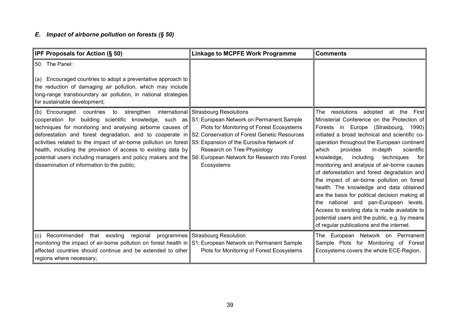## *E. Impact of airborne pollution on forests (§ 50)*

| <b>IPF Proposals for Action (§ 50)</b>                                                                                                                                                                                                                                                                                                                                                                                                                                                                                                                                                                                                                            | <b>Linkage to MCPFE Work Programme</b>                                                                                         | <b>Comments</b>                                                                                                                                                                                                                                                                                                                                                                                                                                                                                                                                                                                                                                                                                                                                                |
|-------------------------------------------------------------------------------------------------------------------------------------------------------------------------------------------------------------------------------------------------------------------------------------------------------------------------------------------------------------------------------------------------------------------------------------------------------------------------------------------------------------------------------------------------------------------------------------------------------------------------------------------------------------------|--------------------------------------------------------------------------------------------------------------------------------|----------------------------------------------------------------------------------------------------------------------------------------------------------------------------------------------------------------------------------------------------------------------------------------------------------------------------------------------------------------------------------------------------------------------------------------------------------------------------------------------------------------------------------------------------------------------------------------------------------------------------------------------------------------------------------------------------------------------------------------------------------------|
| 50. The Panel:<br>Encouraged countries to adopt a preventative approach to<br>(a)<br>the reduction of damaging air pollution, which may include<br>long-range transboundary air pollution, in national strategies<br>for sustainable development;                                                                                                                                                                                                                                                                                                                                                                                                                 |                                                                                                                                |                                                                                                                                                                                                                                                                                                                                                                                                                                                                                                                                                                                                                                                                                                                                                                |
| (b) Encouraged<br>countries to strengthen<br>cooperation for building scientific knowledge, such as S1: European Network on Permanent Sample<br>techniques for monitoring and analysing airborne causes of<br>deforestation and forest degradation, and to cooperate in S2: Conservation of Forest Genetic Resources<br>activities related to the impact of air-borne pollution on forest S5: Expansion of the Eurosilva Network of<br>health, including the provision of access to existing data by<br>potential users including managers and policy makers and the S6: European Network for Research into Forest<br>dissemination of information to the public; | international Strasbourg Resolutions<br>Plots for Monitoring of Forest Ecosystems<br>Research on Tree Physiology<br>Ecosystems | The resolutions adopted at the First<br>Ministerial Conference on the Protection of<br>Forests in Europe (Strasbourg, 1990)<br>initiated a broad technical and scientific co-<br>operation throughout the European continent<br>which<br>provides<br>in-depth<br>scientific<br>including<br>knowledge,<br>techniques<br>for l<br>monitoring and analysis of air-borne causes<br>of deforestation and forest degradation and<br>the impact of air-borne pollution on forest<br>health. The knowledge and data obtained<br>are the basis for political decision making at<br>the national and pan-European levels.<br>Access to existing data is made available to<br>potential users and the public, e.g. by means<br>of regular publications and the internet. |
| (c) Recommended that existing regional<br>monitoring the impact of air-borne pollution on forest health in S1: European Network on Permanent Sample<br>affected countries should continue and be extended to other<br>regions where necessary;                                                                                                                                                                                                                                                                                                                                                                                                                    | programmes Strasbourg Resolution<br>Plots for Monitoring of Forest Ecosystems                                                  | The European Network on Permanent<br>Sample Plots for Monitoring of Forest<br>Ecosystems covers the whole ECE-Region.                                                                                                                                                                                                                                                                                                                                                                                                                                                                                                                                                                                                                                          |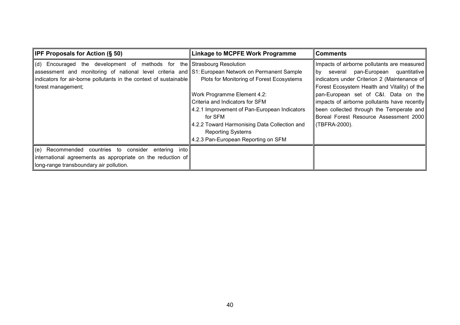| <b>IPF Proposals for Action <math>(\S 50)</math></b>                                              | <b>Linkage to MCPFE Work Programme</b>       | Comments                                     |
|---------------------------------------------------------------------------------------------------|----------------------------------------------|----------------------------------------------|
| (d) Encouraged the development of methods for the Strasbourg Resolution                           |                                              | Impacts of airborne pollutants are measured  |
| assessment and monitoring of national level criteria and S1: European Network on Permanent Sample |                                              | by several pan-European quantitative         |
| indicators for air-borne pollutants in the context of sustainable                                 | Plots for Monitoring of Forest Ecosystems    | indicators under Criterion 2 (Maintenance of |
| forest management;                                                                                |                                              | Forest Ecosystem Health and Vitality) of the |
|                                                                                                   | Work Programme Element 4.2:                  | pan-European set of C&I. Data on the         |
|                                                                                                   | Criteria and Indicators for SFM              | impacts of airborne pollutants have recently |
|                                                                                                   | 4.2.1 Improvement of Pan-European Indicators | been collected through the Temperate and     |
|                                                                                                   | for SFM                                      | Boreal Forest Resource Assessment 2000       |
|                                                                                                   | 4.2.2 Toward Harmonising Data Collection and | (TBFRA-2000).                                |
|                                                                                                   | <b>Reporting Systems</b>                     |                                              |
|                                                                                                   | 4.2.3 Pan-European Reporting on SFM          |                                              |
| $\vert$ (e) Recommended countries to consider entering into                                       |                                              |                                              |
| international agreements as appropriate on the reduction of                                       |                                              |                                              |
| long-range transboundary air pollution.                                                           |                                              |                                              |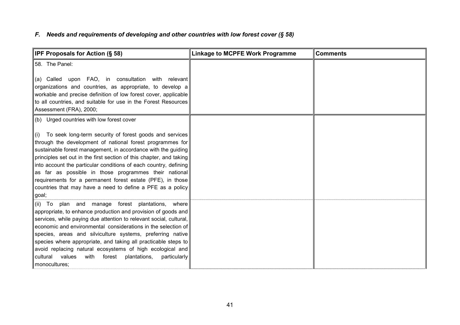## *F. Needs and requirements of developing and other countries with low forest cover (§ 58)*

| IPF Proposals for Action (§ 58)                                                                                                                                                                                                                                                                                                                                                                                                                                                                                                                    | <b>Linkage to MCPFE Work Programme</b> | <b>Comments</b> |
|----------------------------------------------------------------------------------------------------------------------------------------------------------------------------------------------------------------------------------------------------------------------------------------------------------------------------------------------------------------------------------------------------------------------------------------------------------------------------------------------------------------------------------------------------|----------------------------------------|-----------------|
| 58. The Panel:                                                                                                                                                                                                                                                                                                                                                                                                                                                                                                                                     |                                        |                 |
| upon FAO, in consultation with relevant<br>(a) Called<br>organizations and countries, as appropriate, to develop a<br>workable and precise definition of low forest cover, applicable<br>to all countries, and suitable for use in the Forest Resources<br>Assessment (FRA), 2000;                                                                                                                                                                                                                                                                 |                                        |                 |
| (b) Urged countries with low forest cover                                                                                                                                                                                                                                                                                                                                                                                                                                                                                                          |                                        |                 |
| (i) To seek long-term security of forest goods and services<br>through the development of national forest programmes for<br>sustainable forest management, in accordance with the guiding<br>principles set out in the first section of this chapter, and taking<br>into account the particular conditions of each country, defining<br>as far as possible in those programmes their national<br>requirements for a permanent forest estate (PFE), in those<br>countries that may have a need to define a PFE as a policy<br>goal,                 |                                        |                 |
| (ii) To plan and manage forest plantations,<br>where<br>appropriate, to enhance production and provision of goods and<br>services, while paying due attention to relevant social, cultural,<br>economic and environmental considerations in the selection of<br>species, areas and silviculture systems, preferring native<br>species where appropriate, and taking all practicable steps to<br>avoid replacing natural ecosystems of high ecological and<br>values<br>with<br>forest<br>plantations,<br>particularly<br>cultural<br>monocultures; |                                        |                 |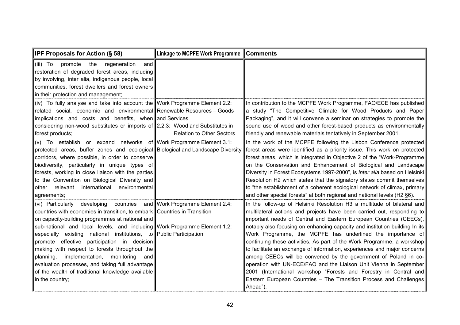| IPF Proposals for Action (§ 58)                                                                                                                                                                                                                                                                                                                                                                                                                                                                                                                                                                        | <b>Linkage to MCPFE Work Programme</b> | <b>Comments</b>                                                                                                                                                                                                                                                                                                                                                                                                                                                                                                                                                                                                                                                                                                                                                                                                            |
|--------------------------------------------------------------------------------------------------------------------------------------------------------------------------------------------------------------------------------------------------------------------------------------------------------------------------------------------------------------------------------------------------------------------------------------------------------------------------------------------------------------------------------------------------------------------------------------------------------|----------------------------------------|----------------------------------------------------------------------------------------------------------------------------------------------------------------------------------------------------------------------------------------------------------------------------------------------------------------------------------------------------------------------------------------------------------------------------------------------------------------------------------------------------------------------------------------------------------------------------------------------------------------------------------------------------------------------------------------------------------------------------------------------------------------------------------------------------------------------------|
| (iii) To<br>the<br>promote<br>regeneration<br>and<br>restoration of degraded forest areas, including<br>by involving, inter alia, indigenous people, local<br>communities, forest dwellers and forest owners<br>in their protection and management;                                                                                                                                                                                                                                                                                                                                                    |                                        |                                                                                                                                                                                                                                                                                                                                                                                                                                                                                                                                                                                                                                                                                                                                                                                                                            |
| (iv) To fully analyse and take into account the Work Programme Element 2.2:<br>related social, economic and environmental Renewable Resources - Goods<br>implications and costs and benefits, when and Services<br>considering non-wood substitutes or imports of $2.2.3$ : Wood and Substitutes in<br>forest products;                                                                                                                                                                                                                                                                                | <b>Relation to Other Sectors</b>       | In contribution to the MCPFE Work Programme, FAO/ECE has published<br>a study "The Competitive Climate for Wood Products and Paper<br>Packaging", and it will convene a seminar on strategies to promote the<br>sound use of wood and other forest-based products as environmentally<br>friendly and renewable materials tentatively in September 2001.                                                                                                                                                                                                                                                                                                                                                                                                                                                                    |
| (v) To establish or expand networks of Work Programme Element 3.1:<br>protected areas, buffer zones and ecological Biological and Landscape Diversity<br>corridors, where possible, in order to conserve<br>biodiversity, particularly in unique types of<br>forests, working in close liaison with the parties<br>to the Convention on Biological Diversity and<br>other relevant international<br>environmental<br>agreements;                                                                                                                                                                       |                                        | In the work of the MCPFE following the Lisbon Conference protected<br>forest areas were identified as a priority issue. This work on protected<br>forest areas, which is integrated in Objective 2 of the "Work-Programme<br>on the Conservation and Enhancement of Biological and Landscape<br>Diversity in Forest Ecosystems 1997-2000", is inter alia based on Helsinki<br>Resolution H2 which states that the signatory states commit themselves<br>to "the establishment of a coherent ecological network of climax, primary<br>and other special forests" at both regional and national levels (H2 §6).                                                                                                                                                                                                              |
| (vi) Particularly developing countries<br>countries with economies in transition, to embark   Countries in Transition<br>on capacity-building programmes at national and<br>sub-national and local levels, and including Work Programme Element 1.2:<br>especially existing national institutions, to Public Participation<br>promote effective participation in decision<br>making with respect to forests throughout the<br>implementation, monitoring<br>planning,<br>and<br>evaluation processes, and taking full advantage<br>of the wealth of traditional knowledge available<br>in the country; | and Work Programme Element 2.4:        | In the follow-up of Helsinki Resolution H3 a multitude of bilateral and<br>multilateral actions and projects have been carried out, responding to<br>important needs of Central and Eastern European Countries (CEECs),<br>notably also focusing on enhancing capacity and institution building In its<br>Work Programme, the MCPFE has underlined the importance of<br>continuing these activities. As part of the Work Programme, a workshop<br>to facilitate an exchange of information, experiences and major concerns<br>among CEECs will be convened by the government of Poland in co-<br>operation with UN-ECE/FAO and the Liaison Unit Vienna in September<br>2001 (International workshop "Forests and Forestry in Central and<br>Eastern European Countries - The Transition Process and Challenges<br>Ahead"). |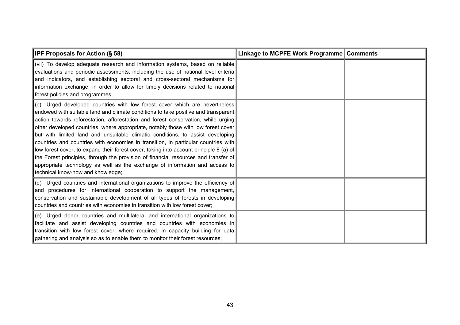| <b>IPF Proposals for Action (§ 58)</b>                                                                                                                                                                                                                                                                                                                                                                                                                                                                                                                                                                                                                                                                                                                                                                                  | Linkage to MCPFE Work Programme Comments |  |
|-------------------------------------------------------------------------------------------------------------------------------------------------------------------------------------------------------------------------------------------------------------------------------------------------------------------------------------------------------------------------------------------------------------------------------------------------------------------------------------------------------------------------------------------------------------------------------------------------------------------------------------------------------------------------------------------------------------------------------------------------------------------------------------------------------------------------|------------------------------------------|--|
| (vii) To develop adequate research and information systems, based on reliable<br>evaluations and periodic assessments, including the use of national level criteria<br>and indicators, and establishing sectoral and cross-sectoral mechanisms for<br>information exchange, in order to allow for timely decisions related to national<br>forest policies and programmes;                                                                                                                                                                                                                                                                                                                                                                                                                                               |                                          |  |
| (c) Urged developed countries with low forest cover which are nevertheless<br>endowed with suitable land and climate conditions to take positive and transparent<br>action towards reforestation, afforestation and forest conservation, while urging<br>other developed countries, where appropriate, notably those with low forest cover<br>but with limited land and unsuitable climatic conditions, to assist developing<br>countries and countries with economies in transition, in particular countries with<br>low forest cover, to expand their forest cover, taking into account principle 8 (a) of<br>the Forest principles, through the provision of financial resources and transfer of<br>appropriate technology as well as the exchange of information and access to<br>technical know-how and knowledge; |                                          |  |
| (d) Urged countries and international organizations to improve the efficiency of<br>and procedures for international cooperation to support the management,<br>conservation and sustainable development of all types of forests in developing<br>countries and countries with economies in transition with low forest cover;                                                                                                                                                                                                                                                                                                                                                                                                                                                                                            |                                          |  |
| (e) Urged donor countries and multilateral and international organizations to<br>facilitate and assist developing countries and countries with economies in<br>transition with low forest cover, where required, in capacity building for data<br>gathering and analysis so as to enable them to monitor their forest resources;                                                                                                                                                                                                                                                                                                                                                                                                                                                                                        |                                          |  |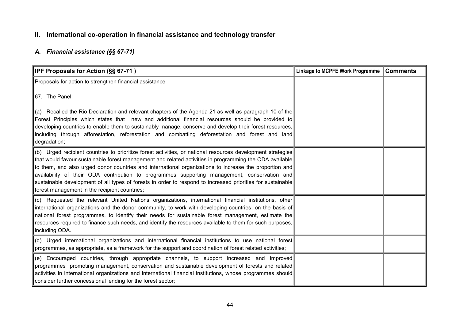# **II. International co-operation in financial assistance and technology transfer**

## *A. Financial assistance (§§ 67-71)*

| <b>IPF Proposals for Action (SS 67-71)</b>                                                                                                                                                                                                                                                                                                                                                                                                                                                                                                                                                       | <b>Linkage to MCPFE Work Programme</b> | <b>Comments</b> |
|--------------------------------------------------------------------------------------------------------------------------------------------------------------------------------------------------------------------------------------------------------------------------------------------------------------------------------------------------------------------------------------------------------------------------------------------------------------------------------------------------------------------------------------------------------------------------------------------------|----------------------------------------|-----------------|
| Proposals for action to strengthen financial assistance                                                                                                                                                                                                                                                                                                                                                                                                                                                                                                                                          |                                        |                 |
| 67. The Panel:                                                                                                                                                                                                                                                                                                                                                                                                                                                                                                                                                                                   |                                        |                 |
| (a) Recalled the Rio Declaration and relevant chapters of the Agenda 21 as well as paragraph 10 of the<br>Forest Principles which states that new and additional financial resources should be provided to<br>developing countries to enable them to sustainably manage, conserve and develop their forest resources,<br>including through afforestation, reforestation and combatting deforestation and forest and land<br>degradation;                                                                                                                                                         |                                        |                 |
| (b) Urged recipient countries to prioritize forest activities, or national resources development strategies<br>that would favour sustainable forest management and related activities in programming the ODA available<br>to them, and also urged donor countries and international organizations to increase the proportion and<br>availability of their ODA contribution to programmes supporting management, conservation and<br>sustainable development of all types of forests in order to respond to increased priorities for sustainable<br>forest management in the recipient countries; |                                        |                 |
| (c) Requested the relevant United Nations organizations, international financial institutions, other<br>international organizations and the donor community, to work with developing countries, on the basis of<br>national forest programmes, to identify their needs for sustainable forest management, estimate the<br>resources required to finance such needs, and identify the resources available to them for such purposes,<br>including ODA.                                                                                                                                            |                                        |                 |
| (d) Urged international organizations and international financial institutions to use national forest<br>programmes, as appropriate, as a framework for the support and coordination of forest related activities;                                                                                                                                                                                                                                                                                                                                                                               |                                        |                 |
| (e) Encouraged countries, through appropriate channels, to support increased and improved<br>programmes promoting management, conservation and sustainable development of forests and related<br>activities in international organizations and international financial institutions, whose programmes should<br>consider further concessional lending for the forest sector;                                                                                                                                                                                                                     |                                        |                 |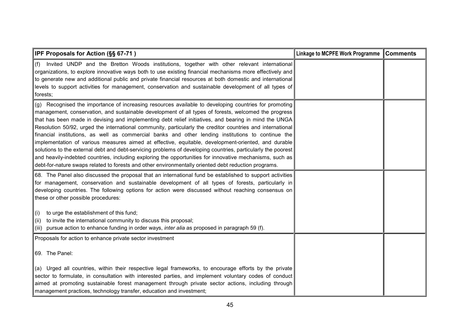| <b>IPF Proposals for Action (§§ 67-71)</b>                                                                                                                                                                                                                                                                                                                                                                                                                                                                                                                                                                                                                                                                                                                                                                                                                                                                                                                                            | Linkage to MCPFE Work Programme Comments |  |
|---------------------------------------------------------------------------------------------------------------------------------------------------------------------------------------------------------------------------------------------------------------------------------------------------------------------------------------------------------------------------------------------------------------------------------------------------------------------------------------------------------------------------------------------------------------------------------------------------------------------------------------------------------------------------------------------------------------------------------------------------------------------------------------------------------------------------------------------------------------------------------------------------------------------------------------------------------------------------------------|------------------------------------------|--|
| (f)<br>Invited UNDP and the Bretton Woods institutions, together with other relevant international<br>organizations, to explore innovative ways both to use existing financial mechanisms more effectively and<br>to generate new and additional public and private financial resources at both domestic and international<br>levels to support activities for management, conservation and sustainable development of all types of<br>forests;                                                                                                                                                                                                                                                                                                                                                                                                                                                                                                                                       |                                          |  |
| (g) Recognised the importance of increasing resources available to developing countries for promoting<br>management, conservation, and sustainable development of all types of forests, welcomed the progress<br>that has been made in devising and implementing debt relief initiatives, and bearing in mind the UNGA<br>Resolution 50/92, urged the international community, particularly the creditor countries and international<br>financial institutions, as well as commercial banks and other lending institutions to continue the<br>implementation of various measures aimed at effective, equitable, development-oriented, and durable<br>solutions to the external debt and debt-servicing problems of developing countries, particularly the poorest<br>and heavily-indebted countries, including exploring the opportunities for innovative mechanisms, such as<br>debt-for-nature swaps related to forests and other environmentally oriented debt reduction programs. |                                          |  |
| 68. The Panel also discussed the proposal that an international fund be established to support activities<br>for management, conservation and sustainable development of all types of forests, particularly in<br>developing countries. The following options for action were discussed without reaching consensus on<br>these or other possible procedures:                                                                                                                                                                                                                                                                                                                                                                                                                                                                                                                                                                                                                          |                                          |  |
| to urge the establishment of this fund;<br>(i)<br>to invite the international community to discuss this proposal;<br>(ii)<br>(iii) pursue action to enhance funding in order ways, <i>inter alia</i> as proposed in paragraph 59 (f).                                                                                                                                                                                                                                                                                                                                                                                                                                                                                                                                                                                                                                                                                                                                                 |                                          |  |
| Proposals for action to enhance private sector investment                                                                                                                                                                                                                                                                                                                                                                                                                                                                                                                                                                                                                                                                                                                                                                                                                                                                                                                             |                                          |  |
| 69. The Panel:                                                                                                                                                                                                                                                                                                                                                                                                                                                                                                                                                                                                                                                                                                                                                                                                                                                                                                                                                                        |                                          |  |
| (a) Urged all countries, within their respective legal frameworks, to encourage efforts by the private<br>sector to formulate, in consultation with interested parties, and implement voluntary codes of conduct<br>aimed at promoting sustainable forest management through private sector actions, including through<br>management practices, technology transfer, education and investment;                                                                                                                                                                                                                                                                                                                                                                                                                                                                                                                                                                                        |                                          |  |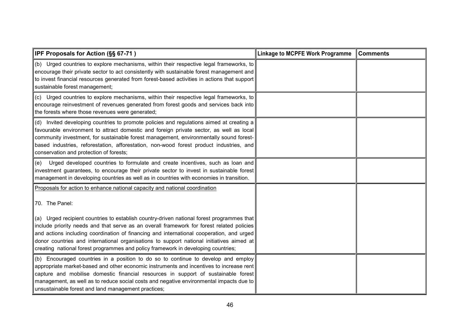| <b>IPF Proposals for Action (§§ 67-71)</b>                                                                                                                                                                                                                                                                                                                                                                                                                                                                                                                           | <b>Linkage to MCPFE Work Programme</b> | Comments |
|----------------------------------------------------------------------------------------------------------------------------------------------------------------------------------------------------------------------------------------------------------------------------------------------------------------------------------------------------------------------------------------------------------------------------------------------------------------------------------------------------------------------------------------------------------------------|----------------------------------------|----------|
| (b) Urged countries to explore mechanisms, within their respective legal frameworks, to<br>encourage their private sector to act consistently with sustainable forest management and<br>to invest financial resources generated from forest-based activities in actions that support<br>sustainable forest management;                                                                                                                                                                                                                                               |                                        |          |
| (c) Urged countries to explore mechanisms, within their respective legal frameworks, to<br>encourage reinvestment of revenues generated from forest goods and services back into<br>the forests where those revenues were generated;                                                                                                                                                                                                                                                                                                                                 |                                        |          |
| (d) Invited developing countries to promote policies and regulations aimed at creating a<br>favourable environment to attract domestic and foreign private sector, as well as local<br>community investment, for sustainable forest management, environmentally sound forest-<br>based industries, reforestation, afforestation, non-wood forest product industries, and<br>conservation and protection of forests;                                                                                                                                                  |                                        |          |
| Urged developed countries to formulate and create incentives, such as loan and<br>(e)<br>investment guarantees, to encourage their private sector to invest in sustainable forest<br>management in developing countries as well as in countries with economies in transition.                                                                                                                                                                                                                                                                                        |                                        |          |
| Proposals for action to enhance national capacity and national coordination<br>70. The Panel:<br>(a) Urged recipient countries to establish country-driven national forest programmes that<br>include priority needs and that serve as an overall framework for forest related policies<br>and actions including coordination of financing and international cooperation, and urged<br>donor countries and international organisations to support national initiatives aimed at<br>creating national forest programmes and policy framework in developing countries; |                                        |          |
| (b) Encouraged countries in a position to do so to continue to develop and employ<br>appropriate market-based and other economic instruments and incentives to increase rent<br>capture and mobilise domestic financial resources in support of sustainable forest<br>management, as well as to reduce social costs and negative environmental impacts due to<br>unsustainable forest and land management practices;                                                                                                                                                 |                                        |          |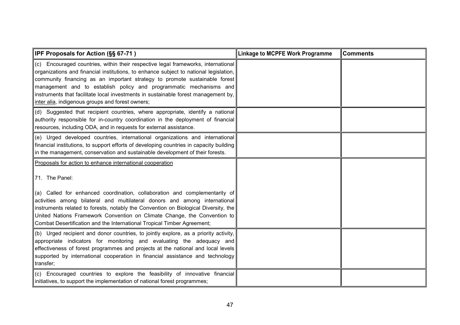| IPF Proposals for Action (§§ 67-71)                                                                                                                                                                                                                                                                                                                                                                                                                                                   | <b>Linkage to MCPFE Work Programme</b> | <b>Comments</b> |
|---------------------------------------------------------------------------------------------------------------------------------------------------------------------------------------------------------------------------------------------------------------------------------------------------------------------------------------------------------------------------------------------------------------------------------------------------------------------------------------|----------------------------------------|-----------------|
| (c) Encouraged countries, within their respective legal frameworks, international<br>organizations and financial institutions, to enhance subject to national legislation,<br>community financing as an important strategy to promote sustainable forest<br>management and to establish policy and programmatic mechanisms and<br>instruments that facilitate local investments in sustainable forest management by,<br>inter alia, indigenous groups and forest owners;              |                                        |                 |
| (d) Suggested that recipient countries, where appropriate, identify a national<br>authority responsible for in-country coordination in the deployment of financial<br>resources, including ODA, and in requests for external assistance.                                                                                                                                                                                                                                              |                                        |                 |
| (e) Urged developed countries, international organizations and international<br>financial institutions, to support efforts of developing countries in capacity building<br>in the management, conservation and sustainable development of their forests.                                                                                                                                                                                                                              |                                        |                 |
| Proposals for action to enhance international cooperation<br>71. The Panel:<br>(a) Called for enhanced coordination, collaboration and complementarity of<br>activities among bilateral and multilateral donors and among international<br>instruments related to forests, notably the Convention on Biological Diversity, the<br>United Nations Framework Convention on Climate Change, the Convention to<br>Combat Desertification and the International Tropical Timber Agreement; |                                        |                 |
| (b) Urged recipient and donor countries, to jointly explore, as a priority activity,<br>appropriate indicators for monitoring and evaluating the adequacy and<br>effectiveness of forest programmes and projects at the national and local levels<br>supported by international cooperation in financial assistance and technology<br>transfer;                                                                                                                                       |                                        |                 |
| (c) Encouraged countries to explore the feasibility of innovative financial<br>initiatives, to support the implementation of national forest programmes;                                                                                                                                                                                                                                                                                                                              |                                        |                 |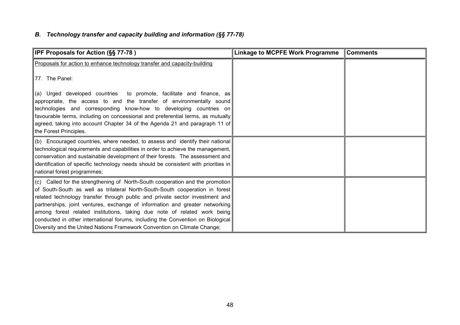# *B. Technology transfer and capacity building and information (§§ 77-78)*

| <b>IPF Proposals for Action (§§ 77-78)</b>                                                                                                                                                                                                                                                                                                                                                                                                                                                                                                                               | <b>Linkage to MCPFE Work Programme</b> | <b>Comments</b> |
|--------------------------------------------------------------------------------------------------------------------------------------------------------------------------------------------------------------------------------------------------------------------------------------------------------------------------------------------------------------------------------------------------------------------------------------------------------------------------------------------------------------------------------------------------------------------------|----------------------------------------|-----------------|
| Proposals for action to enhance technology transfer and capacity-building                                                                                                                                                                                                                                                                                                                                                                                                                                                                                                |                                        |                 |
| 77. The Panel:                                                                                                                                                                                                                                                                                                                                                                                                                                                                                                                                                           |                                        |                 |
| (a) Urged developed countries to promote, facilitate and finance, as<br>appropriate, the access to and the transfer of environmentally sound<br>technologies and corresponding know-how to developing countries on<br>favourable terms, including on concessional and preferential terms, as mutually<br>agreed, taking into account Chapter 34 of the Agenda 21 and paragraph 11 of<br>the Forest Principles.                                                                                                                                                           |                                        |                 |
| (b) Encouraged countries, where needed, to assess and identify their national<br>technological requirements and capabilities in order to achieve the management,<br>conservation and sustainable development of their forests. The assessment and<br>identification of specific technology needs should be consistent with priorities in                                                                                                                                                                                                                                 |                                        |                 |
| national forest programmes;                                                                                                                                                                                                                                                                                                                                                                                                                                                                                                                                              |                                        |                 |
| (c) Called for the strengthening of North-South cooperation and the promotion<br>of South-South as well as trilateral North-South-South cooperation in forest<br>related technology transfer through public and private sector investment and<br>partnerships, joint ventures, exchange of information and greater networking<br>among forest related institutions, taking due note of related work being<br>conducted in other international forums, including the Convention on Biological<br>Diversity and the United Nations Framework Convention on Climate Change; |                                        |                 |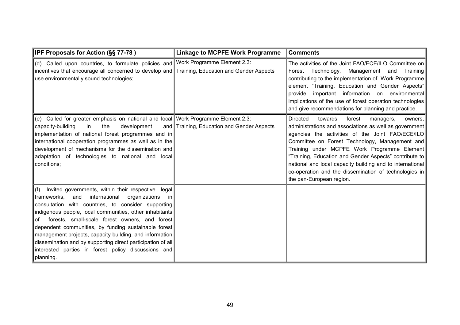| <b>IPF Proposals for Action (§§ 77-78)</b>                                                                                                                                                                                                                                                                                                                                                                                                                                                                                                                    | <b>Linkage to MCPFE Work Programme</b>     | <b>Comments</b>                                                                                                                                                                                                                                                                                                                                                                                                                                                                         |
|---------------------------------------------------------------------------------------------------------------------------------------------------------------------------------------------------------------------------------------------------------------------------------------------------------------------------------------------------------------------------------------------------------------------------------------------------------------------------------------------------------------------------------------------------------------|--------------------------------------------|-----------------------------------------------------------------------------------------------------------------------------------------------------------------------------------------------------------------------------------------------------------------------------------------------------------------------------------------------------------------------------------------------------------------------------------------------------------------------------------------|
| ∥(d) Called upon countries, to formulate policies and Work Programme Element 2.3:<br>incentives that encourage all concerned to develop and Training, Education and Gender Aspects<br>use environmentally sound technologies;                                                                                                                                                                                                                                                                                                                                 |                                            | The activities of the Joint FAO/ECE/ILO Committee on<br>Forest Technology, Management and<br>Training<br>contributing to the implementation of Work Programme<br>element "Training, Education and Gender Aspects"<br>provide important information on environmental<br>implications of the use of forest operation technologies<br>and give recommendations for planning and practice.                                                                                                  |
| (e) Called for greater emphasis on national and local Work Programme Element 2.3:<br>capacity-building<br>the<br>development<br>in<br>implementation of national forest programmes and in<br>international cooperation programmes as well as in the<br>development of mechanisms for the dissemination and<br>adaptation of technologies to national and local<br>conditions;                                                                                                                                                                                 | and Training, Education and Gender Aspects | <b>Directed</b><br>towards<br>forest<br>managers,<br>owners.<br>administrations and associations as well as government<br>agencies the activities of the Joint FAO/ECE/ILO<br>Committee on Forest Technology, Management and<br>Training under MCPFE Work Programme Element<br>"Training, Education and Gender Aspects" contribute to<br>national and local capacity building and to international<br>co-operation and the dissemination of technologies in<br>the pan-European region. |
| $\ $ (f) Invited governments, within their respective legal<br>international<br> frameworks,<br>and<br>organizations<br>-in l<br>consultation with countries, to consider supporting<br>indigenous people, local communities, other inhabitants<br>forests, small-scale forest owners, and forest<br>of<br>dependent communities, by funding sustainable forest<br>management projects, capacity building, and information<br>dissemination and by supporting direct participation of all<br>interested parties in forest policy discussions and<br>planning. |                                            |                                                                                                                                                                                                                                                                                                                                                                                                                                                                                         |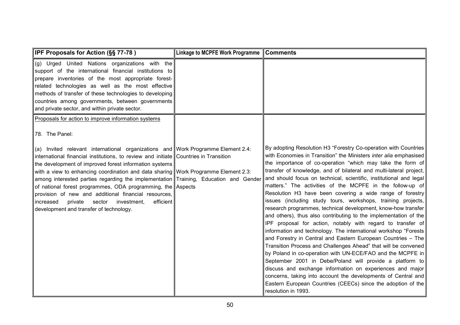| IPF Proposals for Action (§§ 77-78)                                                                                                                                                                                                                                                                                                                                                                                                                                                                                                                                                                                                              | <b>Linkage to MCPFE Work Programme</b> | <b>Comments</b>                                                                                                                                                                                                                                                                                                                                                                                                                                                                                                                                                                                                                                                                                                                                                                                                                                                                                                                                                                                                                                                                                                                                                                                                                                                                                         |
|--------------------------------------------------------------------------------------------------------------------------------------------------------------------------------------------------------------------------------------------------------------------------------------------------------------------------------------------------------------------------------------------------------------------------------------------------------------------------------------------------------------------------------------------------------------------------------------------------------------------------------------------------|----------------------------------------|---------------------------------------------------------------------------------------------------------------------------------------------------------------------------------------------------------------------------------------------------------------------------------------------------------------------------------------------------------------------------------------------------------------------------------------------------------------------------------------------------------------------------------------------------------------------------------------------------------------------------------------------------------------------------------------------------------------------------------------------------------------------------------------------------------------------------------------------------------------------------------------------------------------------------------------------------------------------------------------------------------------------------------------------------------------------------------------------------------------------------------------------------------------------------------------------------------------------------------------------------------------------------------------------------------|
| (g) Urged United Nations organizations with the<br>support of the international financial institutions to<br>prepare inventories of the most appropriate forest-<br>related technologies as well as the most effective<br>methods of transfer of these technologies to developing<br>countries among governments, between governments<br>and private sector, and within private sector.                                                                                                                                                                                                                                                          |                                        |                                                                                                                                                                                                                                                                                                                                                                                                                                                                                                                                                                                                                                                                                                                                                                                                                                                                                                                                                                                                                                                                                                                                                                                                                                                                                                         |
| Proposals for action to improve information systems                                                                                                                                                                                                                                                                                                                                                                                                                                                                                                                                                                                              |                                        |                                                                                                                                                                                                                                                                                                                                                                                                                                                                                                                                                                                                                                                                                                                                                                                                                                                                                                                                                                                                                                                                                                                                                                                                                                                                                                         |
| 78. The Panel:                                                                                                                                                                                                                                                                                                                                                                                                                                                                                                                                                                                                                                   |                                        |                                                                                                                                                                                                                                                                                                                                                                                                                                                                                                                                                                                                                                                                                                                                                                                                                                                                                                                                                                                                                                                                                                                                                                                                                                                                                                         |
| (a) Invited relevant international organizations and Work Programme Element 2.4:<br>international financial institutions, to review and initiate Countries in Transition<br>the development of improved forest information systems<br>with a view to enhancing coordination and data sharing Work Programme Element 2.3:<br>among interested parties regarding the implementation Training, Education and Gender<br>of national forest programmes, ODA programming, the Aspects<br>provision of new and additional financial resources,<br>efficient<br>private<br>sector<br>investment,<br>increased<br>development and transfer of technology. |                                        | By adopting Resolution H3 "Forestry Co-operation with Countries<br>with Economies in Transition" the Ministers <i>inter alia</i> emphasised<br>the importance of co-operation "which may take the form of<br>transfer of knowledge, and of bilateral and multi-lateral project,<br>and should focus on technical, scientific, institutional and legal<br>matters." The activities of the MCPFE in the follow-up of<br>Resolution H3 have been covering a wide range of forestry<br>issues (including study tours, workshops, training projects,<br>research programmes, technical development, know-how transfer<br>and others), thus also contributing to the implementation of the<br>IPF proposal for action, notably with regard to transfer of<br>information and technology. The international workshop "Forests<br>and Forestry in Central and Eastern European Countries - The<br>Transition Process and Challenges Ahead" that will be convened<br>by Poland in co-operation with UN-ECE/FAO and the MCPFE in<br>September 2001 in Debe/Poland will provide a platform to<br>discuss and exchange information on experiences and major<br>concerns, taking into account the developments of Central and<br>Eastern European Countries (CEECs) since the adoption of the<br>resolution in 1993. |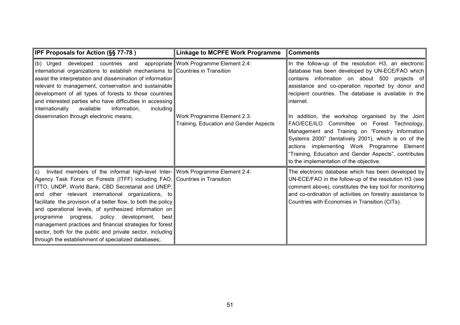| <b>IPF Proposals for Action (§§ 77-78)</b>                                                                                                                                                                                                                                                                                                                                                                                                                                                                                                                                                                                                       | <b>Linkage to MCPFE Work Programme</b>                                | <b>Comments</b>                                                                                                                                                                                                                                                                                                                                                |
|--------------------------------------------------------------------------------------------------------------------------------------------------------------------------------------------------------------------------------------------------------------------------------------------------------------------------------------------------------------------------------------------------------------------------------------------------------------------------------------------------------------------------------------------------------------------------------------------------------------------------------------------------|-----------------------------------------------------------------------|----------------------------------------------------------------------------------------------------------------------------------------------------------------------------------------------------------------------------------------------------------------------------------------------------------------------------------------------------------------|
| developed countries and appropriate Work Programme Element 2.4:<br>(b) Urged<br>international organizations to establish mechanisms to Countries in Transition<br>assist the interpretation and dissemination of information<br>relevant to management, conservation and sustainable<br>development of all types of forests to those countries<br>and interested parties who have difficulties in accessing<br>internationally<br>available<br>information,<br>including                                                                                                                                                                         |                                                                       | In the follow-up of the resolution H3, an electronic<br>database has been developed by UN-ECE/FAO which<br>contains information on about 500 projects of<br>assistance and co-operation reported by donor and<br>recipient countries. The database is available in the<br>internet.                                                                            |
| dissemination through electronic means;                                                                                                                                                                                                                                                                                                                                                                                                                                                                                                                                                                                                          | Work Programme Element 2.3:<br>Training, Education and Gender Aspects | In addition, the workshop organised by the Joint<br>FAO/ECE/ILO Committee on Forest Technology,<br>Management and Training on "Forestry Information<br>Systems 2000" (tentatively 2001), which is on of the<br>actions implementing Work Programme Element<br>"Training, Education and Gender Aspects", contributes<br>to the implementation of the objective. |
| Invited members of the informal high-level Inter- Work Programme Element 2.4:<br>lc).<br>Agency Task Force on Forests (ITFF) including FAO, Countries in Transition<br>ITTO, UNDP, World Bank, CBD Secretariat and UNEP,<br>and other relevant international organizations, to<br>facilitate the provision of a better flow, to both the policy<br>and operational levels, of synthesized information on<br>progress, policy development,<br>programme<br>best l<br>management practices and financial strategies for forest<br>sector, both for the public and private sector, including<br>through the establishment of specialized databases; |                                                                       | The electronic database which has been developed by<br>UN-ECE/FAO in the follow-up of the resolution H3 (see<br>comment above), constitutes the key tool for monitoring<br>and co-ordination of activities on forestry assistance to<br>Countries with Economies in Transition (CITs).                                                                         |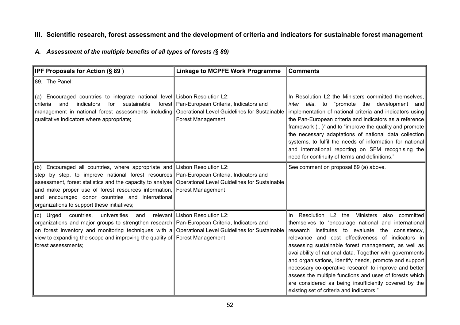# **III. Scientific research, forest assessment and the development of criteria and indicators for sustainable forest management**

### *A. Assessment of the multiple benefits of all types of forests (§ 89)*

| IPF Proposals for Action (§ 89)                                                                                                                                                                                                                                                                                                                                                                                                                              | <b>Linkage to MCPFE Work Programme</b>                            | <b>Comments</b>                                                                                                                                                                                                                                                                                                                                                                                                                                                                                                                                                                                                         |
|--------------------------------------------------------------------------------------------------------------------------------------------------------------------------------------------------------------------------------------------------------------------------------------------------------------------------------------------------------------------------------------------------------------------------------------------------------------|-------------------------------------------------------------------|-------------------------------------------------------------------------------------------------------------------------------------------------------------------------------------------------------------------------------------------------------------------------------------------------------------------------------------------------------------------------------------------------------------------------------------------------------------------------------------------------------------------------------------------------------------------------------------------------------------------------|
| 89. The Panel:<br>(a) Encouraged countries to integrate national level Lisbon Resolution L2:<br>indicators<br>for<br>sustainable<br>criteria<br>and<br>management in national forest assessments including Operational Level Guidelines for Sustainable<br>qualitative indicators where appropriate;                                                                                                                                                         | forest Pan-European Criteria, Indicators and<br>Forest Management | In Resolution L2 the Ministers committed themselves,<br>inter alia, to "promote the development and<br>implementation of national criteria and indicators using<br>the Pan-European criteria and indicators as a reference<br>framework ()" and to "improve the quality and promote<br>the necessary adaptations of national data collection<br>systems, to fulfil the needs of information for national<br>and international reporting on SFM recognising the<br>need for continuity of terms and definitions."                                                                                                        |
| (b) Encouraged all countries, where appropriate and Lisbon Resolution L2:<br>step by step, to improve national forest resources Pan-European Criteria, Indicators and<br>assessment, forest statistics and the capacity to analyse Operational Level Guidelines for Sustainable<br>and make proper use of forest resources information, Forest Management<br>and encouraged donor countries and international<br>organizations to support these initiatives; |                                                                   | See comment on proposal 89 (a) above.                                                                                                                                                                                                                                                                                                                                                                                                                                                                                                                                                                                   |
| universities<br>(c) Urged<br>countries,<br>and<br>organizations and major groups to strengthen research Pan-European Criteria, Indicators and<br>on forest inventory and monitoring techniques with a Operational Level Guidelines for Sustainable<br>view to expanding the scope and improving the quality of Forest Management<br>forest assessments;                                                                                                      | relevant Lisbon Resolution L2:                                    | In Resolution L2 the Ministers also committed<br>themselves to "encourage national and international<br>research institutes to evaluate the<br>consistency,<br>relevance and cost effectiveness of indicators in<br>assessing sustainable forest management, as well as<br>availability of national data. Together with governments<br>and organisations, identify needs, promote and support<br>necessary co-operative research to improve and better<br>assess the multiple functions and uses of forests which<br>are considered as being insufficiently covered by the<br>existing set of criteria and indicators." |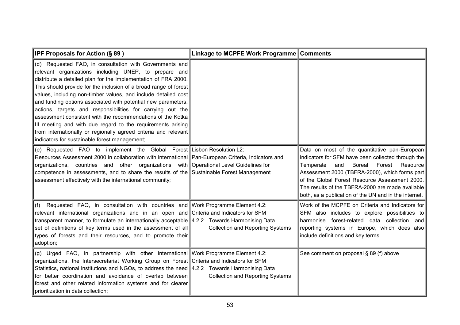| <b>IPF Proposals for Action (§ 89)</b>                                                                                                                                                                                                                                                                                                                                                                                                                                                                                                                                                                                                                                                                    | Linkage to MCPFE Work Programme Comments |                                                                                                                                                                                                                                                                                                                                                                          |
|-----------------------------------------------------------------------------------------------------------------------------------------------------------------------------------------------------------------------------------------------------------------------------------------------------------------------------------------------------------------------------------------------------------------------------------------------------------------------------------------------------------------------------------------------------------------------------------------------------------------------------------------------------------------------------------------------------------|------------------------------------------|--------------------------------------------------------------------------------------------------------------------------------------------------------------------------------------------------------------------------------------------------------------------------------------------------------------------------------------------------------------------------|
| (d) Requested FAO, in consultation with Governments and<br>relevant organizations including UNEP, to prepare and<br>distribute a detailed plan for the implementation of FRA 2000.<br>This should provide for the inclusion of a broad range of forest<br>values, including non-timber values, and include detailed cost<br>and funding options associated with potential new parameters,<br>actions, targets and responsibilities for carrying out the<br>assessment consistent with the recommendations of the Kotka<br>III meeting and with due regard to the requirements arising<br>from internationally or regionally agreed criteria and relevant<br>indicators for sustainable forest management; |                                          |                                                                                                                                                                                                                                                                                                                                                                          |
| (e) Requested FAO to implement the Global Forest Lisbon Resolution L2:<br>Resources Assessment 2000 in collaboration with international Pan-European Criteria, Indicators and<br>organizations, countries and other organizations with Operational Level Guidelines for<br>competence in assessments, and to share the results of the Sustainable Forest Management<br>assessment effectively with the international community;                                                                                                                                                                                                                                                                           |                                          | Data on most of the quantitative pan-European<br>indicators for SFM have been collected through the<br>Forest<br>Boreal<br>Resource<br>Temperate<br>and<br>Assessment 2000 (TBFRA-2000), which forms part<br>of the Global Forest Resource Assessment 2000.<br>The results of the TBFRA-2000 are made available<br>both, as a publication of the UN and in the internet. |
| (f) Requested FAO, in consultation with countries and Work Programme Element 4.2:<br>relevant international organizations and in an open and Criteria and Indicators for SFM<br>transparent manner, to formulate an internationally acceptable   4.2.2 Towards Harmonising Data<br>set of definitions of key terms used in the assessment of all<br>types of forests and their resources, and to promote their<br>adoption;                                                                                                                                                                                                                                                                               | <b>Collection and Reporting Systems</b>  | Work of the MCPFE on Criteria and Indicators for<br>SFM also includes to explore possibilities to<br>harmonise forest-related data collection<br>and<br>reporting systems in Europe, which does also<br>include definitions and key terms.                                                                                                                               |
| (g) Urged FAO, in partnership with other international Work Programme Element 4.2:<br>organizations, the Intersecretariat Working Group on Forest Criteria and Indicators for SFM<br>Statistics, national institutions and NGOs, to address the need 4.2.2 Towards Harmonising Data<br>for better coordination and avoidance of overlap between<br>forest and other related information systems and for clearer<br>prioritization in data collection;                                                                                                                                                                                                                                                     | <b>Collection and Reporting Systems</b>  | See comment on proposal § 89 (f) above                                                                                                                                                                                                                                                                                                                                   |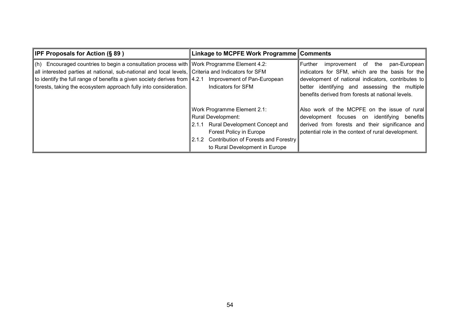| <b>IPF Proposals for Action (§ 89)</b>                                                                    | Linkage to MCPFE Work Programme Comments   |                                                     |
|-----------------------------------------------------------------------------------------------------------|--------------------------------------------|-----------------------------------------------------|
| $\vert$ (h) Encouraged countries to begin a consultation process with $\vert$ Work Programme Element 4.2: |                                            | l Further<br>improvement of the<br>pan-European     |
| all interested parties at national, sub-national and local levels, Criteria and Indicators for SFM        |                                            | indicators for SFM, which are the basis for the     |
| to identify the full range of benefits a given society derives from $\parallel$ 4.2.1                     | Improvement of Pan-European                | development of national indicators, contributes to  |
| forests, taking the ecosystem approach fully into consideration.                                          | Indicators for SFM                         | better identifying and assessing the multiple       |
|                                                                                                           |                                            | benefits derived from forests at national levels.   |
|                                                                                                           |                                            |                                                     |
|                                                                                                           | Work Programme Element 2.1:                | Also work of the MCPFE on the issue of rural        |
|                                                                                                           | Rural Development:                         | development focuses on identifying<br>benefits      |
|                                                                                                           | Rural Development Concept and<br>2.1.1     | derived from forests and their significance and     |
|                                                                                                           | Forest Policy in Europe                    | potential role in the context of rural development. |
|                                                                                                           | 2.1.2 Contribution of Forests and Forestry |                                                     |
|                                                                                                           | to Rural Development in Europe             |                                                     |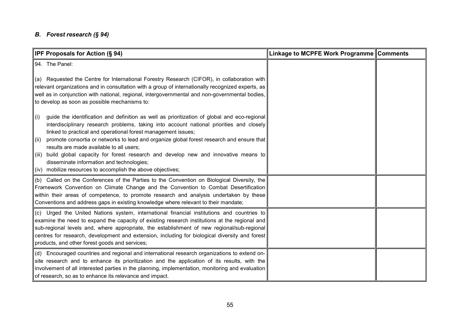#### *B. Forest research (§ 94)*

| IPF Proposals for Action (§ 94)                                                                                                                                                                                                                                                                                                                                                                                                               | Linkage to MCPFE Work Programme Comments |  |
|-----------------------------------------------------------------------------------------------------------------------------------------------------------------------------------------------------------------------------------------------------------------------------------------------------------------------------------------------------------------------------------------------------------------------------------------------|------------------------------------------|--|
| 94. The Panel:                                                                                                                                                                                                                                                                                                                                                                                                                                |                                          |  |
| (a) Requested the Centre for International Forestry Research (CIFOR), in collaboration with<br>relevant organizations and in consultation with a group of internationally recognized experts, as<br>well as in conjunction with national, regional, intergovernmental and non-governmental bodies,<br>to develop as soon as possible mechanisms to:                                                                                           |                                          |  |
| guide the identification and definition as well as prioritization of global and eco-regional<br>(i)<br>interdisciplinary research problems, taking into account national priorities and closely<br>linked to practical and operational forest management issues;                                                                                                                                                                              |                                          |  |
| promote consortia or networks to lead and organize global forest research and ensure that<br>(ii)<br>results are made available to all users;                                                                                                                                                                                                                                                                                                 |                                          |  |
| build global capacity for forest research and develop new and innovative means to<br>(iii)<br>disseminate information and technologies;<br>(iv) mobilize resources to accomplish the above objectives;                                                                                                                                                                                                                                        |                                          |  |
| (b) Called on the Conferences of the Parties to the Convention on Biological Diversity, the<br>Framework Convention on Climate Change and the Convention to Combat Desertification<br>within their areas of competence, to promote research and analysis undertaken by these<br>Conventions and address gaps in existing knowledge where relevant to their mandate;                                                                           |                                          |  |
| (c) Urged the United Nations system, international financial institutions and countries to<br>examine the need to expand the capacity of existing research institutions at the regional and<br>sub-regional levels and, where appropriate, the establishment of new regional/sub-regional<br>centres for research, development and extension, including for biological diversity and forest<br>products, and other forest goods and services; |                                          |  |
| (d) Encouraged countries and regional and international research organizations to extend on-<br>site research and to enhance its prioritization and the application of its results, with the<br>involvement of all interested parties in the planning, implementation, monitoring and evaluation<br>of research, so as to enhance its relevance and impact.                                                                                   |                                          |  |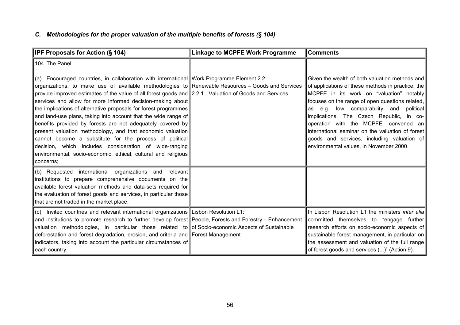## *C. Methodologies for the proper valuation of the multiple benefits of forests (§ 104)*

| <b>IPF Proposals for Action (§ 104)</b>                                                                                                                                                                                                                                                                                                                                                                                                                                                                                                                                                                                                                                                                                                                                                                                                     | <b>Linkage to MCPFE Work Programme</b> | <b>Comments</b>                                                                                                                                                                                                                                                                                                                                                                                                                                                                    |
|---------------------------------------------------------------------------------------------------------------------------------------------------------------------------------------------------------------------------------------------------------------------------------------------------------------------------------------------------------------------------------------------------------------------------------------------------------------------------------------------------------------------------------------------------------------------------------------------------------------------------------------------------------------------------------------------------------------------------------------------------------------------------------------------------------------------------------------------|----------------------------------------|------------------------------------------------------------------------------------------------------------------------------------------------------------------------------------------------------------------------------------------------------------------------------------------------------------------------------------------------------------------------------------------------------------------------------------------------------------------------------------|
| 104. The Panel:                                                                                                                                                                                                                                                                                                                                                                                                                                                                                                                                                                                                                                                                                                                                                                                                                             |                                        |                                                                                                                                                                                                                                                                                                                                                                                                                                                                                    |
| (a) Encouraged countries, in collaboration with international Work Programme Element 2.2:<br>organizations, to make use of available methodologies to Renewable Resources – Goods and Services<br>provide improved estimates of the value of all forest goods and 2.2.1. Valuation of Goods and Services<br>services and allow for more informed decision-making about<br>the implications of alternative proposals for forest programmes<br>and land-use plans, taking into account that the wide range of<br>benefits provided by forests are not adequately covered by<br>present valuation methodology, and that economic valuation<br>cannot become a substitute for the process of political<br>decision, which includes consideration of wide-ranging<br>environmental, socio-economic, ethical, cultural and religious<br>concerns; |                                        | Given the wealth of both valuation methods and<br>of applications of these methods in practice, the<br>MCPFE in its work on "valuation" notably<br>focuses on the range of open questions related,<br>e.g. low comparability and political<br>as<br>implications. The Czech Republic, in co-<br>operation with the MCPFE, convened an<br>international seminar on the valuation of forest<br>goods and services, including valuation of<br>environmental values, in November 2000. |
| (b) Requested international organizations and relevant<br>institutions to prepare comprehensive documents on the<br>available forest valuation methods and data-sets required for<br>the evaluation of forest goods and services, in particular those<br>that are not traded in the market place;                                                                                                                                                                                                                                                                                                                                                                                                                                                                                                                                           |                                        |                                                                                                                                                                                                                                                                                                                                                                                                                                                                                    |
| (c) Invited countries and relevant international organizations Lisbon Resolution L1:<br>and institutions to promote research to further develop forest People, Forests and Forestry – Enhancement<br>valuation methodologies, in particular those related to of Socio-economic Aspects of Sustainable<br>deforestation and forest degradation, erosion, and criteria and Forest Management<br>indicators, taking into account the particular circumstances of<br>each country.                                                                                                                                                                                                                                                                                                                                                              |                                        | In Lisbon Resolution L1 the ministers inter alia<br>committed themselves to "engage further<br>research efforts on socio-economic aspects of<br>sustainable forest management, in particular on<br>the assessment and valuation of the full range<br>of forest goods and services ()" (Action 9).                                                                                                                                                                                  |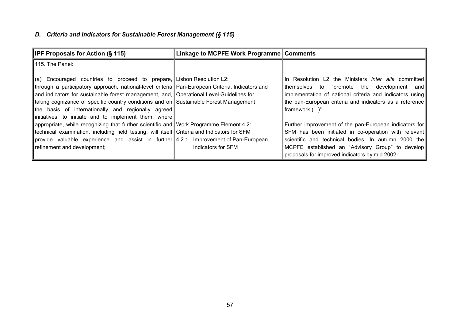## *D. Criteria and Indicators for Sustainable Forest Management (§ 115)*

| <b>IPF Proposals for Action (§ 115)</b>                                                                                                                                                                                                                                                                                                                                                                                                                                          | Linkage to MCPFE Work Programme Comments |                                                                                                                                                                                                                                                                            |
|----------------------------------------------------------------------------------------------------------------------------------------------------------------------------------------------------------------------------------------------------------------------------------------------------------------------------------------------------------------------------------------------------------------------------------------------------------------------------------|------------------------------------------|----------------------------------------------------------------------------------------------------------------------------------------------------------------------------------------------------------------------------------------------------------------------------|
| 1115. The Panel:                                                                                                                                                                                                                                                                                                                                                                                                                                                                 |                                          |                                                                                                                                                                                                                                                                            |
| $\alpha$ Encouraged countries to proceed to prepare, Lisbon Resolution L2:<br>through a participatory approach, national-level criteria Pan-European Criteria, Indicators and<br>and indicators for sustainable forest management, and, Operational Level Guidelines for<br>taking cognizance of specific country conditions and on Sustainable Forest Management<br>the basis of internationally and regionally agreed<br>initiatives, to initiate and to implement them, where |                                          | In Resolution L2 the Ministers <i>inter alia</i> committed<br>themselves to "promote the development and<br>implementation of national criteria and indicators using<br>the pan-European criteria and indicators as a reference<br>framework ()".                          |
| appropriate, while recognizing that further scientific and   Work Programme Element 4.2:<br>technical examination, including field testing, will itself Criteria and Indicators for SFM<br>provide valuable experience and assist in further $4.2.1$ Improvement of Pan-European<br>refinement and development;                                                                                                                                                                  | Indicators for SFM                       | Further improvement of the pan-European indicators for<br>SFM has been initiated in co-operation with relevant<br>scientific and technical bodies. In autumn 2000 the<br>MCPFE established an "Advisory Group" to develop<br>proposals for improved indicators by mid 2002 |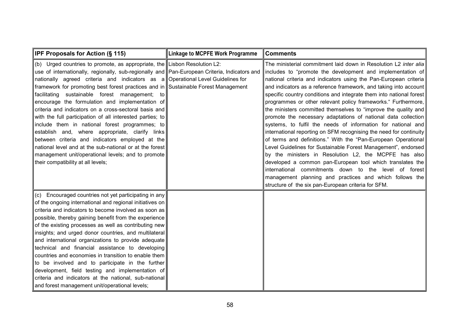| <b>IPF Proposals for Action (§ 115)</b>                                                                                                                                                                                                                                                                                                                                                                                                                                                                                                                                                                                                                                                                                                                                                                                                                       | <b>Linkage to MCPFE Work Programme</b> | <b>Comments</b>                                                                                                                                                                                                                                                                                                                                                                                                                                                                                                                                                                                                                                                                                                                                                                                                                                                                                                                                                                                                                                                                                                            |
|---------------------------------------------------------------------------------------------------------------------------------------------------------------------------------------------------------------------------------------------------------------------------------------------------------------------------------------------------------------------------------------------------------------------------------------------------------------------------------------------------------------------------------------------------------------------------------------------------------------------------------------------------------------------------------------------------------------------------------------------------------------------------------------------------------------------------------------------------------------|----------------------------------------|----------------------------------------------------------------------------------------------------------------------------------------------------------------------------------------------------------------------------------------------------------------------------------------------------------------------------------------------------------------------------------------------------------------------------------------------------------------------------------------------------------------------------------------------------------------------------------------------------------------------------------------------------------------------------------------------------------------------------------------------------------------------------------------------------------------------------------------------------------------------------------------------------------------------------------------------------------------------------------------------------------------------------------------------------------------------------------------------------------------------------|
| (b) Urged countries to promote, as appropriate, the Lisbon Resolution L2:<br>use of internationally, regionally, sub-regionally and Pan-European Criteria, Indicators and<br>nationally agreed criteria and indicators as $a$<br>framework for promoting best forest practices and in Sustainable Forest Management<br>facilitating sustainable forest management; to<br>encourage the formulation and implementation of<br>criteria and indicators on a cross-sectoral basis and<br>with the full participation of all interested parties; to<br>include them in national forest programmes; to<br>establish and, where appropriate, clarify links<br>between criteria and indicators employed at the<br>national level and at the sub-national or at the forest<br>management unit/operational levels; and to promote<br>their compatibility at all levels; | Operational Level Guidelines for       | The ministerial commitment laid down in Resolution L2 inter alia<br>includes to "promote the development and implementation of<br>national criteria and indicators using the Pan-European criteria<br>and indicators as a reference framework, and taking into account<br>specific country conditions and integrate them into national forest<br>programmes or other relevant policy frameworks." Furthermore,<br>the ministers committed themselves to "improve the quality and<br>promote the necessary adaptations of national data collection<br>systems, to fulfil the needs of information for national and<br>international reporting on SFM recognising the need for continuity<br>of terms and definitions." With the "Pan-European Operational<br>Level Guidelines for Sustainable Forest Management", endorsed<br>by the ministers in Resolution L2, the MCPFE has also<br>developed a common pan-European tool which translates the<br>international commitments down to the level of forest<br>management planning and practices and which follows the<br>structure of the six pan-European criteria for SFM. |
| (c) Encouraged countries not yet participating in any<br>of the ongoing international and regional initiatives on<br>criteria and indicators to become involved as soon as<br>possible, thereby gaining benefit from the experience<br>of the existing processes as well as contributing new<br>insights; and urged donor countries, and multilateral<br>and international organizations to provide adequate<br>technical and financial assistance to developing<br>countries and economies in transition to enable them<br>to be involved and to participate in the further<br>development, field testing and implementation of<br>criteria and indicators at the national, sub-national<br>and forest management unit/operational levels;                                                                                                                   |                                        |                                                                                                                                                                                                                                                                                                                                                                                                                                                                                                                                                                                                                                                                                                                                                                                                                                                                                                                                                                                                                                                                                                                            |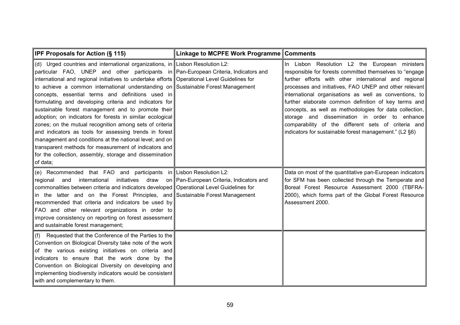| IPF Proposals for Action (§ 115)                                                                                                                                                                                                                                                                                                                                                                                                                                                                                                                                                                                                                                                                                                                                                                                                                                                                            | Linkage to MCPFE Work Programme Comments |                                                                                                                                                                                                                                                                                                                                                                                                                                                                                                                                                                             |
|-------------------------------------------------------------------------------------------------------------------------------------------------------------------------------------------------------------------------------------------------------------------------------------------------------------------------------------------------------------------------------------------------------------------------------------------------------------------------------------------------------------------------------------------------------------------------------------------------------------------------------------------------------------------------------------------------------------------------------------------------------------------------------------------------------------------------------------------------------------------------------------------------------------|------------------------------------------|-----------------------------------------------------------------------------------------------------------------------------------------------------------------------------------------------------------------------------------------------------------------------------------------------------------------------------------------------------------------------------------------------------------------------------------------------------------------------------------------------------------------------------------------------------------------------------|
| (d) Urged countries and international organizations, in Lisbon Resolution L2:<br>particular FAO, UNEP and other participants in Pan-European Criteria, Indicators and<br>international and regional initiatives to undertake efforts Operational Level Guidelines for<br>to achieve a common international understanding on Sustainable Forest Management<br>concepts, essential terms and definitions used in<br>formulating and developing criteria and indicators for<br>sustainable forest management and to promote their<br>adoption; on indicators for forests in similar ecological<br>zones; on the mutual recognition among sets of criteria<br>and indicators as tools for assessing trends in forest<br>management and conditions at the national level; and on<br>transparent methods for measurement of indicators and<br>for the collection, assembly, storage and dissemination<br>of data; |                                          | In Lisbon Resolution L2 the European ministers<br>responsible for forests committed themselves to "engage<br>further efforts with other international and regional<br>processes and initiatives, FAO UNEP and other relevant<br>international organisations as well as conventions, to<br>further elaborate common definition of key terms and<br>concepts, as well as methodologies for data collection,<br>storage and dissemination in order to enhance<br>comparability of the different sets of criteria and<br>indicators for sustainable forest management." (L2 §6) |
| (e) Recommended that FAO and participants in Lisbon Resolution L2:<br>international<br>initiatives draw<br>and<br>regional<br>commonalities between criteria and indicators developed   Operational Level Guidelines for<br>in the latter and on the Forest Principles, and Sustainable Forest Management<br>recommended that criteria and indicators be used by<br>FAO and other relevant organizations in order to<br>improve consistency on reporting on forest assessment<br>and sustainable forest management;                                                                                                                                                                                                                                                                                                                                                                                         | on Pan-European Criteria, Indicators and | Data on most of the quantitative pan-European indicators<br>for SFM has been collected through the Temperate and<br>Boreal Forest Resource Assessment 2000 (TBFRA-<br>2000), which forms part of the Global Forest Resource<br>Assessment 2000.                                                                                                                                                                                                                                                                                                                             |
| Requested that the Conference of the Parties to the<br>(f)<br>Convention on Biological Diversity take note of the work<br>of the various existing initiatives on criteria and<br>indicators to ensure that the work done by the<br>Convention on Biological Diversity on developing and<br>implementing biodiversity indicators would be consistent<br>with and complementary to them.                                                                                                                                                                                                                                                                                                                                                                                                                                                                                                                      |                                          |                                                                                                                                                                                                                                                                                                                                                                                                                                                                                                                                                                             |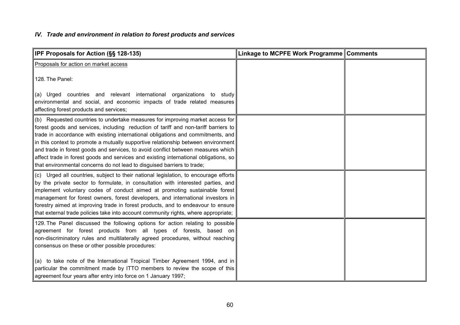## *IV. Trade and environment in relation to forest products and services*

| IPF Proposals for Action (§§ 128-135)                                                                                                                                                                                                                                                                                                                                                                                                                                                                                                                                                                | Linkage to MCPFE Work Programme Comments |  |
|------------------------------------------------------------------------------------------------------------------------------------------------------------------------------------------------------------------------------------------------------------------------------------------------------------------------------------------------------------------------------------------------------------------------------------------------------------------------------------------------------------------------------------------------------------------------------------------------------|------------------------------------------|--|
| Proposals for action on market access                                                                                                                                                                                                                                                                                                                                                                                                                                                                                                                                                                |                                          |  |
| 128. The Panel:                                                                                                                                                                                                                                                                                                                                                                                                                                                                                                                                                                                      |                                          |  |
| (a) Urged countries and relevant international organizations<br>to study∣<br>environmental and social, and economic impacts of trade related measures<br>affecting forest products and services;                                                                                                                                                                                                                                                                                                                                                                                                     |                                          |  |
| (b) Requested countries to undertake measures for improving market access for<br>forest goods and services, including reduction of tariff and non-tariff barriers to<br>trade in accordance with existing international obligations and commitments, and<br>in this context to promote a mutually supportive relationship between environment<br>and trade in forest goods and services, to avoid conflict between measures which<br>affect trade in forest goods and services and existing international obligations, so<br>that environmental concerns do not lead to disguised barriers to trade; |                                          |  |
| (c) Urged all countries, subject to their national legislation, to encourage efforts<br>by the private sector to formulate, in consultation with interested parties, and<br>implement voluntary codes of conduct aimed at promoting sustainable forest<br>management for forest owners, forest developers, and international investors in<br>forestry aimed at improving trade in forest products, and to endeavour to ensure<br>that external trade policies take into account community rights, where appropriate;                                                                                 |                                          |  |
| 129. The Panel discussed the following options for action relating to possible<br>agreement for forest products from all types of forests, based on<br>non-discriminatory rules and multilaterally agreed procedures, without reaching<br>consensus on these or other possible procedures:<br>(a) to take note of the International Tropical Timber Agreement 1994, and in<br>particular the commitment made by ITTO members to review the scope of this<br>agreement four years after entry into force on 1 January 1997;                                                                           |                                          |  |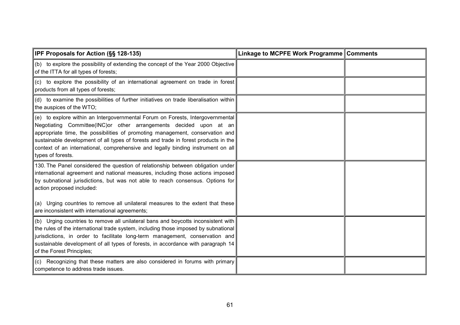| <b>IPF Proposals for Action (SS 128-135)</b>                                                                                                                                                                                                                                                                                                                                                                                           | Linkage to MCPFE Work Programme Comments |  |
|----------------------------------------------------------------------------------------------------------------------------------------------------------------------------------------------------------------------------------------------------------------------------------------------------------------------------------------------------------------------------------------------------------------------------------------|------------------------------------------|--|
| (b) to explore the possibility of extending the concept of the Year 2000 Objective<br>of the ITTA for all types of forests;                                                                                                                                                                                                                                                                                                            |                                          |  |
| (c) to explore the possibility of an international agreement on trade in forest<br>products from all types of forests;                                                                                                                                                                                                                                                                                                                 |                                          |  |
| (d) to examine the possibilities of further initiatives on trade liberalisation within<br>the auspices of the WTO;                                                                                                                                                                                                                                                                                                                     |                                          |  |
| (e) to explore within an Intergovernmental Forum on Forests, Intergovernmental<br>Negotiating Committee(INC) or other arrangements decided upon at an<br>appropriate time, the possibilities of promoting management, conservation and<br>sustainable development of all types of forests and trade in forest products in the<br>context of an international, comprehensive and legally binding instrument on all<br>types of forests. |                                          |  |
| 130. The Panel considered the question of relationship between obligation under<br>international agreement and national measures, including those actions imposed<br>by subnational jurisdictions, but was not able to reach consensus. Options for<br>action proposed included:                                                                                                                                                       |                                          |  |
| (a) Urging countries to remove all unilateral measures to the extent that these<br>are inconsistent with international agreements;                                                                                                                                                                                                                                                                                                     |                                          |  |
| (b) Urging countries to remove all unilateral bans and boycotts inconsistent with<br>the rules of the international trade system, including those imposed by subnational<br>jurisdictions, in order to facilitate long-term management, conservation and<br>sustainable development of all types of forests, in accordance with paragraph 14<br>of the Forest Principles;                                                              |                                          |  |
| (c) Recognizing that these matters are also considered in forums with primary<br>competence to address trade issues.                                                                                                                                                                                                                                                                                                                   |                                          |  |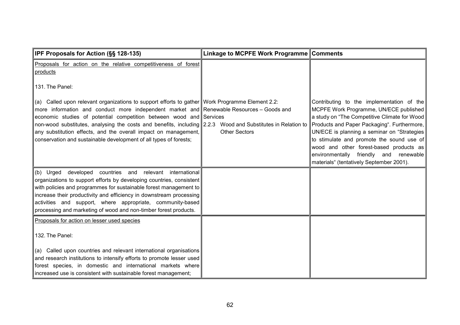| IPF Proposals for Action (§§ 128-135)                                                                                                                                                                                                                                                                                                                                                                                                                                                                                     | Linkage to MCPFE Work Programme Comments |                                                                                                                                                                                                                                                                                                                                                                                                                 |
|---------------------------------------------------------------------------------------------------------------------------------------------------------------------------------------------------------------------------------------------------------------------------------------------------------------------------------------------------------------------------------------------------------------------------------------------------------------------------------------------------------------------------|------------------------------------------|-----------------------------------------------------------------------------------------------------------------------------------------------------------------------------------------------------------------------------------------------------------------------------------------------------------------------------------------------------------------------------------------------------------------|
| Proposals for action on the relative competitiveness of forest<br>products                                                                                                                                                                                                                                                                                                                                                                                                                                                |                                          |                                                                                                                                                                                                                                                                                                                                                                                                                 |
| 131. The Panel:                                                                                                                                                                                                                                                                                                                                                                                                                                                                                                           |                                          |                                                                                                                                                                                                                                                                                                                                                                                                                 |
| (a) Called upon relevant organizations to support efforts to gather Work Programme Element 2.2:<br>more information and conduct more independent market and Renewable Resources - Goods and<br>economic studies of potential competition between wood and Services<br>non-wood substitutes, analysing the costs and benefits, including 2.2.3 Wood and Substitutes in Relation to<br>any substitution effects, and the overall impact on management,<br>conservation and sustainable development of all types of forests; | <b>Other Sectors</b>                     | Contributing to the implementation of the<br>MCPFE Work Programme, UN/ECE published<br>a study on "The Competitive Climate for Wood<br>Products and Paper Packaging". Furthermore,<br>UN/ECE is planning a seminar on "Strategies<br>to stimulate and promote the sound use of<br>wood and other forest-based products as<br>environmentally friendly and renewable<br>materials" (tentatively September 2001). |
| (b) Urged developed countries and relevant international<br>organizations to support efforts by developing countries, consistent                                                                                                                                                                                                                                                                                                                                                                                          |                                          |                                                                                                                                                                                                                                                                                                                                                                                                                 |
| with policies and programmes for sustainable forest management to                                                                                                                                                                                                                                                                                                                                                                                                                                                         |                                          |                                                                                                                                                                                                                                                                                                                                                                                                                 |
| increase their productivity and efficiency in downstream processing<br>activities and support, where appropriate, community-based<br>processing and marketing of wood and non-timber forest products.                                                                                                                                                                                                                                                                                                                     |                                          |                                                                                                                                                                                                                                                                                                                                                                                                                 |
| Proposals for action on lesser used species                                                                                                                                                                                                                                                                                                                                                                                                                                                                               |                                          |                                                                                                                                                                                                                                                                                                                                                                                                                 |
| 132. The Panel:                                                                                                                                                                                                                                                                                                                                                                                                                                                                                                           |                                          |                                                                                                                                                                                                                                                                                                                                                                                                                 |
| (a) Called upon countries and relevant international organisations                                                                                                                                                                                                                                                                                                                                                                                                                                                        |                                          |                                                                                                                                                                                                                                                                                                                                                                                                                 |
| and research institutions to intensify efforts to promote lesser used<br>forest species, in domestic and international markets where                                                                                                                                                                                                                                                                                                                                                                                      |                                          |                                                                                                                                                                                                                                                                                                                                                                                                                 |
| increased use is consistent with sustainable forest management;                                                                                                                                                                                                                                                                                                                                                                                                                                                           |                                          |                                                                                                                                                                                                                                                                                                                                                                                                                 |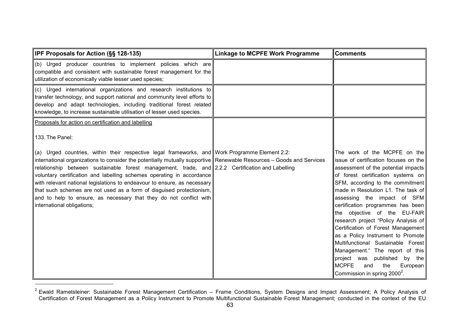| IPF Proposals for Action (§§ 128-135)                                                                                                                                                                                                                                                                                                                                                                                                                                                                                                                                                                                                                       | <b>Linkage to MCPFE Work Programme</b> | <b>Comments</b>                                                                                                                                                                                                                                                                                                                                                                                                                                                                                                                                                                                                                                          |
|-------------------------------------------------------------------------------------------------------------------------------------------------------------------------------------------------------------------------------------------------------------------------------------------------------------------------------------------------------------------------------------------------------------------------------------------------------------------------------------------------------------------------------------------------------------------------------------------------------------------------------------------------------------|----------------------------------------|----------------------------------------------------------------------------------------------------------------------------------------------------------------------------------------------------------------------------------------------------------------------------------------------------------------------------------------------------------------------------------------------------------------------------------------------------------------------------------------------------------------------------------------------------------------------------------------------------------------------------------------------------------|
| (b) Urged producer countries to implement policies which are<br>compatible and consistent with sustainable forest management for the<br>utilization of economically viable lesser used species;                                                                                                                                                                                                                                                                                                                                                                                                                                                             |                                        |                                                                                                                                                                                                                                                                                                                                                                                                                                                                                                                                                                                                                                                          |
| (c) Urged international organizations and research institutions to<br>transfer technology, and support national and community level efforts to<br>develop and adapt technologies, including traditional forest related<br>knowledge, to increase sustainable utilisation of lesser used species.                                                                                                                                                                                                                                                                                                                                                            |                                        |                                                                                                                                                                                                                                                                                                                                                                                                                                                                                                                                                                                                                                                          |
| Proposals for action on certification and labelling                                                                                                                                                                                                                                                                                                                                                                                                                                                                                                                                                                                                         |                                        |                                                                                                                                                                                                                                                                                                                                                                                                                                                                                                                                                                                                                                                          |
| 133. The Panel:                                                                                                                                                                                                                                                                                                                                                                                                                                                                                                                                                                                                                                             |                                        |                                                                                                                                                                                                                                                                                                                                                                                                                                                                                                                                                                                                                                                          |
| (a) Urged countries, within their respective legal frameworks, and Work Programme Element 2.2:<br>international organizations to consider the potentially mutually supportive Renewable Resources - Goods and Services<br>relationship between sustainable forest management, trade, and 2.2.2 Certification and Labelling<br>voluntary certification and labelling schemes operating in accordance<br>with relevant national legislations to endeavour to ensure, as necessary<br>that such schemes are not used as a form of disguised protectionism,<br>and to help to ensure, as necessary that they do not conflict with<br>international obligations; |                                        | The work of the MCPFE on the<br>issue of certification focuses on the<br>assessment of the potential impacts<br>of forest certification systems on<br>SFM, according to the commitment<br>made in Resolution L1. The task of<br>assessing the impact of SFM<br>certification programmes has been<br>the objective of the EU-FAIR<br>research project "Policy Analysis of<br>Certification of Forest Management<br>as a Policy Instrument to Promote<br>Multifunctional Sustainable Forest<br>Management." The report of this<br>published<br>project was<br>by the<br><b>MCPFE</b><br>the<br>and<br>European<br>Commission in spring 2000 <sup>2</sup> . |

<sup>&</sup>lt;sup>2</sup> Ewald Rametsteiner: Sustainable Forest Management Certification – Frame Conditions, System Designs and Impact Assessment; A Policy Analysis of Certification of Forest Management as a Policy Instrument to Promote Multifunctional Sustainable Forest Management; conducted in the context of the EU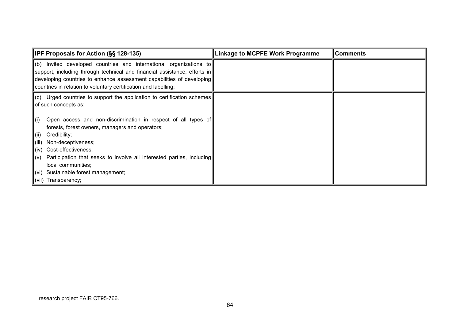| <b>IPF Proposals for Action (SS 128-135)</b>                                                                                                                                                                                                                                                                                                  | Linkage to MCPFE Work Programme | <b>Comments</b> |
|-----------------------------------------------------------------------------------------------------------------------------------------------------------------------------------------------------------------------------------------------------------------------------------------------------------------------------------------------|---------------------------------|-----------------|
| $\parallel$ (b) Invited developed countries and international organizations to<br>support, including through technical and financial assistance, efforts in<br>developing countries to enhance assessment capabilities of developing<br>countries in relation to voluntary certification and labelling;                                       |                                 |                 |
| $\ $ (c) Urged countries to support the application to certification schemes<br>of such concepts as:<br>Open access and non-discrimination in respect of all types of<br>$\parallel$ (i)<br>forests, forest owners, managers and operators;<br>Credibility;<br>$\ $ (ii)<br>Non-deceptiveness;<br>$\ $ (iii) $\ $<br>(iv) Cost-effectiveness; |                                 |                 |
| Participation that seeks to involve all interested parties, including<br>$\  (v) \ $<br>local communities;<br>(vi) Sustainable forest management;<br>(vii) Transparency;                                                                                                                                                                      |                                 |                 |

### research project FAIR CT95-766.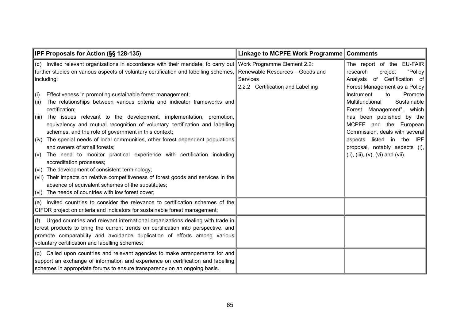| IPF Proposals for Action (§§ 128-135)                                                                                                                                                                                                                                                                                                                                                                                                                                                                                                                                                                                                                                                                                                                                                                                                                                                                                                                                                                                                                                                  | Linkage to MCPFE Work Programme Comments                                                |                                                                                                                                                                                                                                                                                                                                                                                                                            |
|----------------------------------------------------------------------------------------------------------------------------------------------------------------------------------------------------------------------------------------------------------------------------------------------------------------------------------------------------------------------------------------------------------------------------------------------------------------------------------------------------------------------------------------------------------------------------------------------------------------------------------------------------------------------------------------------------------------------------------------------------------------------------------------------------------------------------------------------------------------------------------------------------------------------------------------------------------------------------------------------------------------------------------------------------------------------------------------|-----------------------------------------------------------------------------------------|----------------------------------------------------------------------------------------------------------------------------------------------------------------------------------------------------------------------------------------------------------------------------------------------------------------------------------------------------------------------------------------------------------------------------|
| (d) Invited relevant organizations in accordance with their mandate, to carry out Work Programme Element 2.2:<br>further studies on various aspects of voluntary certification and labelling schemes,<br>including:<br>Effectiveness in promoting sustainable forest management;<br>$\parallel$ (i)<br>The relationships between various criteria and indicator frameworks and<br>$\ $ (ii)<br>certification;<br>The issues relevant to the development, implementation, promotion,<br>$\ $ (iii)<br>equivalency and mutual recognition of voluntary certification and labelling<br>schemes, and the role of government in this context;<br>(iv) The special needs of local communities, other forest dependent populations<br>and owners of small forests;<br>The need to monitor practical experience with certification including<br>$\  (v) \ $<br>accreditation processes;<br>$\vert$ (vi) The development of consistent terminology;<br>(vii) Their impacts on relative competitiveness of forest goods and services in the<br>absence of equivalent schemes of the substitutes; | Renewable Resources - Goods and<br><b>Services</b><br>2.2.2 Certification and Labelling | The report of the EU-FAIR<br>"Policy<br>research<br>project<br>Analysis of Certification of<br>Forest Management as a Policy<br>Instrument<br>Promote<br>to<br>Multifunctional<br>Sustainable<br>Forest Management", which<br>has been published by the<br>MCPFE and the European<br>Commission, deals with several<br>aspects listed in the<br>IPF<br>proposal, notably aspects (i),<br>(ii), (iii), (v), (vi) and (vii). |
| (vi) The needs of countries with low forest cover;                                                                                                                                                                                                                                                                                                                                                                                                                                                                                                                                                                                                                                                                                                                                                                                                                                                                                                                                                                                                                                     |                                                                                         |                                                                                                                                                                                                                                                                                                                                                                                                                            |
| (e) Invited countries to consider the relevance to certification schemes of the<br>CIFOR project on criteria and indicators for sustainable forest management;                                                                                                                                                                                                                                                                                                                                                                                                                                                                                                                                                                                                                                                                                                                                                                                                                                                                                                                         |                                                                                         |                                                                                                                                                                                                                                                                                                                                                                                                                            |
| Urged countries and relevant international organizations dealing with trade in<br>(f)<br>forest products to bring the current trends on certification into perspective, and<br>promote comparability and avoidance duplication of efforts among various<br>voluntary certification and labelling schemes;                                                                                                                                                                                                                                                                                                                                                                                                                                                                                                                                                                                                                                                                                                                                                                              |                                                                                         |                                                                                                                                                                                                                                                                                                                                                                                                                            |
| (g) Called upon countries and relevant agencies to make arrangements for and<br>support an exchange of information and experience on certification and labelling<br>schemes in appropriate forums to ensure transparency on an ongoing basis.                                                                                                                                                                                                                                                                                                                                                                                                                                                                                                                                                                                                                                                                                                                                                                                                                                          |                                                                                         |                                                                                                                                                                                                                                                                                                                                                                                                                            |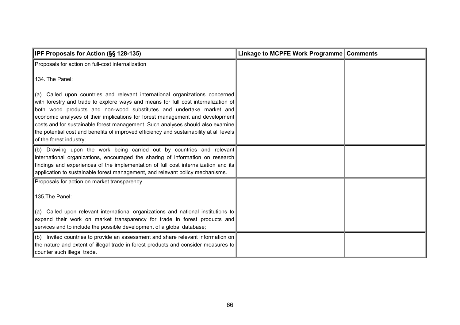| IPF Proposals for Action (§§ 128-135)                                                                                                                                     | Linkage to MCPFE Work Programme Comments |  |
|---------------------------------------------------------------------------------------------------------------------------------------------------------------------------|------------------------------------------|--|
| Proposals for action on full-cost internalization                                                                                                                         |                                          |  |
| 134. The Panel:                                                                                                                                                           |                                          |  |
| (a) Called upon countries and relevant international organizations concerned                                                                                              |                                          |  |
| with forestry and trade to explore ways and means for full cost internalization of<br>both wood products and non-wood substitutes and undertake market and                |                                          |  |
| economic analyses of their implications for forest management and development                                                                                             |                                          |  |
| costs and for sustainable forest management. Such analyses should also examine<br>the potential cost and benefits of improved efficiency and sustainability at all levels |                                          |  |
| of the forest industry;                                                                                                                                                   |                                          |  |
| (b) Drawing upon the work being carried out by countries and relevant                                                                                                     |                                          |  |
| international organizations, encouraged the sharing of information on research<br>findings and experiences of the implementation of full cost internalization and its     |                                          |  |
| application to sustainable forest management, and relevant policy mechanisms.                                                                                             |                                          |  |
| Proposals for action on market transparency                                                                                                                               |                                          |  |
| 135. The Panel:                                                                                                                                                           |                                          |  |
| (a) Called upon relevant international organizations and national institutions to                                                                                         |                                          |  |
| expand their work on market transparency for trade in forest products and                                                                                                 |                                          |  |
| services and to include the possible development of a global database;                                                                                                    |                                          |  |
| (b) Invited countries to provide an assessment and share relevant information on<br>the nature and extent of illegal trade in forest products and consider measures to    |                                          |  |
| counter such illegal trade.                                                                                                                                               |                                          |  |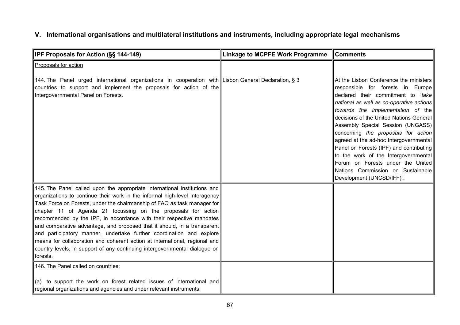# **V. International organisations and multilateral institutions and instruments, including appropriate legal mechanisms**

| IPF Proposals for Action (§§ 144-149)                                                                                                                                                                                                                                                                                                                                                                                                                                                                                                                                                                                                                                                                     | <b>Linkage to MCPFE Work Programme</b> | <b>Comments</b>                                                                                                                                                                                                                                                                                                                                                                                                                                                                                                                                               |
|-----------------------------------------------------------------------------------------------------------------------------------------------------------------------------------------------------------------------------------------------------------------------------------------------------------------------------------------------------------------------------------------------------------------------------------------------------------------------------------------------------------------------------------------------------------------------------------------------------------------------------------------------------------------------------------------------------------|----------------------------------------|---------------------------------------------------------------------------------------------------------------------------------------------------------------------------------------------------------------------------------------------------------------------------------------------------------------------------------------------------------------------------------------------------------------------------------------------------------------------------------------------------------------------------------------------------------------|
| Proposals for action                                                                                                                                                                                                                                                                                                                                                                                                                                                                                                                                                                                                                                                                                      |                                        |                                                                                                                                                                                                                                                                                                                                                                                                                                                                                                                                                               |
| 144. The Panel urged international organizations in cooperation with Lisbon General Declaration, § 3<br>countries to support and implement the proposals for action of the<br>Intergovernmental Panel on Forests.                                                                                                                                                                                                                                                                                                                                                                                                                                                                                         |                                        | At the Lisbon Conference the ministers<br>responsible for forests in Europe<br>declared their commitment to "take<br>national as well as co-operative actions<br>towards the implementation of the<br>decisions of the United Nations General<br>Assembly Special Session (UNGASS)<br>concerning the proposals for action<br>agreed at the ad-hoc Intergovernmental<br>Panel on Forests (IPF) and contributing<br>to the work of the Intergovernmental<br>Forum on Forests under the United<br>Nations Commission on Sustainable<br>Development (UNCSD/IFF)". |
| 145. The Panel called upon the appropriate international institutions and<br>organizations to continue their work in the informal high-level Interagency<br>Task Force on Forests, under the chairmanship of FAO as task manager for<br>chapter 11 of Agenda 21 focussing on the proposals for action<br>recommended by the IPF, in accordance with their respective mandates<br>and comparative advantage, and proposed that it should, in a transparent<br>and participatory manner, undertake further coordination and explore<br>means for collaboration and coherent action at international, regional and<br>country levels, in support of any continuing intergovernmental dialogue on<br>forests. |                                        |                                                                                                                                                                                                                                                                                                                                                                                                                                                                                                                                                               |
| 146. The Panel called on countries:<br>(a) to support the work on forest related issues of international and<br>regional organizations and agencies and under relevant instruments;                                                                                                                                                                                                                                                                                                                                                                                                                                                                                                                       |                                        |                                                                                                                                                                                                                                                                                                                                                                                                                                                                                                                                                               |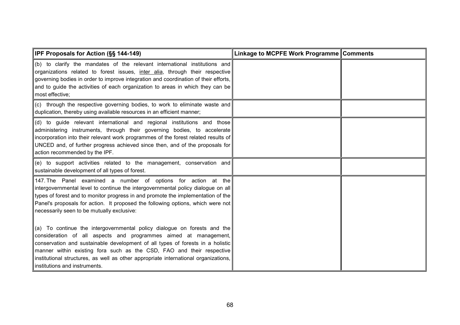| <b>IPF Proposals for Action (§§ 144-149)</b>                                                                                                                                                                                                                                                                                                                                                                                    | Linkage to MCPFE Work Programme Comments |  |
|---------------------------------------------------------------------------------------------------------------------------------------------------------------------------------------------------------------------------------------------------------------------------------------------------------------------------------------------------------------------------------------------------------------------------------|------------------------------------------|--|
| (b) to clarify the mandates of the relevant international institutions and<br>organizations related to forest issues, inter alia, through their respective<br>governing bodies in order to improve integration and coordination of their efforts,<br>and to guide the activities of each organization to areas in which they can be<br>most effective;                                                                          |                                          |  |
| (c) through the respective governing bodies, to work to eliminate waste and<br>duplication, thereby using available resources in an efficient manner;                                                                                                                                                                                                                                                                           |                                          |  |
| (d) to guide relevant international and regional institutions and those<br>administering instruments, through their governing bodies, to accelerate<br>incorporation into their relevant work programmes of the forest related results of<br>UNCED and, of further progress achieved since then, and of the proposals for<br>action recommended by the IPF.                                                                     |                                          |  |
| (e) to support activities related to the management, conservation and<br>sustainable development of all types of forest.                                                                                                                                                                                                                                                                                                        |                                          |  |
| 147. The Panel examined a number of options for action at the<br>intergovernmental level to continue the intergovernmental policy dialogue on all<br>types of forest and to monitor progress in and promote the implementation of the<br>Panel's proposals for action. It proposed the following options, which were not<br>necessarily seen to be mutually exclusive:                                                          |                                          |  |
| (a) To continue the intergovernmental policy dialogue on forests and the<br>consideration of all aspects and programmes aimed at management,<br>conservation and sustainable development of all types of forests in a holistic<br>manner within existing fora such as the CSD, FAO and their respective<br>institutional structures, as well as other appropriate international organizations,<br>institutions and instruments. |                                          |  |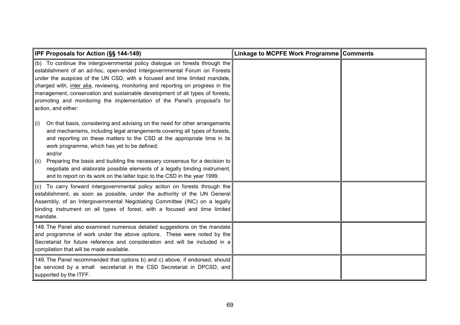| <b>IPF Proposals for Action (SS 144-149)</b>                                                                                                                                                                                                                                                                                                                                                                                                                                                                                                                       | Linkage to MCPFE Work Programme Comments |  |
|--------------------------------------------------------------------------------------------------------------------------------------------------------------------------------------------------------------------------------------------------------------------------------------------------------------------------------------------------------------------------------------------------------------------------------------------------------------------------------------------------------------------------------------------------------------------|------------------------------------------|--|
| (b) To continue the intergovernmental policy dialogue on forests through the<br>establishment of an ad-hoc, open-ended Intergovernmental Forum on Forests<br>under the auspices of the UN CSD, with a focused and time limited mandate,<br>charged with, inter alia, reviewing, monitoring and reporting on progress in the<br>management, conservation and sustainable development of all types of forests,<br>promoting and monitoring the implementation of the Panel's proposal's for<br>action, and either:                                                   |                                          |  |
| On that basis, considering and advising on the need for other arrangements<br>$\ $ (i)<br>and mechanisms, including legal arrangements covering all types of forests,<br>and reporting on these matters to the CSD at the appropriate time in its<br>work programme, which has yet to be defined;<br>and/or<br>Preparing the basis and building the necessary consensus for a decision to<br>$\ $ (ii)<br>negotiate and elaborate possible elements of a legally binding instrument,<br>and to report on its work on the latter topic to the CSD in the year 1999. |                                          |  |
| (c) To carry forward intergovernmental policy action on forests through the<br>establishment, as soon as possible, under the authority of the UN General<br>Assembly, of an Intergovernmental Negotiating Committee (INC) on a legally<br>binding instrument on all types of forest, with a focused and time limited<br>mandate.                                                                                                                                                                                                                                   |                                          |  |
| 148. The Panel also examined numerous detailed suggestions on the mandate<br>and programme of work under the above options. These were noted by the<br>Secretariat for future reference and consideration and will be included in a<br>compilation that will be made available.                                                                                                                                                                                                                                                                                    |                                          |  |
| 149. The Panel recommended that options b) and c) above, if endorsed, should<br>be serviced by a small secretariat in the CSD Secretariat in DPCSD, and<br>supported by the ITFF.                                                                                                                                                                                                                                                                                                                                                                                  |                                          |  |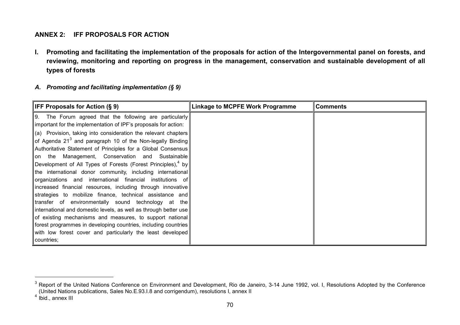#### **ANNEX 2: IFF PROPOSALS FOR ACTION**

**I. Promoting and facilitating the implementation of the proposals for action of the Intergovernmental panel on forests, and reviewing, monitoring and reporting on progress in the management, conservation and sustainable development of all types of forests**

#### *A. Promoting and facilitating implementation (§ 9)*

| <b>IFF Proposals for Action (§ 9)</b>                                                                                                                                                    | <b>Linkage to MCPFE Work Programme</b> | <b>Comments</b> |
|------------------------------------------------------------------------------------------------------------------------------------------------------------------------------------------|----------------------------------------|-----------------|
| 9. The Forum agreed that the following are particularly<br>important for the implementation of IPF's proposals for action:                                                               |                                        |                 |
| (a) Provision, taking into consideration the relevant chapters                                                                                                                           |                                        |                 |
| of Agenda 21 <sup>3</sup> and paragraph 10 of the Non-legally Binding<br>Authoritative Statement of Principles for a Global Consensus<br>on the Management, Conservation and Sustainable |                                        |                 |
| Development of All Types of Forests (Forest Principles), $4$ by<br>the international donor community, including international                                                            |                                        |                 |
| organizations and international financial institutions of<br>increased financial resources, including through innovative                                                                 |                                        |                 |
| strategies to mobilize finance, technical assistance and<br>transfer of environmentally sound technology at the                                                                          |                                        |                 |
| international and domestic levels, as well as through better use<br>of existing mechanisms and measures, to support national                                                             |                                        |                 |
| forest programmes in developing countries, including countries                                                                                                                           |                                        |                 |
| with low forest cover and particularly the least developed                                                                                                                               |                                        |                 |
| countries;                                                                                                                                                                               |                                        |                 |

 $^3$  Report of the United Nations Conference on Environment and Development, Rio de Janeiro, 3-14 June 1992, vol. I, Resolutions Adopted by the Conference (United Nations publications, Sales No.E.93.I.8 and corrigendum), resolutions I, annex II

 $4$  Ibid., annex III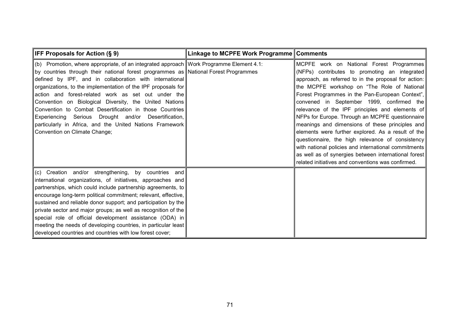| <b>IFF Proposals for Action (§ 9)</b>                                                                                                                                                                                                                                                                                                                                                                                                                                                                                                                                                                                                       | Linkage to MCPFE Work Programme Comments |                                                                                                                                                                                                                                                                                                                                                                                                                                                                                                                                                                                                                                                                                                                                           |
|---------------------------------------------------------------------------------------------------------------------------------------------------------------------------------------------------------------------------------------------------------------------------------------------------------------------------------------------------------------------------------------------------------------------------------------------------------------------------------------------------------------------------------------------------------------------------------------------------------------------------------------------|------------------------------------------|-------------------------------------------------------------------------------------------------------------------------------------------------------------------------------------------------------------------------------------------------------------------------------------------------------------------------------------------------------------------------------------------------------------------------------------------------------------------------------------------------------------------------------------------------------------------------------------------------------------------------------------------------------------------------------------------------------------------------------------------|
| (b) Promotion, where appropriate, of an integrated approach Work Programme Element 4.1:<br>by countries through their national forest programmes as National Forest Programmes<br>defined by IPF, and in collaboration with international<br>organizations, to the implementation of the IPF proposals for<br>action and forest-related work as set out under the<br>Convention on Biological Diversity, the United Nations<br>Convention to Combat Desertification in those Countries<br>Experiencing Serious Drought and/or Desertification,<br>particularly in Africa, and the United Nations Framework<br>Convention on Climate Change; |                                          | MCPFE work on National Forest Programmes<br>(NFPs) contributes to promoting an integrated<br>approach, as referred to in the proposal for action:<br>the MCPFE workshop on "The Role of National<br>Forest Programmes in the Pan-European Context",<br>convened in September 1999, confirmed the<br>relevance of the IPF principles and elements of<br>NFPs for Europe. Through an MCPFE questionnaire<br>meanings and dimensions of these principles and<br>elements were further explored. As a result of the<br>questionnaire, the high relevance of consistency<br>with national policies and international commitments<br>as well as of synergies between international forest<br>related initiatives and conventions was confirmed. |
| (c) Creation and/or strengthening, by countries and<br>international organizations, of initiatives, approaches and<br>partnerships, which could include partnership agreements, to<br>encourage long-term political commitment; relevant, effective,<br>sustained and reliable donor support; and participation by the<br>private sector and major groups; as well as recognition of the<br>special role of official development assistance (ODA) in<br>meeting the needs of developing countries, in particular least<br>developed countries and countries with low forest cover;                                                          |                                          |                                                                                                                                                                                                                                                                                                                                                                                                                                                                                                                                                                                                                                                                                                                                           |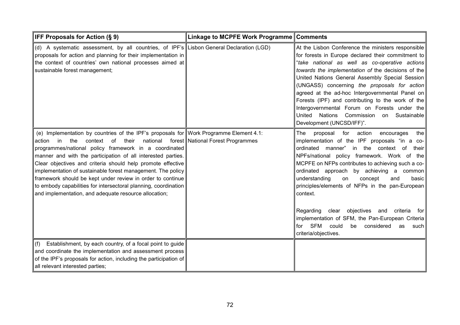| IFF Proposals for Action (§ 9)                                                                                                                                                                                                                                                                                                                                                                                                                                                                                                                                                                       | Linkage to MCPFE Work Programme Comments |                                                                                                                                                                                                                                                                                                                                                                                                                                                                                                                                                                                                                      |
|------------------------------------------------------------------------------------------------------------------------------------------------------------------------------------------------------------------------------------------------------------------------------------------------------------------------------------------------------------------------------------------------------------------------------------------------------------------------------------------------------------------------------------------------------------------------------------------------------|------------------------------------------|----------------------------------------------------------------------------------------------------------------------------------------------------------------------------------------------------------------------------------------------------------------------------------------------------------------------------------------------------------------------------------------------------------------------------------------------------------------------------------------------------------------------------------------------------------------------------------------------------------------------|
| (d) A systematic assessment, by all countries, of IPF's Lisbon General Declaration (LGD)<br>proposals for action and planning for their implementation in<br>the context of countries' own national processes aimed at<br>sustainable forest management;                                                                                                                                                                                                                                                                                                                                             |                                          | At the Lisbon Conference the ministers responsible<br>for forests in Europe declared their commitment to<br>"take national as well as co-operative actions<br>towards the implementation of the decisions of the<br>United Nations General Assembly Special Session<br>(UNGASS) concerning the proposals for action<br>agreed at the ad-hoc Intergovernmental Panel on<br>Forests (IPF) and contributing to the work of the<br>Intergovernmental Forum on Forests under the<br>United<br>Nations Commission on Sustainable<br>Development (UNCSD/IFF)".                                                              |
| (e) Implementation by countries of the IPF's proposals for Work Programme Element 4.1:<br>national<br>in<br>the<br>context<br>of<br>their<br>action<br>programmes/national policy framework in a coordinated<br>manner and with the participation of all interested parties.<br>Clear objectives and criteria should help promote effective<br>implementation of sustainable forest management. The policy<br>framework should be kept under review in order to continue<br>to embody capabilities for intersectoral planning, coordination<br>and implementation, and adequate resource allocation; | forest National Forest Programmes        | for action<br>proposal<br>encourages<br>the<br>The<br>implementation of the IPF proposals "in a co-<br>manner" in the context of<br>ordinated<br>their l<br>NPFs/national policy framework. Work of the<br>MCPFE on NFPs contributes to achieving such a co-<br>ordinated approach by achieving a common<br>understanding<br>on<br>concept<br>and<br>basic<br>principles/elements of NFPs in the pan-European<br>context.<br>Regarding<br>objectives and criteria<br>clear<br>for  <br>implementation of SFM, the Pan-European Criteria<br>for SFM<br>could<br>be considered<br>as<br>such l<br>criteria/objectives. |
| Establishment, by each country, of a focal point to guide<br>(f)<br>and coordinate the implementation and assessment process<br>of the IPF's proposals for action, including the participation of<br>all relevant interested parties;                                                                                                                                                                                                                                                                                                                                                                |                                          |                                                                                                                                                                                                                                                                                                                                                                                                                                                                                                                                                                                                                      |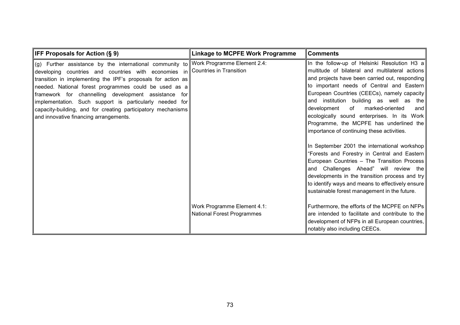| <b>IFF Proposals for Action (§ 9)</b>                                                                                                                                                                                                                                                                                                                                                                                                                                  | <b>Linkage to MCPFE Work Programme</b>                           | <b>Comments</b>                                                                                                                                                                                                                                                                                                                                                                                                                                                                   |
|------------------------------------------------------------------------------------------------------------------------------------------------------------------------------------------------------------------------------------------------------------------------------------------------------------------------------------------------------------------------------------------------------------------------------------------------------------------------|------------------------------------------------------------------|-----------------------------------------------------------------------------------------------------------------------------------------------------------------------------------------------------------------------------------------------------------------------------------------------------------------------------------------------------------------------------------------------------------------------------------------------------------------------------------|
| (g) Further assistance by the international community to<br>developing countries and countries with economies in<br>transition in implementing the IPF's proposals for action as<br>needed. National forest programmes could be used as a<br>framework for channelling development assistance for<br>implementation. Such support is particularly needed for<br>capacity-building, and for creating participatory mechanisms<br>and innovative financing arrangements. | Work Programme Element 2.4:<br>Countries in Transition           | In the follow-up of Helsinki Resolution H3 a<br>multitude of bilateral and multilateral actions<br>and projects have been carried out, responding  <br>to important needs of Central and Eastern<br>European Countries (CEECs), namely capacity<br>and institution building as well as the<br>marked-oriented<br>of<br>and<br>development<br>ecologically sound enterprises. In its Work<br>Programme, the MCPFE has underlined the<br>importance of continuing these activities. |
|                                                                                                                                                                                                                                                                                                                                                                                                                                                                        |                                                                  | In September 2001 the international workshop<br>"Forests and Forestry in Central and Eastern<br>European Countries - The Transition Process<br>and Challenges Ahead" will review the<br>developments in the transition process and try<br>to identify ways and means to effectively ensure<br>sustainable forest management in the future.                                                                                                                                        |
|                                                                                                                                                                                                                                                                                                                                                                                                                                                                        | Work Programme Element 4.1:<br><b>National Forest Programmes</b> | Furthermore, the efforts of the MCPFE on NFPs<br>are intended to facilitate and contribute to the<br>development of NFPs in all European countries,  <br>notably also including CEECs.                                                                                                                                                                                                                                                                                            |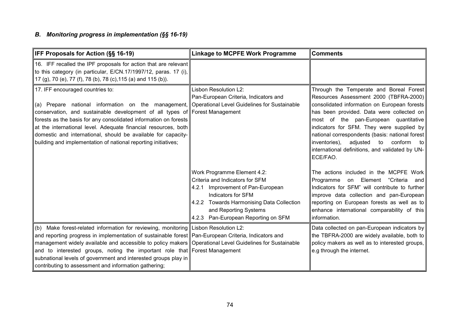# *B. Monitoring progress in implementation (§§ 16-19)*

| IFF Proposals for Action (§§ 16-19)                                                                                                                                                                                                                                                                                                                                                                                                                                                                              | <b>Linkage to MCPFE Work Programme</b>                                                                                                                                                                                                       | <b>Comments</b>                                                                                                                                                                                                                                                                                                                                                                                                                      |
|------------------------------------------------------------------------------------------------------------------------------------------------------------------------------------------------------------------------------------------------------------------------------------------------------------------------------------------------------------------------------------------------------------------------------------------------------------------------------------------------------------------|----------------------------------------------------------------------------------------------------------------------------------------------------------------------------------------------------------------------------------------------|--------------------------------------------------------------------------------------------------------------------------------------------------------------------------------------------------------------------------------------------------------------------------------------------------------------------------------------------------------------------------------------------------------------------------------------|
| 16. IFF recalled the IPF proposals for action that are relevant<br>to this category (in particular, E/CN.17/1997/12, paras. 17 (i),<br>17 (g), 70 (e), 77 (f), 78 (b), 78 (c), 115 (a) and 115 (b)).                                                                                                                                                                                                                                                                                                             |                                                                                                                                                                                                                                              |                                                                                                                                                                                                                                                                                                                                                                                                                                      |
| 17. IFF encouraged countries to:<br>(a) Prepare national information on the management,<br>conservation, and sustainable development of all types of Forest Management<br>forests as the basis for any consolidated information on forests<br>at the international level. Adequate financial resources, both<br>domestic and international, should be available for capacity-<br>building and implementation of national reporting initiatives;                                                                  | Lisbon Resolution L2:<br>Pan-European Criteria, Indicators and<br>Operational Level Guidelines for Sustainable                                                                                                                               | Through the Temperate and Boreal Forest<br>Resources Assessment 2000 (TBFRA-2000)<br>consolidated information on European forests<br>has been provided. Data were collected on<br>most of the pan-European quantitative<br>indicators for SFM. They were supplied by<br>national correspondents (basis: national forest<br>inventories),<br>adjusted to conform<br>to<br>international definitions, and validated by UN-<br>ECE/FAO. |
|                                                                                                                                                                                                                                                                                                                                                                                                                                                                                                                  | Work Programme Element 4.2:<br>Criteria and Indicators for SFM<br>Improvement of Pan-European<br>4.2.1<br>Indicators for SFM<br>4.2.2 Towards Harmonising Data Collection<br>and Reporting Systems<br>Pan-European Reporting on SFM<br>4.2.3 | The actions included in the MCPFE Work<br>on Element<br>"Criteria<br>Programme<br>and<br>Indicators for SFM" will contribute to further<br>improve data collection and pan-European<br>reporting on European forests as well as to<br>enhance international comparability of this<br>information.                                                                                                                                    |
| (b) Make forest-related information for reviewing, monitoring Lisbon Resolution L2:<br>and reporting progress in implementation of sustainable forest Pan-European Criteria, Indicators and<br>management widely available and accessible to policy makers Operational Level Guidelines for Sustainable<br>and to interested groups, noting the important role that Forest Management<br>subnational levels of government and interested groups play in<br>contributing to assessment and information gathering; |                                                                                                                                                                                                                                              | Data collected on pan-European indicators by<br>the TBFRA-2000 are widely available, both to<br>policy makers as well as to interested groups,<br>e.g through the internet.                                                                                                                                                                                                                                                          |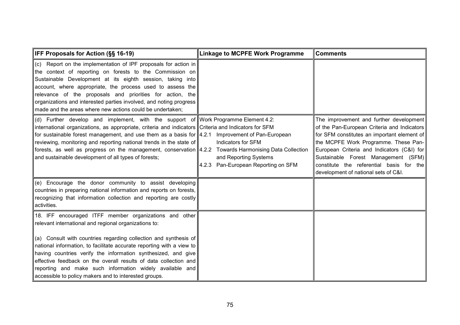| <b>IFF Proposals for Action (§§ 16-19)</b>                                                                                                                                                                                                                                                                                                                                                                                                                                                                                                | <b>Linkage to MCPFE Work Programme</b>                                             | <b>Comments</b>                                                                                                                                                                                                                                                                                                                                        |
|-------------------------------------------------------------------------------------------------------------------------------------------------------------------------------------------------------------------------------------------------------------------------------------------------------------------------------------------------------------------------------------------------------------------------------------------------------------------------------------------------------------------------------------------|------------------------------------------------------------------------------------|--------------------------------------------------------------------------------------------------------------------------------------------------------------------------------------------------------------------------------------------------------------------------------------------------------------------------------------------------------|
| (c) Report on the implementation of IPF proposals for action in<br>the context of reporting on forests to the Commission on<br>Sustainable Development at its eighth session, taking into<br>account, where appropriate, the process used to assess the<br>relevance of the proposals and priorities for action, the<br>organizations and interested parties involved, and noting progress<br>made and the areas where new actions could be undertaken;                                                                                   |                                                                                    |                                                                                                                                                                                                                                                                                                                                                        |
| (d) Further develop and implement, with the support of Work Programme Element 4.2:<br>international organizations, as appropriate, criteria and indicators Criteria and Indicators for SFM<br>for sustainable forest management, and use them as a basis for 4.2.1 Improvement of Pan-European<br>reviewing, monitoring and reporting national trends in the state of<br>forests, as well as progress on the management, conservation $4.2.2$ Towards Harmonising Data Collection<br>and sustainable development of all types of forests; | Indicators for SFM<br>and Reporting Systems<br>4.2.3 Pan-European Reporting on SFM | The improvement and further development<br>of the Pan-European Criteria and Indicators<br>for SFM constitutes an important element of<br>the MCPFE Work Programme. These Pan-<br>European Criteria and Indicators (C&I) for<br>Sustainable Forest Management (SFM)<br>constitute the referential basis for the<br>development of national sets of C&I. |
| (e) Encourage the donor community to assist developing<br>countries in preparing national information and reports on forests,<br>recognizing that information collection and reporting are costly<br>activities.                                                                                                                                                                                                                                                                                                                          |                                                                                    |                                                                                                                                                                                                                                                                                                                                                        |
| 18. IFF encouraged ITFF member organizations and other<br>relevant international and regional organizations to:<br>(a) Consult with countries regarding collection and synthesis of<br>national information, to facilitate accurate reporting with a view to<br>having countries verify the information synthesized, and give<br>effective feedback on the overall results of data collection and<br>reporting and make such information widely available and<br>accessible to policy makers and to interested groups.                    |                                                                                    |                                                                                                                                                                                                                                                                                                                                                        |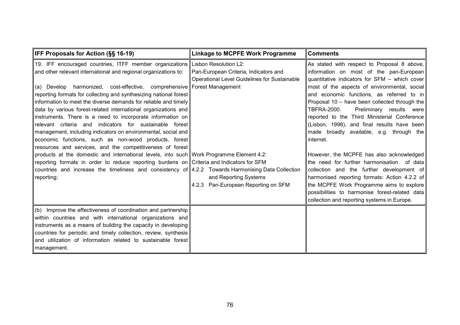| IFF Proposals for Action (§§ 16-19)                                                                                                                                                                                                                                                                                                                                                                                                                                                                                                                                                                                                                                                                                                                      | <b>Linkage to MCPFE Work Programme</b>                                                | <b>Comments</b>                                                                                                                                                                                                                                                                                                                                                                                                                                                                                 |
|----------------------------------------------------------------------------------------------------------------------------------------------------------------------------------------------------------------------------------------------------------------------------------------------------------------------------------------------------------------------------------------------------------------------------------------------------------------------------------------------------------------------------------------------------------------------------------------------------------------------------------------------------------------------------------------------------------------------------------------------------------|---------------------------------------------------------------------------------------|-------------------------------------------------------------------------------------------------------------------------------------------------------------------------------------------------------------------------------------------------------------------------------------------------------------------------------------------------------------------------------------------------------------------------------------------------------------------------------------------------|
| 19. IFF encouraged countries, ITFF member organizations Lisbon Resolution L2:<br>and other relevant international and regional organizations to:<br>harmonized, cost-effective, comprehensive Forest Management<br>(a) Develop<br>reporting formats for collecting and synthesizing national forest<br>information to meet the diverse demands for reliable and timely<br>data by various forest-related international organizations and<br>instruments. There is a need to incorporate information on<br>relevant criteria and indicators for sustainable forest<br>management, including indicators on environmental, social and<br>economic functions, such as non-wood products, forest<br>resources and services, and the competitiveness of forest | Pan-European Criteria, Indicators and<br>Operational Level Guidelines for Sustainable | As stated with respect to Proposal 8 above,<br>information on most of the pan-European<br>quantitative indicators for SFM - which cover<br>most of the aspects of environmental, social<br>and economic functions, as referred to in<br>Proposal 10 – have been collected through the<br><b>TBFRA-2000.</b><br>Preliminary results were<br>reported to the Third Ministerial Conference<br>(Lisbon, 1998), and final results have been<br>made broadly available, e.g. through the<br>internet. |
| products at the domestic and international levels, into such Work Programme Element 4.2:<br>reporting formats in order to reduce reporting burdens on Criteria and Indicators for SFM<br>countries and increase the timeliness and consistency of $4.2.2$ Towards Harmonising Data Collection<br>reporting;                                                                                                                                                                                                                                                                                                                                                                                                                                              | and Reporting Systems<br>Pan-European Reporting on SFM<br>4.2.3                       | However, the MCPFE has also acknowledged<br>the need for further harmonisation of data<br>collection and the further development of<br>harmonised reporting formats: Action 4.2.2 of<br>the MCPFE Work Programme aims to explore<br>possibilities to harmonise forest-related data<br>collection and reporting systems in Europe.                                                                                                                                                               |
| (b) Improve the effectiveness of coordination and partnership<br>within countries and with international organizations and<br>instruments as a means of building the capacity in developing<br>countries for periodic and timely collection, review, synthesis<br>and utilization of information related to sustainable forest<br>management.                                                                                                                                                                                                                                                                                                                                                                                                            |                                                                                       |                                                                                                                                                                                                                                                                                                                                                                                                                                                                                                 |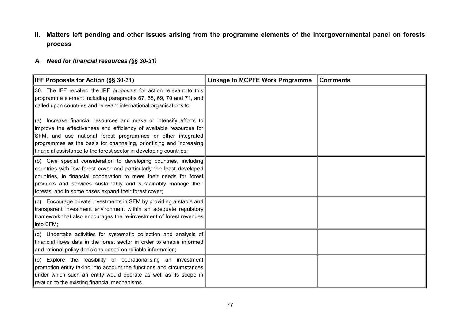### **II. Matters left pending and other issues arising from the programme elements of the intergovernmental panel on forests process**

#### *A. Need for financial resources (§§ 30-31)*

| <b>IFF Proposals for Action (§§ 30-31)</b>                                                                                                                                                                                                                                                                                                           | <b>Linkage to MCPFE Work Programme</b> | <b>Comments</b> |
|------------------------------------------------------------------------------------------------------------------------------------------------------------------------------------------------------------------------------------------------------------------------------------------------------------------------------------------------------|----------------------------------------|-----------------|
| 30. The IFF recalled the IPF proposals for action relevant to this<br>programme element including paragraphs 67, 68, 69, 70 and 71, and<br>called upon countries and relevant international organisations to:                                                                                                                                        |                                        |                 |
| (a) Increase financial resources and make or intensify efforts to<br>improve the effectiveness and efficiency of available resources for<br>SFM, and use national forest programmes or other integrated<br>programmes as the basis for channeling, prioritizing and increasing<br>financial assistance to the forest sector in developing countries; |                                        |                 |
| (b) Give special consideration to developing countries, including<br>countries with low forest cover and particularly the least developed<br>countries, in financial cooperation to meet their needs for forest<br>products and services sustainably and sustainably manage their<br>forests, and in some cases expand their forest cover;           |                                        |                 |
| (c) Encourage private investments in SFM by providing a stable and<br>transparent investment environment within an adequate regulatory<br>framework that also encourages the re-investment of forest revenues<br>into SFM;                                                                                                                           |                                        |                 |
| (d) Undertake activities for systematic collection and analysis of<br>financial flows data in the forest sector in order to enable informed<br>and rational policy decisions based on reliable information;                                                                                                                                          |                                        |                 |
| (e) Explore the feasibility of operationalising an investment<br>promotion entity taking into account the functions and circumstances<br>under which such an entity would operate as well as its scope in<br>relation to the existing financial mechanisms.                                                                                          |                                        |                 |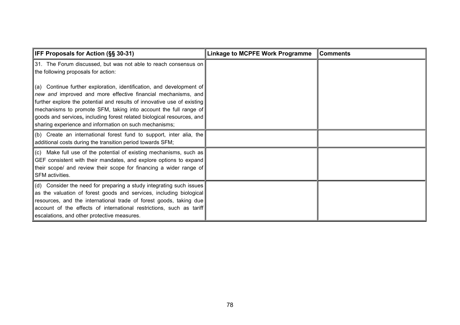| <b>IFF Proposals for Action (§§ 30-31)</b>                                                                                                                                                                                                                                                                                                                                                                                    | <b>Linkage to MCPFE Work Programme</b> | <b>Comments</b> |
|-------------------------------------------------------------------------------------------------------------------------------------------------------------------------------------------------------------------------------------------------------------------------------------------------------------------------------------------------------------------------------------------------------------------------------|----------------------------------------|-----------------|
| 31. The Forum discussed, but was not able to reach consensus on<br>the following proposals for action:                                                                                                                                                                                                                                                                                                                        |                                        |                 |
| $\ $ (a) Continue further exploration, identification, and development of<br>new and improved and more effective financial mechanisms, and<br>further explore the potential and results of innovative use of existing<br>mechanisms to promote SFM, taking into account the full range of<br>goods and services, including forest related biological resources, and<br>sharing experience and information on such mechanisms; |                                        |                 |
| $\vert$ (b) Create an international forest fund to support, inter alia, the<br>additional costs during the transition period towards SFM;                                                                                                                                                                                                                                                                                     |                                        |                 |
| $\vert$ (c) Make full use of the potential of existing mechanisms, such as<br>GEF consistent with their mandates, and explore options to expand<br>their scope/ and review their scope for financing a wider range of<br>SFM activities.                                                                                                                                                                                      |                                        |                 |
| $\vert$ (d) Consider the need for preparing a study integrating such issues<br>as the valuation of forest goods and services, including biological<br>resources, and the international trade of forest goods, taking due<br>account of the effects of international restrictions, such as tariff<br>escalations, and other protective measures.                                                                               |                                        |                 |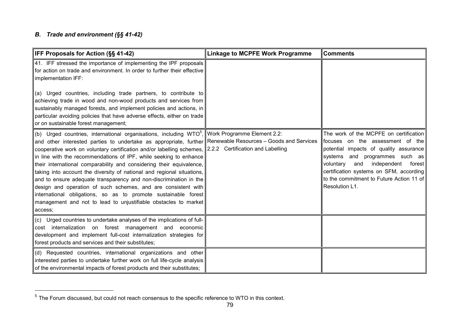#### *B. Trade and environment (§§ 41-42)*

| IFF Proposals for Action (SS 41-42)                                                                                                                                                                                                                                                                                                                                                                                                                                                                                                                                                                                                                                                                                             | <b>Linkage to MCPFE Work Programme</b>                                                                       | <b>Comments</b>                                                                                                                                                                                                                                                                                                |
|---------------------------------------------------------------------------------------------------------------------------------------------------------------------------------------------------------------------------------------------------------------------------------------------------------------------------------------------------------------------------------------------------------------------------------------------------------------------------------------------------------------------------------------------------------------------------------------------------------------------------------------------------------------------------------------------------------------------------------|--------------------------------------------------------------------------------------------------------------|----------------------------------------------------------------------------------------------------------------------------------------------------------------------------------------------------------------------------------------------------------------------------------------------------------------|
| 41. IFF stressed the importance of implementing the IPF proposals<br>for action on trade and environment. In order to further their effective<br>implementation IFF:<br>(a) Urged countries, including trade partners, to contribute to<br>achieving trade in wood and non-wood products and services from<br>sustainably managed forests, and implement policies and actions, in<br>particular avoiding policies that have adverse effects, either on trade<br>or on sustainable forest management;                                                                                                                                                                                                                            |                                                                                                              |                                                                                                                                                                                                                                                                                                                |
| (b) Urged countries, international organisations, including $WTO5$ ,<br>and other interested parties to undertake as appropriate, further<br>cooperative work on voluntary certification and/or labelling schemes,<br>in line with the recommendations of IPF, while seeking to enhance<br>their international comparability and considering their equivalence,<br>taking into account the diversity of national and regional situations,<br>and to ensure adequate transparency and non-discrimination in the<br>design and operation of such schemes, and are consistent with<br>international obligations, so as to promote sustainable forest<br>management and not to lead to unjustifiable obstacles to market<br>access; | Work Programme Element 2.2:<br>Renewable Resources - Goods and Services<br>2.2.2 Certification and Labelling | The work of the MCPFE on certification<br>focuses on the assessment of the<br>potential impacts of quality assurance<br>systems and programmes such as<br>independent<br>voluntary<br>and<br>forest  <br>certification systems on SFM, according<br>to the commitment to Future Action 11 of<br>Resolution L1. |
| (c) Urged countries to undertake analyses of the implications of full-<br>cost internalization on forest management and economic<br>development and implement full-cost internalization strategies for<br>forest products and services and their substitutes;                                                                                                                                                                                                                                                                                                                                                                                                                                                                   |                                                                                                              |                                                                                                                                                                                                                                                                                                                |
| (d) Requested countries, international organizations and other<br>interested parties to undertake further work on full life-cycle analysis<br>of the environmental impacts of forest products and their substitutes;                                                                                                                                                                                                                                                                                                                                                                                                                                                                                                            |                                                                                                              |                                                                                                                                                                                                                                                                                                                |

 $^5$  The Forum discussed, but could not reach consensus to the specific reference to WTO in this context.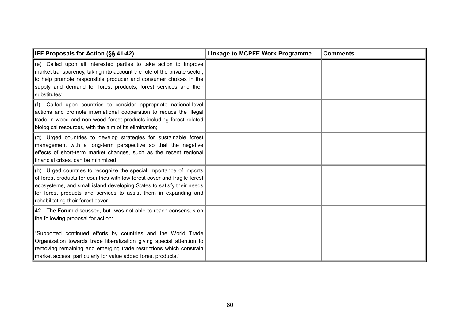| IFF Proposals for Action (§§ 41-42)                                                                                                                                                                                                                                                                                                                                                    | <b>Linkage to MCPFE Work Programme</b> | <b>Comments</b> |
|----------------------------------------------------------------------------------------------------------------------------------------------------------------------------------------------------------------------------------------------------------------------------------------------------------------------------------------------------------------------------------------|----------------------------------------|-----------------|
| (e) Called upon all interested parties to take action to improve<br>market transparency, taking into account the role of the private sector,<br>to help promote responsible producer and consumer choices in the<br>supply and demand for forest products, forest services and their<br>substitutes;                                                                                   |                                        |                 |
| (f) Called upon countries to consider appropriate national-level<br>actions and promote international cooperation to reduce the illegal<br>trade in wood and non-wood forest products including forest related<br>biological resources, with the aim of its elimination;                                                                                                               |                                        |                 |
| (g) Urged countries to develop strategies for sustainable forest<br>management with a long-term perspective so that the negative<br>effects of short-term market changes, such as the recent regional<br>financial crises, can be minimized;                                                                                                                                           |                                        |                 |
| (h) Urged countries to recognize the special importance of imports<br>of forest products for countries with low forest cover and fragile forest<br>ecosystems, and small island developing States to satisfy their needs<br>for forest products and services to assist them in expanding and<br>rehabilitating their forest cover.                                                     |                                        |                 |
| 42. The Forum discussed, but was not able to reach consensus on<br>the following proposal for action:<br>"Supported continued efforts by countries and the World Trade<br>Organization towards trade liberalization giving special attention to<br>removing remaining and emerging trade restrictions which constrain<br>market access, particularly for value added forest products." |                                        |                 |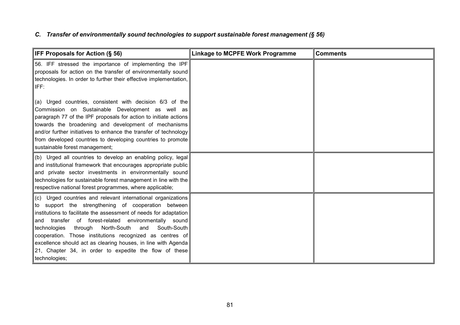## *C. Transfer of environmentally sound technologies to support sustainable forest management (§ 56)*

| <b>IFF Proposals for Action (§ 56)</b>                                                                                                                                                                                                                                                                                                                                                                                                                                                                                      | <b>Linkage to MCPFE Work Programme</b> | <b>Comments</b> |
|-----------------------------------------------------------------------------------------------------------------------------------------------------------------------------------------------------------------------------------------------------------------------------------------------------------------------------------------------------------------------------------------------------------------------------------------------------------------------------------------------------------------------------|----------------------------------------|-----------------|
| 56. IFF stressed the importance of implementing the IPF<br>proposals for action on the transfer of environmentally sound<br>technologies. In order to further their effective implementation,<br>IFF:                                                                                                                                                                                                                                                                                                                       |                                        |                 |
| (a) Urged countries, consistent with decision 6/3 of the<br>Commission on Sustainable Development as well as<br>paragraph 77 of the IPF proposals for action to initiate actions<br>towards the broadening and development of mechanisms<br>and/or further initiatives to enhance the transfer of technology<br>from developed countries to developing countries to promote<br>sustainable forest management;                                                                                                               |                                        |                 |
| (b) Urged all countries to develop an enabling policy, legal<br>and institutional framework that encourages appropriate public<br>and private sector investments in environmentally sound<br>technologies for sustainable forest management in line with the<br>respective national forest programmes, where applicable;                                                                                                                                                                                                    |                                        |                 |
| (c) Urged countries and relevant international organizations<br>to support the strengthening of cooperation between<br>institutions to facilitate the assessment of needs for adaptation<br>transfer of forest-related environmentally sound<br>and<br>North-South<br>South-South<br>technologies<br>through<br>and<br>cooperation. Those institutions recognized as centres of<br>excellence should act as clearing houses, in line with Agenda<br>21, Chapter 34, in order to expedite the flow of these<br>technologies; |                                        |                 |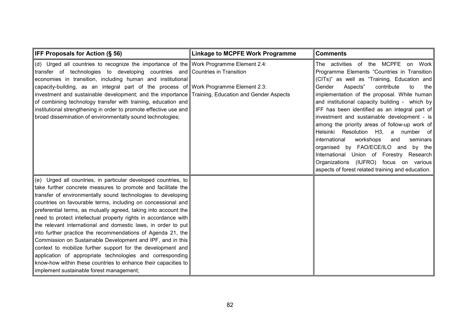| <b>IFF Proposals for Action (§ 56)</b>                                                                                                                                                                                                                                                                                                                                                                                                                                                                                                                                                                                                                                                                                                                                                                                                       | <b>Linkage to MCPFE Work Programme</b> | <b>Comments</b>                                                                                                                                                                                                                                                                                                                                                                                                                                                                                                                                                                                                                                                                                                 |
|----------------------------------------------------------------------------------------------------------------------------------------------------------------------------------------------------------------------------------------------------------------------------------------------------------------------------------------------------------------------------------------------------------------------------------------------------------------------------------------------------------------------------------------------------------------------------------------------------------------------------------------------------------------------------------------------------------------------------------------------------------------------------------------------------------------------------------------------|----------------------------------------|-----------------------------------------------------------------------------------------------------------------------------------------------------------------------------------------------------------------------------------------------------------------------------------------------------------------------------------------------------------------------------------------------------------------------------------------------------------------------------------------------------------------------------------------------------------------------------------------------------------------------------------------------------------------------------------------------------------------|
| (d) Urged all countries to recognize the importance of the Work Programme Element 2.4:<br>transfer of technologies to developing countries and Countries in Transition<br>economies in transition, including human and institutional<br>capacity-building, as an integral part of the process of Work Programme Element 2.3:<br>investment and sustainable development; and the importance Training, Education and Gender Aspects<br>of combining technology transfer with training, education and<br>institutional strengthening in order to promote effective use and<br>broad dissemination of environmentally sound technologies;                                                                                                                                                                                                        |                                        | The activities of the MCPFE on Work<br>Programme Elements "Countries in Transition<br>(CITs)" as well as "Training, Education and<br>contribute<br>to<br>Gender<br>Aspects"<br>the<br>implementation of the proposal. While human<br>and institutional capacity building - which by<br>IFF has been identified as an integral part of<br>investment and sustainable development - is<br>among the priority areas of follow-up work of<br>Helsinki Resolution H3, a number of<br>international<br>workshops<br>seminars<br>and<br>organised by FAO/ECE/ILO and by the<br>International Union of Forestry Research<br>Organizations (IUFRO) focus on various<br>aspects of forest related training and education. |
| (e) Urged all countries, in particular developed countries, to<br>take further concrete measures to promote and facilitate the<br>transfer of environmentally sound technologies to developing<br>countries on favourable terms, including on concessional and<br>preferential terms, as mutually agreed, taking into account the<br>need to protect intellectual property rights in accordance with<br>the relevant international and domestic laws, in order to put<br>into further practice the recommendations of Agenda 21, the<br>Commission on Sustainable Development and IPF, and in this<br>context to mobilize further support for the development and<br>application of appropriate technologies and corresponding<br>know-how within these countries to enhance their capacities to<br>implement sustainable forest management; |                                        |                                                                                                                                                                                                                                                                                                                                                                                                                                                                                                                                                                                                                                                                                                                 |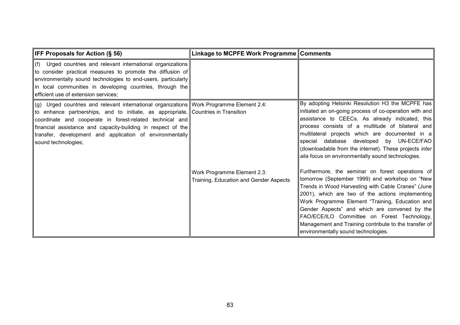| <b>IFF Proposals for Action (§ 56)</b>                                                                                                                                                                                                                                                                                                                                                       | Linkage to MCPFE Work Programme Comments                              |                                                                                                                                                                                                                                                                                                                                                                                                                                                                 |
|----------------------------------------------------------------------------------------------------------------------------------------------------------------------------------------------------------------------------------------------------------------------------------------------------------------------------------------------------------------------------------------------|-----------------------------------------------------------------------|-----------------------------------------------------------------------------------------------------------------------------------------------------------------------------------------------------------------------------------------------------------------------------------------------------------------------------------------------------------------------------------------------------------------------------------------------------------------|
| $ $ (f) Urged countries and relevant international organizations<br>to consider practical measures to promote the diffusion of<br>environmentally sound technologies to end-users, particularly<br>in local communities in developing countries, through the<br>efficient use of extension services;                                                                                         |                                                                       |                                                                                                                                                                                                                                                                                                                                                                                                                                                                 |
| (g) Urged countries and relevant international organizations Work Programme Element 2.4:<br>to enhance partnerships, and to initiate, as appropriate, Countries in Transition<br>coordinate and cooperate in forest-related technical and<br>financial assistance and capacity-building in respect of the<br>transfer, development and application of environmentally<br>sound technologies; |                                                                       | By adopting Helsinki Resolution H3 the MCPFE has<br>initiated an on-going process of co-operation with and<br>assistance to CEECs. As already indicated, this<br>process consists of a multitude of bilateral and<br>multilateral projects which are documented in a<br>special database developed by UN-ECE/FAO<br>(downloadable from the internet). These projects inter<br>alia focus on environmentally sound technologies.                                 |
|                                                                                                                                                                                                                                                                                                                                                                                              | Work Programme Element 2.3:<br>Training, Education and Gender Aspects | Furthermore, the seminar on forest operations of<br>tomorrow (September 1999) and workshop on "New<br>Trends in Wood Harvesting with Cable Cranes" (June<br>2001), which are two of the actions implementing<br>Work Programme Element "Training, Education and<br>Gender Aspects" and which are convened by the<br>FAO/ECE/ILO Committee on Forest Technology,<br>Management and Training contribute to the transfer of<br>environmentally sound technologies. |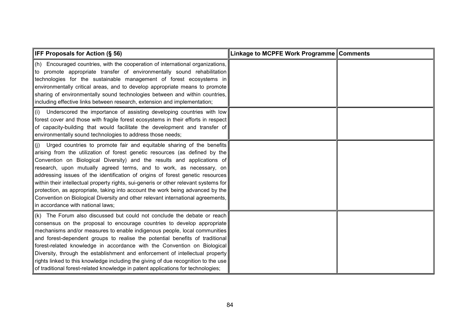| IFF Proposals for Action (§ 56)                                                                                                                                                                                                                                                                                                                                                                                                                                                                                                                                                                                                                                                                | Linkage to MCPFE Work Programme Comments |  |
|------------------------------------------------------------------------------------------------------------------------------------------------------------------------------------------------------------------------------------------------------------------------------------------------------------------------------------------------------------------------------------------------------------------------------------------------------------------------------------------------------------------------------------------------------------------------------------------------------------------------------------------------------------------------------------------------|------------------------------------------|--|
| (h) Encouraged countries, with the cooperation of international organizations,<br>to promote appropriate transfer of environmentally sound rehabilitation<br>technologies for the sustainable management of forest ecosystems in<br>environmentally critical areas, and to develop appropriate means to promote<br>sharing of environmentally sound technologies between and within countries,<br>including effective links between research, extension and implementation;                                                                                                                                                                                                                    |                                          |  |
| (i) Underscored the importance of assisting developing countries with low<br>forest cover and those with fragile forest ecosystems in their efforts in respect<br>of capacity-building that would facilitate the development and transfer of<br>environmentally sound technologies to address those needs;                                                                                                                                                                                                                                                                                                                                                                                     |                                          |  |
| (j) Urged countries to promote fair and equitable sharing of the benefits<br>arising from the utilization of forest genetic resources (as defined by the<br>Convention on Biological Diversity) and the results and applications of<br>research, upon mutually agreed terms, and to work, as necessary, on<br>addressing issues of the identification of origins of forest genetic resources<br>within their intellectual property rights, sui-generis or other relevant systems for<br>protection, as appropriate, taking into account the work being advanced by the<br>Convention on Biological Diversity and other relevant international agreements,<br>in accordance with national laws; |                                          |  |
| (k) The Forum also discussed but could not conclude the debate or reach<br>consensus on the proposal to encourage countries to develop appropriate<br>mechanisms and/or measures to enable indigenous people, local communities<br>and forest-dependent groups to realise the potential benefits of traditional<br>forest-related knowledge in accordance with the Convention on Biological<br>Diversity, through the establishment and enforcement of intellectual property<br>rights linked to this knowledge including the giving of due recognition to the use<br>of traditional forest-related knowledge in patent applications for technologies;                                         |                                          |  |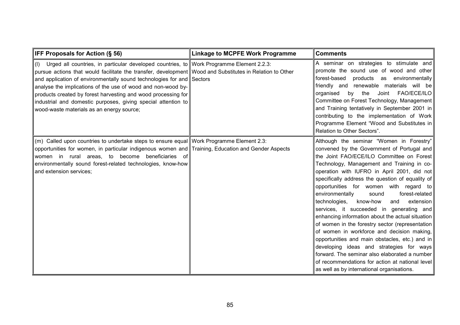| <b>IFF Proposals for Action (§ 56)</b>                                                                                                                                                                                                                                                                                                                                                                                                                                                                                           | <b>Linkage to MCPFE Work Programme</b> | <b>Comments</b>                                                                                                                                                                                                                                                                                                                                                                                                                                                                                                                                                                                                                                                                                                                                                                                                                                                                |
|----------------------------------------------------------------------------------------------------------------------------------------------------------------------------------------------------------------------------------------------------------------------------------------------------------------------------------------------------------------------------------------------------------------------------------------------------------------------------------------------------------------------------------|----------------------------------------|--------------------------------------------------------------------------------------------------------------------------------------------------------------------------------------------------------------------------------------------------------------------------------------------------------------------------------------------------------------------------------------------------------------------------------------------------------------------------------------------------------------------------------------------------------------------------------------------------------------------------------------------------------------------------------------------------------------------------------------------------------------------------------------------------------------------------------------------------------------------------------|
| (I) Urged all countries, in particular developed countries, to Work Programme Element 2.2.3:<br>pursue actions that would facilitate the transfer, development Wood and Substitutes in Relation to Other<br>and application of environmentally sound technologies for and Sectors<br>analyse the implications of the use of wood and non-wood by-<br>products created by forest harvesting and wood processing for<br>industrial and domestic purposes, giving special attention to<br>wood-waste materials as an energy source; |                                        | A seminar on strategies to stimulate and<br>promote the sound use of wood and other<br>forest-based<br>products as environmentally<br>friendly and<br>renewable materials will be<br>FAO/ECE/ILO<br>the<br>Joint<br>organised<br>by<br>Committee on Forest Technology, Management<br>and Training tentatively in September 2001 in<br>contributing to the implementation of Work<br>Programme Element "Wood and Substitutes in<br>Relation to Other Sectors".                                                                                                                                                                                                                                                                                                                                                                                                                  |
| (m) Called upon countries to undertake steps to ensure equal Work Programme Element 2.3:<br>opportunities for women, in particular indigenous women and Training, Education and Gender Aspects<br>women in rural areas, to become beneficiaries of<br>environmentally sound forest-related technologies, know-how<br>and extension services;                                                                                                                                                                                     |                                        | Although the seminar "Women in Forestry"<br>convened by the Government of Portugal and<br>the Joint FAO/ECE/ILO Committee on Forest<br>Technology, Management and Training in co-<br>operation with IUFRO in April 2001, did not<br>specifically address the question of equality of<br>opportunities for women with regard to<br>forest-related<br>environmentally<br>sound<br>technologies,<br>know-how<br>extension<br>and<br>services, it succeeded in generating and<br>enhancing information about the actual situation<br>of women in the forestry sector (representation<br>of women in workforce and decision making,<br>opportunities and main obstacles, etc.) and in<br>developing ideas and strategies for ways<br>forward. The seminar also elaborated a number<br>of recommendations for action at national level<br>as well as by international organisations. |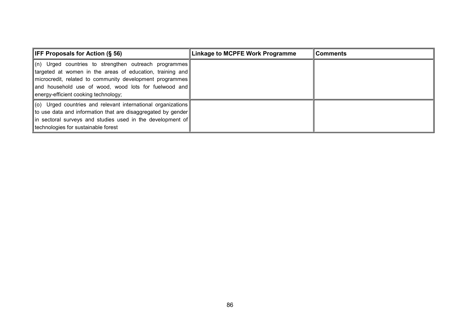| <b>IFF Proposals for Action <math>(\S 56)</math></b>                                                                                                                                                                                                                                 | Linkage to MCPFE Work Programme | <b>Comments</b> |
|--------------------------------------------------------------------------------------------------------------------------------------------------------------------------------------------------------------------------------------------------------------------------------------|---------------------------------|-----------------|
| $\ $ (n) Urged countries to strengthen outreach programmes<br>targeted at women in the areas of education, training and<br>microcredit, related to community development programmes<br>and household use of wood, wood lots for fuelwood and<br>energy-efficient cooking technology; |                                 |                 |
| $\ $ (o) Urged countries and relevant international organizations<br>to use data and information that are disaggregated by gender<br>in sectoral surveys and studies used in the development of<br>technologies for sustainable forest                                               |                                 |                 |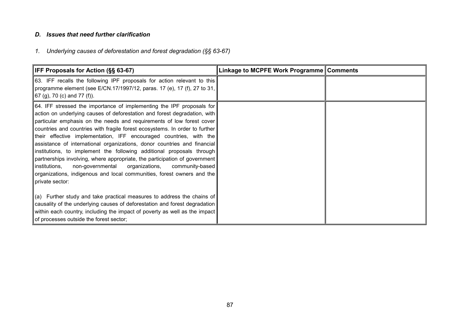#### *D. Issues that need further clarification*

# *1. Underlying causes of deforestation and forest degradation (§§ 63-67)*

| <b>IFF Proposals for Action (§§ 63-67)</b>                                                                                                                                                                                                                                                                                                                                                                                                                                                                                                                                                                                                                                                                                                                                                   | Linkage to MCPFE Work Programme Comments |  |
|----------------------------------------------------------------------------------------------------------------------------------------------------------------------------------------------------------------------------------------------------------------------------------------------------------------------------------------------------------------------------------------------------------------------------------------------------------------------------------------------------------------------------------------------------------------------------------------------------------------------------------------------------------------------------------------------------------------------------------------------------------------------------------------------|------------------------------------------|--|
| 63. IFF recalls the following IPF proposals for action relevant to this<br> programme element (see E/CN.17/1997/12, paras. 17 (e), 17 (f), 27 to 31,  <br>67 (g), 70 (c) and 77 (f)).                                                                                                                                                                                                                                                                                                                                                                                                                                                                                                                                                                                                        |                                          |  |
| 64. IFF stressed the importance of implementing the IPF proposals for<br>action on underlying causes of deforestation and forest degradation, with<br>particular emphasis on the needs and requirements of low forest cover<br>countries and countries with fragile forest ecosystems. In order to further<br>their effective implementation, IFF encouraged countries, with the<br>assistance of international organizations, donor countries and financial<br> institutions, to implement the following additional proposals through <br>partnerships involving, where appropriate, the participation of government<br>institutions,<br>non-governmental<br>organizations,<br>community-based<br>organizations, indigenous and local communities, forest owners and the<br>private sector: |                                          |  |
| $\ $ (a) Further study and take practical measures to address the chains of<br>causality of the underlying causes of deforestation and forest degradation<br>within each country, including the impact of poverty as well as the impact<br>of processes outside the forest sector;                                                                                                                                                                                                                                                                                                                                                                                                                                                                                                           |                                          |  |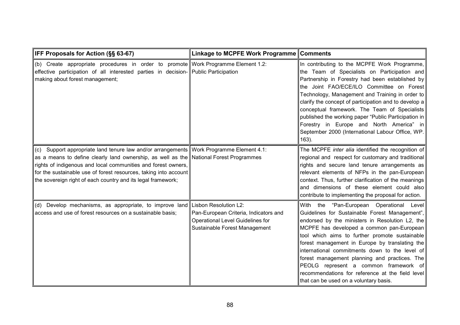| IFF Proposals for Action (§§ 63-67)                                                                                                                                                                                                                                                                                                                                                    | Linkage to MCPFE Work Programme                                                                                                            | <b>Comments</b>                                                                                                                                                                                                                                                                                                                                                                                                                                                                                                                             |
|----------------------------------------------------------------------------------------------------------------------------------------------------------------------------------------------------------------------------------------------------------------------------------------------------------------------------------------------------------------------------------------|--------------------------------------------------------------------------------------------------------------------------------------------|---------------------------------------------------------------------------------------------------------------------------------------------------------------------------------------------------------------------------------------------------------------------------------------------------------------------------------------------------------------------------------------------------------------------------------------------------------------------------------------------------------------------------------------------|
| (b) Create appropriate procedures in order to promote Work Programme Element 1.2:<br>effective participation of all interested parties in decision- Public Participation<br>making about forest management;                                                                                                                                                                            |                                                                                                                                            | In contributing to the MCPFE Work Programme,<br>the Team of Specialists on Participation and<br>Partnership in Forestry had been established by<br>the Joint FAO/ECE/ILO Committee on Forest<br>Technology, Management and Training in order to<br>clarify the concept of participation and to develop a<br>conceptual framework. The Team of Specialists<br>published the working paper "Public Participation in<br>Forestry in Europe and North America" in<br>September 2000 (International Labour Office, WP.<br>$163$ ).               |
| (c) Support appropriate land tenure law and/or arrangements Work Programme Element 4.1:<br>as a means to define clearly land ownership, as well as the National Forest Programmes<br>rights of indigenous and local communities and forest owners,<br>for the sustainable use of forest resources, taking into account<br>the sovereign right of each country and its legal framework; |                                                                                                                                            | The MCPFE inter alia identified the recognition of<br>regional and respect for customary and traditional<br>rights and secure land tenure arrangements as<br>relevant elements of NFPs in the pan-European<br>context. Thus, further clarification of the meanings<br>and dimensions of these element could also<br>contribute to implementing the proposal for action.                                                                                                                                                                     |
| (d) Develop mechanisms, as appropriate, to improve land<br>access and use of forest resources on a sustainable basis;                                                                                                                                                                                                                                                                  | Lisbon Resolution L2:<br>Pan-European Criteria, Indicators and<br><b>Operational Level Guidelines for</b><br>Sustainable Forest Management | With the "Pan-European Operational<br>Level<br>Guidelines for Sustainable Forest Management",<br>endorsed by the ministers in Resolution L2, the<br>MCPFE has developed a common pan-European<br>tool which aims to further promote sustainable<br>forest management in Europe by translating the<br>international commitments down to the level of<br>forest management planning and practices. The<br>PEOLG represent a common framework of<br>recommendations for reference at the field level<br>that can be used on a voluntary basis. |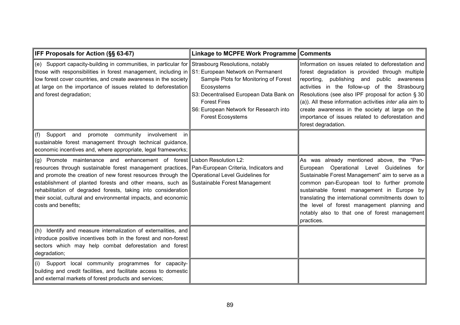| IFF Proposals for Action (§§ 63-67)                                                                                                                                                                                                                                                                                                                                                                                                                                                                                               | Linkage to MCPFE Work Programme                                                                                                                                                             | <b>Comments</b>                                                                                                                                                                                                                                                                                                                                                                                                                                                 |
|-----------------------------------------------------------------------------------------------------------------------------------------------------------------------------------------------------------------------------------------------------------------------------------------------------------------------------------------------------------------------------------------------------------------------------------------------------------------------------------------------------------------------------------|---------------------------------------------------------------------------------------------------------------------------------------------------------------------------------------------|-----------------------------------------------------------------------------------------------------------------------------------------------------------------------------------------------------------------------------------------------------------------------------------------------------------------------------------------------------------------------------------------------------------------------------------------------------------------|
| (e) Support capacity-building in communities, in particular for Strasbourg Resolutions, notably<br>those with responsibilities in forest management, including in S1: European Network on Permanent<br>low forest cover countries, and create awareness in the society<br>at large on the importance of issues related to deforestation<br>and forest degradation;                                                                                                                                                                | Sample Plots for Monitoring of Forest<br>Ecosystems<br>S3: Decentralised European Data Bank on<br><b>Forest Fires</b><br>S6: European Network for Research into<br><b>Forest Ecosystems</b> | Information on issues related to deforestation and<br>forest degradation is provided through multiple<br>reporting, publishing and public awareness<br>activities in the follow-up of the Strasbourg<br>Resolutions (see also IPF proposal for action $\S 30$<br>(a)). All these information activities <i>inter alia</i> aim to<br>create awareness in the society at large on the<br>importance of issues related to deforestation and<br>forest degradation. |
| promote community<br>involvement<br>(f)<br>Support and<br>in<br>sustainable forest management through technical guidance,<br>economic incentives and, where appropriate, legal frameworks;                                                                                                                                                                                                                                                                                                                                        |                                                                                                                                                                                             |                                                                                                                                                                                                                                                                                                                                                                                                                                                                 |
| (g) Promote maintenance and enhancement of forest Lisbon Resolution L2:<br>resources through sustainable forest management practices, Pan-European Criteria, Indicators and<br>and promote the creation of new forest resources through the Operational Level Guidelines for<br>establishment of planted forests and other means, such as Sustainable Forest Management<br>rehabilitation of degraded forests, taking into consideration<br>their social, cultural and environmental impacts, and economic<br>costs and benefits; |                                                                                                                                                                                             | As was already mentioned above, the "Pan-<br>European Operational Level Guidelines for<br>Sustainable Forest Management" aim to serve as a<br>common pan-European tool to further promote<br>sustainable forest management in Europe by<br>translating the international commitments down to<br>the level of forest management planning and<br>notably also to that one of forest management<br>practices.                                                      |
| (h) Identify and measure internalization of externalities, and<br>introduce positive incentives both in the forest and non-forest<br>sectors which may help combat deforestation and forest<br>degradation;                                                                                                                                                                                                                                                                                                                       |                                                                                                                                                                                             |                                                                                                                                                                                                                                                                                                                                                                                                                                                                 |
| Support local community programmes for capacity-<br>(i)<br>building and credit facilities, and facilitate access to domestic<br>and external markets of forest products and services;                                                                                                                                                                                                                                                                                                                                             |                                                                                                                                                                                             |                                                                                                                                                                                                                                                                                                                                                                                                                                                                 |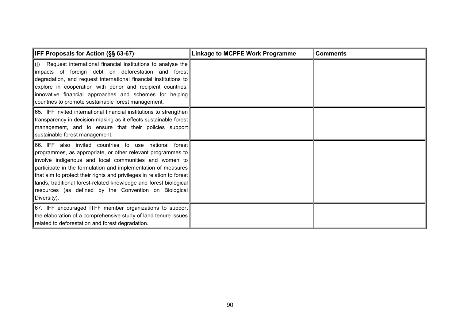| <b>IFF Proposals for Action (§§ 63-67)</b>                                                                                                                                                                                                                                                                                                                                                                                                                           | <b>Linkage to MCPFE Work Programme</b> | <b>Comments</b> |
|----------------------------------------------------------------------------------------------------------------------------------------------------------------------------------------------------------------------------------------------------------------------------------------------------------------------------------------------------------------------------------------------------------------------------------------------------------------------|----------------------------------------|-----------------|
| $(i)$ Request international financial institutions to analyse the<br>impacts of foreign debt on deforestation and forest<br>degradation, and request international financial institutions to<br>explore in cooperation with donor and recipient countries,<br>innovative financial approaches and schemes for helping<br>countries to promote sustainable forest management.                                                                                         |                                        |                 |
| 65. IFF invited international financial institutions to strengthen<br>transparency in decision-making as it effects sustainable forest<br>management, and to ensure that their policies support<br>sustainable forest management.                                                                                                                                                                                                                                    |                                        |                 |
| 66. IFF also invited countries to use national forest<br>programmes, as appropriate, or other relevant programmes to<br>involve indigenous and local communities and women to<br>participate in the formulation and implementation of measures<br>that aim to protect their rights and privileges in relation to forest<br>lands, traditional forest-related knowledge and forest biological<br>resources (as defined by the Convention on Biological<br>Diversity). |                                        |                 |
| 67. IFF encouraged ITFF member organizations to support<br>the elaboration of a comprehensive study of land tenure issues<br>related to deforestation and forest degradation.                                                                                                                                                                                                                                                                                        |                                        |                 |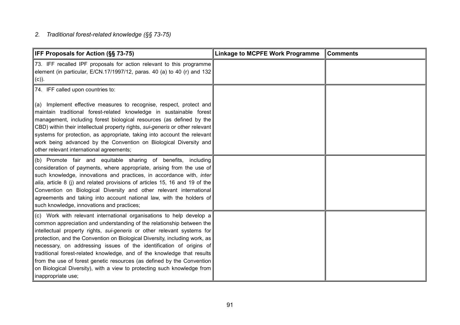## *2. Traditional forest-related knowledge (§§ 73-75)*

| IFF Proposals for Action (§§ 73-75)                                                                                                                                                                                                                                                                                                                                                                                                                                                                                                                                                                                                 | <b>Linkage to MCPFE Work Programme</b> | <b>Comments</b> |
|-------------------------------------------------------------------------------------------------------------------------------------------------------------------------------------------------------------------------------------------------------------------------------------------------------------------------------------------------------------------------------------------------------------------------------------------------------------------------------------------------------------------------------------------------------------------------------------------------------------------------------------|----------------------------------------|-----------------|
| 73. IFF recalled IPF proposals for action relevant to this programme<br>element (in particular, E/CN.17/1997/12, paras. 40 (a) to 40 (r) and 132<br>$(c)$ ).                                                                                                                                                                                                                                                                                                                                                                                                                                                                        |                                        |                 |
| 74. IFF called upon countries to:                                                                                                                                                                                                                                                                                                                                                                                                                                                                                                                                                                                                   |                                        |                 |
| (a) Implement effective measures to recognise, respect, protect and<br>maintain traditional forest-related knowledge in sustainable forest<br>management, including forest biological resources (as defined by the<br>CBD) within their intellectual property rights, sui-generis or other relevant<br>systems for protection, as appropriate, taking into account the relevant<br>work being advanced by the Convention on Biological Diversity and<br>other relevant international agreements;                                                                                                                                    |                                        |                 |
| (b) Promote fair and equitable sharing of benefits, including<br>consideration of payments, where appropriate, arising from the use of<br>such knowledge, innovations and practices, in accordance with, inter<br>alia, article 8 (j) and related provisions of articles 15, 16 and 19 of the<br>Convention on Biological Diversity and other relevant international<br>agreements and taking into account national law, with the holders of<br>such knowledge, innovations and practices;                                                                                                                                          |                                        |                 |
| (c) Work with relevant international organisations to help develop a<br>common appreciation and understanding of the relationship between the<br>intellectual property rights, sui-generis or other relevant systems for<br>protection, and the Convention on Biological Diversity, including work, as<br>necessary, on addressing issues of the identification of origins of<br>traditional forest-related knowledge, and of the knowledge that results<br>from the use of forest genetic resources (as defined by the Convention<br>on Biological Diversity), with a view to protecting such knowledge from<br>inappropriate use; |                                        |                 |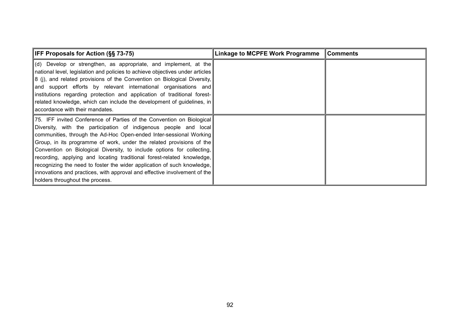| <b>IFF Proposals for Action (§§ 73-75)</b>                                                                                                                                                                                                                                                                                                                                                                                                                                                                                                                                                                                              | Linkage to MCPFE Work Programme | <b>Comments</b> |
|-----------------------------------------------------------------------------------------------------------------------------------------------------------------------------------------------------------------------------------------------------------------------------------------------------------------------------------------------------------------------------------------------------------------------------------------------------------------------------------------------------------------------------------------------------------------------------------------------------------------------------------------|---------------------------------|-----------------|
| $\vert$ (d) Develop or strengthen, as appropriate, and implement, at the<br>national level, legislation and policies to achieve objectives under articles<br>$\parallel$ 8 (i), and related provisions of the Convention on Biological Diversity,<br> and support efforts by relevant international organisations and<br> institutions regarding protection and application of traditional forest- <br>related knowledge, which can include the development of guidelines, in<br>accordance with their mandates.                                                                                                                        |                                 |                 |
| [75. IFF invited Conference of Parties of the Convention on Biological<br>Diversity, with the participation of indigenous people and local<br>communities, through the Ad-Hoc Open-ended Inter-sessional Working<br>Group, in its programme of work, under the related provisions of the<br>Convention on Biological Diversity, to include options for collecting,<br>recording, applying and locating traditional forest-related knowledge,<br>recognizing the need to foster the wider application of such knowledge,<br>innovations and practices, with approval and effective involvement of the<br>holders throughout the process. |                                 |                 |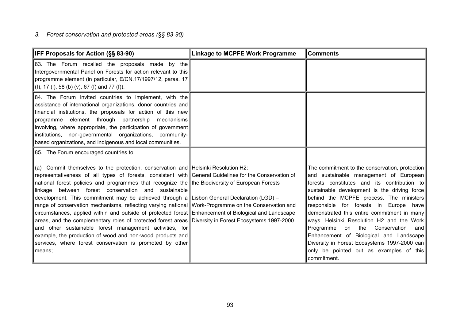#### *3. Forest conservation and protected areas (§§ 83-90)*

| IFF Proposals for Action (§§ 83-90)                                                                                                                                                                                                                                                                                                                                                                                                                                                                                                                                                                                                                                                                                                                                                                                                                                                                                                                                        | <b>Linkage to MCPFE Work Programme</b> | <b>Comments</b>                                                                                                                                                                                                                                                                                                                                                                                                                                                                                                                                                          |
|----------------------------------------------------------------------------------------------------------------------------------------------------------------------------------------------------------------------------------------------------------------------------------------------------------------------------------------------------------------------------------------------------------------------------------------------------------------------------------------------------------------------------------------------------------------------------------------------------------------------------------------------------------------------------------------------------------------------------------------------------------------------------------------------------------------------------------------------------------------------------------------------------------------------------------------------------------------------------|----------------------------------------|--------------------------------------------------------------------------------------------------------------------------------------------------------------------------------------------------------------------------------------------------------------------------------------------------------------------------------------------------------------------------------------------------------------------------------------------------------------------------------------------------------------------------------------------------------------------------|
| 83. The Forum recalled the proposals made by the<br>Intergovernmental Panel on Forests for action relevant to this<br>programme element (in particular, E/CN.17/1997/12, paras. 17<br>(f), 17 (l), 58 (b) (v), 67 (f) and 77 (f)).                                                                                                                                                                                                                                                                                                                                                                                                                                                                                                                                                                                                                                                                                                                                         |                                        |                                                                                                                                                                                                                                                                                                                                                                                                                                                                                                                                                                          |
| 84. The Forum invited countries to implement, with the<br>assistance of international organizations, donor countries and<br>financial institutions, the proposals for action of this new<br>programme element through partnership mechanisms<br>involving, where appropriate, the participation of government<br>institutions, non-governmental organizations, community-<br>based organizations, and indigenous and local communities.                                                                                                                                                                                                                                                                                                                                                                                                                                                                                                                                    |                                        |                                                                                                                                                                                                                                                                                                                                                                                                                                                                                                                                                                          |
| 85. The Forum encouraged countries to:                                                                                                                                                                                                                                                                                                                                                                                                                                                                                                                                                                                                                                                                                                                                                                                                                                                                                                                                     |                                        |                                                                                                                                                                                                                                                                                                                                                                                                                                                                                                                                                                          |
| (a) Commit themselves to the protection, conservation and Helsinki Resolution H2:<br>representativeness of all types of forests, consistent with General Guidelines for the Conservation of<br>national forest policies and programmes that recognize the the Biodiversity of European Forests<br>linkage between forest conservation and sustainable<br>development. This commitment may be achieved through a Lisbon General Declaration (LGD) –<br>range of conservation mechanisms, reflecting varying national Work-Programme on the Conservation and<br>circumstances, applied within and outside of protected forest Enhancement of Biological and Landscape<br>areas, and the complementary roles of protected forest areas Diversity in Forest Ecosystems 1997-2000<br>and other sustainable forest management activities, for<br>example, the production of wood and non-wood products and<br>services, where forest conservation is promoted by other<br>means; |                                        | The commitment to the conservation, protection<br>and sustainable management of European<br>forests constitutes and its contribution to<br>sustainable development is the driving force<br>behind the MCPFE process. The ministers<br>responsible for forests in Europe have<br>demonstrated this entire commitment in many<br>ways. Helsinki Resolution H2 and the Work<br>on the Conservation<br>Programme<br>and<br>Enhancement of Biological and Landscape<br>Diversity in Forest Ecosystems 1997-2000 can<br>only be pointed out as examples of this<br>commitment. |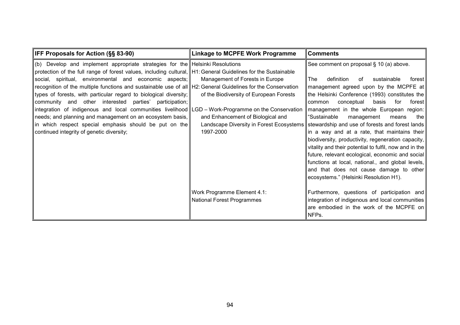| <b>IFF Proposals for Action (§§ 83-90)</b>                                                                                                                                                                                                                                                                                                                                                                                                                                                                                                                                                                                                                                                                                                                                                     | <b>Linkage to MCPFE Work Programme</b>                                                                                                                                   | <b>Comments</b>                                                                                                                                                                                                                                                                                                                                                                                                                                                                                                                                                                                                                                                                                                |
|------------------------------------------------------------------------------------------------------------------------------------------------------------------------------------------------------------------------------------------------------------------------------------------------------------------------------------------------------------------------------------------------------------------------------------------------------------------------------------------------------------------------------------------------------------------------------------------------------------------------------------------------------------------------------------------------------------------------------------------------------------------------------------------------|--------------------------------------------------------------------------------------------------------------------------------------------------------------------------|----------------------------------------------------------------------------------------------------------------------------------------------------------------------------------------------------------------------------------------------------------------------------------------------------------------------------------------------------------------------------------------------------------------------------------------------------------------------------------------------------------------------------------------------------------------------------------------------------------------------------------------------------------------------------------------------------------------|
| $(b)$ Develop and implement appropriate strategies for the Helsinki Resolutions<br>protection of the full range of forest values, including cultural, H1: General Guidelines for the Sustainable<br>social, spiritual, environmental and economic aspects;<br>recognition of the multiple functions and sustainable use of all  H2: General Guidelines for the Conservation<br>types of forests, with particular regard to biological diversity;<br>community and other interested parties'<br>participation;  <br>integration of indigenous and local communities livelihood LGD – Work-Programme on the Conservation<br>needs; and planning and management on an ecosystem basis,<br> in which respect special emphasis should be put on the   <br>continued integrity of genetic diversity; | Management of Forests in Europe<br>of the Biodiversity of European Forests<br>and Enhancement of Biological and<br>Landscape Diversity in Forest Ecosystems<br>1997-2000 | See comment on proposal § 10 (a) above.<br>The<br>definition<br>sustainable<br>of<br>forest  <br>management agreed upon by the MCPFE at<br>the Helsinki Conference (1993) constitutes the<br>conceptual<br>basis<br>for<br>common<br>forest l<br>management in the whole European region:<br>"Sustainable<br>management<br>the<br>means<br>stewardship and use of forests and forest lands<br>in a way and at a rate, that maintains their<br>biodiversity, productivity, regeneration capacity,<br>vitality and their potential to fulfil, now and in the<br>future, relevant ecological, economic and social<br>functions at local, national., and global levels,<br>and that does not cause damage to other |
|                                                                                                                                                                                                                                                                                                                                                                                                                                                                                                                                                                                                                                                                                                                                                                                                | Work Programme Element 4.1:<br><b>National Forest Programmes</b>                                                                                                         | ecosystems." (Helsinki Resolution H1).<br>Furthermore, questions of participation and<br>integration of indigenous and local communities<br>are embodied in the work of the MCPFE on<br>NFPs.                                                                                                                                                                                                                                                                                                                                                                                                                                                                                                                  |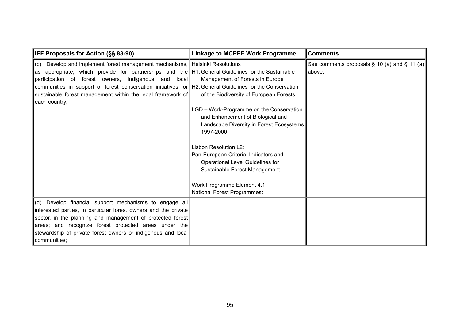| <b>IFF Proposals for Action (§§ 83-90)</b>                                                                                                                                                                                                                                                                                                                                                                                              | <b>Linkage to MCPFE Work Programme</b>                                                                                                                                                                                                                                                                                     | <b>Comments</b>                                              |
|-----------------------------------------------------------------------------------------------------------------------------------------------------------------------------------------------------------------------------------------------------------------------------------------------------------------------------------------------------------------------------------------------------------------------------------------|----------------------------------------------------------------------------------------------------------------------------------------------------------------------------------------------------------------------------------------------------------------------------------------------------------------------------|--------------------------------------------------------------|
| ∥(c) Develop and implement forest management mechanisms, Helsinki Resolutions<br>as appropriate, which provide for partnerships and the H1: General Guidelines for the Sustainable<br>participation of forest owners, indigenous and local<br>communities in support of forest conservation initiatives for H2: General Guidelines for the Conservation<br>sustainable forest management within the legal framework of<br>each country; | Management of Forests in Europe<br>of the Biodiversity of European Forests<br>LGD - Work-Programme on the Conservation<br>and Enhancement of Biological and<br>Landscape Diversity in Forest Ecosystems<br>1997-2000<br>Lisbon Resolution L2:<br>Pan-European Criteria, Indicators and<br>Operational Level Guidelines for | See comments proposals $\S$ 10 (a) and $\S$ 11 (a)<br>above. |
| (d) Develop financial support mechanisms to engage all                                                                                                                                                                                                                                                                                                                                                                                  | Sustainable Forest Management<br>Work Programme Element 4.1:<br>National Forest Programmes:                                                                                                                                                                                                                                |                                                              |
| interested parties, in particular forest owners and the private<br>sector, in the planning and management of protected forest<br>areas; and recognize forest protected areas under the<br>stewardship of private forest owners or indigenous and local<br>communities;                                                                                                                                                                  |                                                                                                                                                                                                                                                                                                                            |                                                              |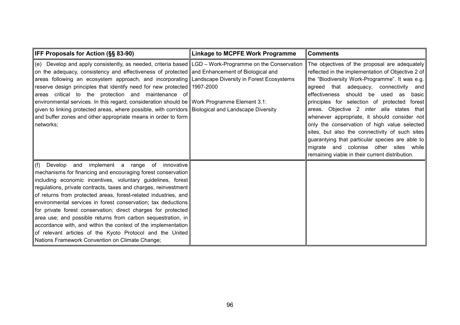| <b>IFF Proposals for Action (§§ 83-90)</b>                                                                                                                                                                                                                                                                                                                                                                                                                                                                                                                                                                                                                                                                                             | <b>Linkage to MCPFE Work Programme</b> | <b>Comments</b>                                                                                                                                                                                                                                                                                                                                                                                                                                                                                                                                                                                                                             |
|----------------------------------------------------------------------------------------------------------------------------------------------------------------------------------------------------------------------------------------------------------------------------------------------------------------------------------------------------------------------------------------------------------------------------------------------------------------------------------------------------------------------------------------------------------------------------------------------------------------------------------------------------------------------------------------------------------------------------------------|----------------------------------------|---------------------------------------------------------------------------------------------------------------------------------------------------------------------------------------------------------------------------------------------------------------------------------------------------------------------------------------------------------------------------------------------------------------------------------------------------------------------------------------------------------------------------------------------------------------------------------------------------------------------------------------------|
| $(e)$ Develop and apply consistently, as needed, criteria based $ LGD - Work-Program$ on the Conservation<br>on the adequacy, consistency and effectiveness of protected and Enhancement of Biological and<br>areas following an ecosystem approach, and incorporating Landscape Diversity in Forest Ecosystems<br>reserve design principles that identify need for new protected 1997-2000<br>areas critical to the protection and maintenance of<br>environmental services. In this regard, consideration should be Work Programme Element 3.1:<br>given to linking protected areas, where possible, with corridors Biological and Landscape Diversity<br>and buffer zones and other appropriate means in order to form<br>networks; |                                        | The objectives of the proposal are adequately<br>reflected in the implementation of Objective 2 of<br>the "Biodiversity Work-Programme". It was e.g.<br>agreed that adequacy, connectivity and<br>effectiveness should be used as<br>basic  <br>principles for selection of protected forest<br>areas. Objective 2 inter alia states that<br>whenever appropriate, it should consider not<br>only the conservation of high value selected<br>sites, but also the connectivity of such sites<br>guarantying that particular species are able to<br>migrate and colonise other sites while<br>remaining viable in their current distribution. |
| $\ $ (f) Develop<br>implement a range of<br>and<br>innovative<br>mechanisms for financing and encouraging forest conservation<br>including economic incentives, voluntary guidelines, forest<br>regulations, private contracts, taxes and charges, reinvestment<br>of returns from protected areas, forest-related industries, and<br>environmental services in forest conservation; tax deductions<br>for private forest conservation; direct charges for protected<br>area use; and possible returns from carbon sequestration, in<br>accordance with, and within the context of the implementation<br>of relevant articles of the Kyoto Protocol and the United<br>Nations Framework Convention on Climate Change;                  |                                        |                                                                                                                                                                                                                                                                                                                                                                                                                                                                                                                                                                                                                                             |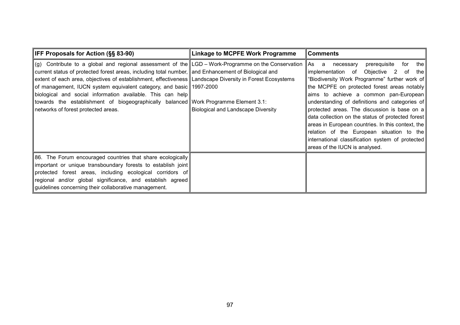| <b>IFF Proposals for Action (§§ 83-90)</b>                                                                                                                                                                                                                                                                                                                                                                                                                                                                                                                                                 | <b>Linkage to MCPFE Work Programme</b>    | <b>Comments</b>                                                                                                                                                                                                                                                                                                                                                                                                                                                                                                                                                                       |
|--------------------------------------------------------------------------------------------------------------------------------------------------------------------------------------------------------------------------------------------------------------------------------------------------------------------------------------------------------------------------------------------------------------------------------------------------------------------------------------------------------------------------------------------------------------------------------------------|-------------------------------------------|---------------------------------------------------------------------------------------------------------------------------------------------------------------------------------------------------------------------------------------------------------------------------------------------------------------------------------------------------------------------------------------------------------------------------------------------------------------------------------------------------------------------------------------------------------------------------------------|
| $(g)$ Contribute to a global and regional assessment of the LGD – Work-Programme on the Conservation<br>current status of protected forest areas, including total number, and Enhancement of Biological and<br>extent of each area, objectives of establishment, effectiveness Landscape Diversity in Forest Ecosystems<br>of management, IUCN system equivalent category, and basic 1997-2000<br>biological and social information available. This can help<br>towards the establishment of biogeographically balanced Work Programme Element 3.1:<br>networks of forest protected areas. | <b>Biological and Landscape Diversity</b> | for<br>prerequisite<br>_the ∣<br>As<br>necessary<br>a<br>implementation of Objective 2 of the<br>"Biodiversity Work Programme" further work of<br>the MCPFE on protected forest areas notably<br>aims to achieve a common pan-European<br>understanding of definitions and categories of<br>protected areas. The discussion is base on a<br>data collection on the status of protected forest<br>areas in European countries. In this context, the<br>relation of the European situation to the<br>international classification system of protected<br>areas of the IUCN is analysed. |
| [86. The Forum encouraged countries that share ecologically]<br>important or unique transboundary forests to establish joint<br>protected forest areas, including ecological corridors of<br>regional and/or global significance, and establish agreed<br>guidelines concerning their collaborative management.                                                                                                                                                                                                                                                                            |                                           |                                                                                                                                                                                                                                                                                                                                                                                                                                                                                                                                                                                       |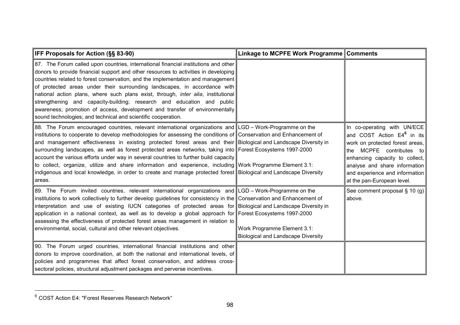| <b>IFF Proposals for Action (§§ 83-90)</b>                                                                                                                                                                                                                                                                                                                                                                                                                                                                                                                                                                                                                                                                                                                                                           | Linkage to MCPFE Work Programme Comments                                                                          |                                                                                                                                                                                                                                                                            |
|------------------------------------------------------------------------------------------------------------------------------------------------------------------------------------------------------------------------------------------------------------------------------------------------------------------------------------------------------------------------------------------------------------------------------------------------------------------------------------------------------------------------------------------------------------------------------------------------------------------------------------------------------------------------------------------------------------------------------------------------------------------------------------------------------|-------------------------------------------------------------------------------------------------------------------|----------------------------------------------------------------------------------------------------------------------------------------------------------------------------------------------------------------------------------------------------------------------------|
| 87. The Forum called upon countries, international financial institutions and other<br>donors to provide financial support and other resources to activities in developing<br>countries related to forest conservation, and the implementation and management<br>of protected areas under their surrounding landscapes, in accordance with<br>national action plans, where such plans exist, through, <i>inter alia</i> , institutional<br>strengthening and capacity-building; research and education and public<br>awareness; promotion of access, development and transfer of environmentally<br>sound technologies; and technical and scientific cooperation.                                                                                                                                    |                                                                                                                   |                                                                                                                                                                                                                                                                            |
| 88. The Forum encouraged countries, relevant international organizations and LGD - Work-Programme on the<br>institutions to cooperate to develop methodologies for assessing the conditions of Conservation and Enhancement of<br>and management effectiveness in existing protected forest areas and their Biological and Landscape Diversity in<br>surrounding landscapes, as well as forest protected areas networks, taking into Forest Ecosystems 1997-2000<br>account the various efforts under way in several countries to further build capacity<br>to collect, organize, utilize and share information and experience, including Work Programme Element 3.1:<br>indigenous and local knowledge, in order to create and manage protected forest Biological and Landscape Diversity<br>areas. |                                                                                                                   | In co-operating with UN/ECE<br>and COST Action E4 <sup>6</sup> in its<br>work on protected forest areas,<br>MCPFE contributes to<br>the<br>enhancing capacity to collect,<br>analyse and share information<br>and experience and information<br>at the pan-European level. |
| 89. The Forum invited countries, relevant international organizations and LGD – Work-Programme on the<br>institutions to work collectively to further develop guidelines for consistency in the Conservation and Enhancement of<br>interpretation and use of existing IUCN categories of protected areas for<br>application in a national context, as well as to develop a global approach for Forest Ecosystems 1997-2000<br>assessing the effectiveness of protected forest areas management in relation to<br>environmental, social, cultural and other relevant objectives.                                                                                                                                                                                                                      | Biological and Landscape Diversity in<br>Work Programme Element 3.1:<br><b>Biological and Landscape Diversity</b> | See comment proposal $\S$ 10 (g)<br>above.                                                                                                                                                                                                                                 |
| 90. The Forum urged countries, international financial institutions and other<br>donors to improve coordination, at both the national and international levels, of<br>policies and programmes that affect forest conservation, and address cross-<br>sectoral policies, structural adjustment packages and perverse incentives.                                                                                                                                                                                                                                                                                                                                                                                                                                                                      |                                                                                                                   |                                                                                                                                                                                                                                                                            |

<sup>&</sup>lt;sup>6</sup> COST Action E4: "Forest Reserves Research Network"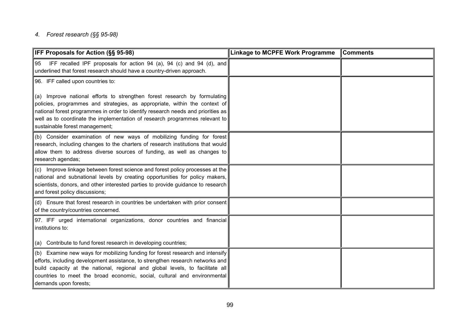#### *4. Forest research (§§ 95-98)*

| IFF Proposals for Action (§§ 95-98)                                                                                                                                                                                                                                                                                                                          | <b>Linkage to MCPFE Work Programme</b> | <b>Comments</b> |
|--------------------------------------------------------------------------------------------------------------------------------------------------------------------------------------------------------------------------------------------------------------------------------------------------------------------------------------------------------------|----------------------------------------|-----------------|
| IFF recalled IPF proposals for action 94 (a), 94 (c) and 94 (d), and<br>95<br>underlined that forest research should have a country-driven approach.                                                                                                                                                                                                         |                                        |                 |
| 96. IFF called upon countries to:                                                                                                                                                                                                                                                                                                                            |                                        |                 |
| (a) Improve national efforts to strengthen forest research by formulating<br>policies, programmes and strategies, as appropriate, within the context of<br>national forest programmes in order to identify research needs and priorities as<br>well as to coordinate the implementation of research programmes relevant to<br>sustainable forest management; |                                        |                 |
| (b) Consider examination of new ways of mobilizing funding for forest<br>research, including changes to the charters of research institutions that would<br>allow them to address diverse sources of funding, as well as changes to<br>research agendas;                                                                                                     |                                        |                 |
| (c) Improve linkage between forest science and forest policy processes at the<br>national and subnational levels by creating opportunities for policy makers,<br>scientists, donors, and other interested parties to provide guidance to research<br>and forest policy discussions;                                                                          |                                        |                 |
| (d) Ensure that forest research in countries be undertaken with prior consent<br>of the country/countries concerned.                                                                                                                                                                                                                                         |                                        |                 |
| 97. IFF urged international organizations, donor countries and financial<br>institutions to:<br>(a) Contribute to fund forest research in developing countries;                                                                                                                                                                                              |                                        |                 |
| (b) Examine new ways for mobilizing funding for forest research and intensify<br>efforts, including development assistance, to strengthen research networks and<br>build capacity at the national, regional and global levels, to facilitate all<br>countries to meet the broad economic, social, cultural and environmental<br>demands upon forests;        |                                        |                 |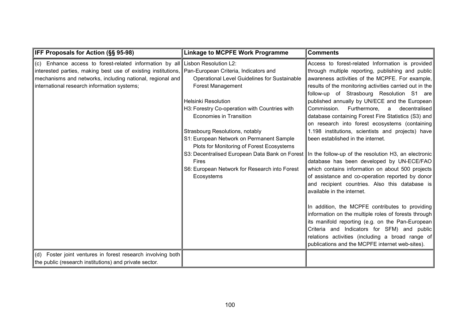| <b>IFF Proposals for Action (§§ 95-98)</b>                                                                                                                                                                                                                                                       | <b>Linkage to MCPFE Work Programme</b>                                                                                                                                                                                                                                                                                                                                                               | <b>Comments</b>                                                                                                                                                                                                                                                                                                                                                                                                                                                                                                                                                                                                                                                                                                                                                                                                                                                                                                                                                                                                                                                                                                                                                                                                                      |
|--------------------------------------------------------------------------------------------------------------------------------------------------------------------------------------------------------------------------------------------------------------------------------------------------|------------------------------------------------------------------------------------------------------------------------------------------------------------------------------------------------------------------------------------------------------------------------------------------------------------------------------------------------------------------------------------------------------|--------------------------------------------------------------------------------------------------------------------------------------------------------------------------------------------------------------------------------------------------------------------------------------------------------------------------------------------------------------------------------------------------------------------------------------------------------------------------------------------------------------------------------------------------------------------------------------------------------------------------------------------------------------------------------------------------------------------------------------------------------------------------------------------------------------------------------------------------------------------------------------------------------------------------------------------------------------------------------------------------------------------------------------------------------------------------------------------------------------------------------------------------------------------------------------------------------------------------------------|
| (c) Enhance access to forest-related information by all Lisbon Resolution L2:<br>Interested parties, making best use of existing institutions, Pan-European Criteria, Indicators and<br>mechanisms and networks, including national, regional and<br>international research information systems; | <b>Operational Level Guidelines for Sustainable</b><br><b>Forest Management</b><br><b>Helsinki Resolution</b><br>H3: Forestry Co-operation with Countries with<br><b>Economies in Transition</b><br>Strasbourg Resolutions, notably<br>S1: European Network on Permanent Sample<br>Plots for Monitoring of Forest Ecosystems<br>Fires<br>S6: European Network for Research into Forest<br>Ecosystems | Access to forest-related Information is provided<br>through multiple reporting, publishing and public<br>awareness activities of the MCPFE. For example,<br>results of the monitoring activities carried out in the<br>follow-up of Strasbourg Resolution S1 are<br>published annually by UN/ECE and the European<br>Commission. Furthermore, a decentralised<br>database containing Forest Fire Statistics (S3) and<br>on research into forest ecosystems (containing<br>1.198 institutions, scientists and projects) have<br>been established in the internet.<br>S3: Decentralised European Data Bank on Forest   In the follow-up of the resolution H3, an electronic<br>database has been developed by UN-ECE/FAO<br>which contains information on about 500 projects<br>of assistance and co-operation reported by donor<br>and recipient countries. Also this database is<br>available in the internet.<br>In addition, the MCPFE contributes to providing<br>information on the multiple roles of forests through<br>its manifold reporting (e.g. on the Pan-European)<br>Criteria and Indicators for SFM) and public<br>relations activities (including a broad range of<br>publications and the MCPFE internet web-sites). |
| (d) Foster joint ventures in forest research involving both<br>the public (research institutions) and private sector.                                                                                                                                                                            |                                                                                                                                                                                                                                                                                                                                                                                                      |                                                                                                                                                                                                                                                                                                                                                                                                                                                                                                                                                                                                                                                                                                                                                                                                                                                                                                                                                                                                                                                                                                                                                                                                                                      |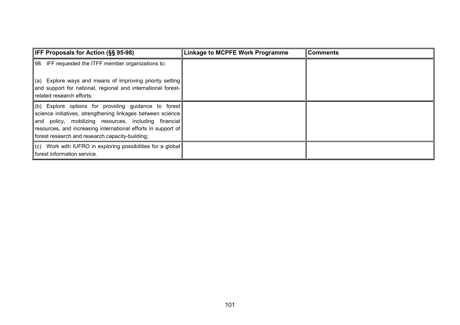| <b>IFF Proposals for Action (§§ 95-98)</b>                                                                                                                                                                                                                                                            | <b>Linkage to MCPFE Work Programme</b> | <b>Comments</b> |
|-------------------------------------------------------------------------------------------------------------------------------------------------------------------------------------------------------------------------------------------------------------------------------------------------------|----------------------------------------|-----------------|
| 98. IFF requested the ITFF member organizations to:                                                                                                                                                                                                                                                   |                                        |                 |
| $\ $ (a) Explore ways and means of improving priority setting<br>and support for national, regional and international forest-<br>related research efforts;                                                                                                                                            |                                        |                 |
| $\ $ (b) Explore options for providing guidance to forest<br>science initiatives, strengthening linkages between science<br>and policy, mobilizing resources, including financial<br>resources, and increasing international efforts in support of<br>forest research and research capacity-building; |                                        |                 |
| $\ $ (c) Work with IUFRO in exploring possibilities for a global<br>forest information service.                                                                                                                                                                                                       |                                        |                 |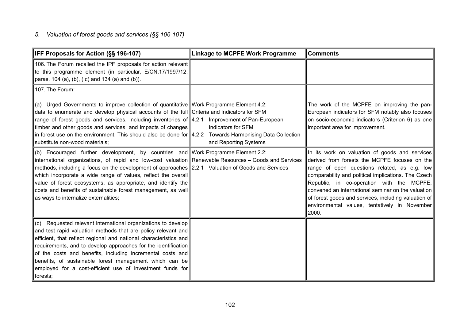## *5. Valuation of forest goods and services (§§ 106-107)*

| IFF Proposals for Action (§§ 196-107)                                                                                                                                                                                                                                                                                                                                                                                                                                                                                                    | <b>Linkage to MCPFE Work Programme</b>      | <b>Comments</b>                                                                                                                                                                                                                                                                                                                                                                                                             |
|------------------------------------------------------------------------------------------------------------------------------------------------------------------------------------------------------------------------------------------------------------------------------------------------------------------------------------------------------------------------------------------------------------------------------------------------------------------------------------------------------------------------------------------|---------------------------------------------|-----------------------------------------------------------------------------------------------------------------------------------------------------------------------------------------------------------------------------------------------------------------------------------------------------------------------------------------------------------------------------------------------------------------------------|
| 106. The Forum recalled the IPF proposals for action relevant<br>to this programme element (in particular, E/CN.17/1997/12,<br>paras. 104 (a), (b), (c) and 134 (a) and (b)).                                                                                                                                                                                                                                                                                                                                                            |                                             |                                                                                                                                                                                                                                                                                                                                                                                                                             |
| 107. The Forum:                                                                                                                                                                                                                                                                                                                                                                                                                                                                                                                          |                                             |                                                                                                                                                                                                                                                                                                                                                                                                                             |
| (a) Urged Governments to improve collection of quantitative Work Programme Element 4.2:<br>data to enumerate and develop physical accounts of the full Criteria and Indicators for SFM<br>range of forest goods and services, including inventories of 4.2.1 Improvement of Pan-European<br>timber and other goods and services, and impacts of changes<br>in forest use on the environment. This should also be done for $ 4.2.2$ Towards Harmonising Data Collection<br>substitute non-wood materials;                                 | Indicators for SFM<br>and Reporting Systems | The work of the MCPFE on improving the pan-<br>European indicators for SFM notably also focuses<br>on socio-economic indicators (Criterion 6) as one<br>important area for improvement.                                                                                                                                                                                                                                     |
| (b) Encouraged further development, by countries and Work Programme Element 2.2:<br>international organizations, of rapid and low-cost valuation Renewable Resources - Goods and Services<br>methods, including a focus on the development of approaches 2.2.1 Valuation of Goods and Services<br>which incorporate a wide range of values, reflect the overall<br>value of forest ecosystems, as appropriate, and identify the<br>costs and benefits of sustainable forest management, as well<br>as ways to internalize externalities; |                                             | In its work on valuation of goods and services<br>derived from forests the MCPFE focuses on the<br>range of open questions related, as e.g. low<br>comparability and political implications. The Czech<br>Republic, in co-operation with the MCPFE,<br>convened an international seminar on the valuation<br>of forest goods and services, including valuation of<br>environmental values, tentatively in November<br>2000. |
| (c) Requested relevant international organizations to develop<br>and test rapid valuation methods that are policy relevant and<br>efficient, that reflect regional and national characteristics and<br>requirements, and to develop approaches for the identification<br>of the costs and benefits, including incremental costs and<br>benefits, of sustainable forest management which can be<br>employed for a cost-efficient use of investment funds for<br>forests;                                                                  |                                             |                                                                                                                                                                                                                                                                                                                                                                                                                             |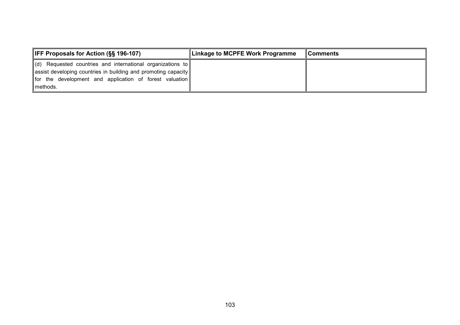| <b>IFF Proposals for Action (§§ 196-107)</b>                                                                                                                                                 | Linkage to MCPFE Work Programme | <b>∥Comments</b> |
|----------------------------------------------------------------------------------------------------------------------------------------------------------------------------------------------|---------------------------------|------------------|
| $\ $ (d) Requested countries and international organizations to<br>assist developing countries in building and promoting capacity<br>for the development and application of forest valuation |                                 |                  |
| Imethods.                                                                                                                                                                                    |                                 |                  |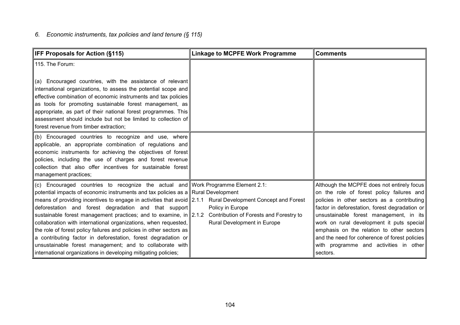# *6. Economic instruments, tax policies and land tenure (§ 115)*

| IFF Proposals for Action (§115)                                                                                                                                                                                                                                                                                                                                                                                                                                                                                                                                                                                                                                                                                                                                                                     | <b>Linkage to MCPFE Work Programme</b>          | <b>Comments</b>                                                                                                                                                                                                                                                                                                                                                                                                                      |
|-----------------------------------------------------------------------------------------------------------------------------------------------------------------------------------------------------------------------------------------------------------------------------------------------------------------------------------------------------------------------------------------------------------------------------------------------------------------------------------------------------------------------------------------------------------------------------------------------------------------------------------------------------------------------------------------------------------------------------------------------------------------------------------------------------|-------------------------------------------------|--------------------------------------------------------------------------------------------------------------------------------------------------------------------------------------------------------------------------------------------------------------------------------------------------------------------------------------------------------------------------------------------------------------------------------------|
| 115. The Forum:                                                                                                                                                                                                                                                                                                                                                                                                                                                                                                                                                                                                                                                                                                                                                                                     |                                                 |                                                                                                                                                                                                                                                                                                                                                                                                                                      |
| (a) Encouraged countries, with the assistance of relevant<br>international organizations, to assess the potential scope and<br>effective combination of economic instruments and tax policies<br>as tools for promoting sustainable forest management, as<br>appropriate, as part of their national forest programmes. This<br>assessment should include but not be limited to collection of<br>forest revenue from timber extraction;                                                                                                                                                                                                                                                                                                                                                              |                                                 |                                                                                                                                                                                                                                                                                                                                                                                                                                      |
| (b) Encouraged countries to recognize and use, where<br>applicable, an appropriate combination of regulations and<br>economic instruments for achieving the objectives of forest<br>policies, including the use of charges and forest revenue<br>collection that also offer incentives for sustainable forest<br>management practices;                                                                                                                                                                                                                                                                                                                                                                                                                                                              |                                                 |                                                                                                                                                                                                                                                                                                                                                                                                                                      |
| (c) Encouraged countries to recognize the actual and Work Programme Element 2.1:<br>potential impacts of economic instruments and tax policies as a Rural Development<br>means of providing incentives to engage in activities that avoid 2.1.1 Rural Development Concept and Forest<br>deforestation and forest degradation and that support<br>sustainable forest management practices; and to examine, in 2.1.2 Contribution of Forests and Forestry to<br>collaboration with international organizations, when requested,<br>the role of forest policy failures and policies in other sectors as<br>a contributing factor in deforestation, forest degradation or<br>unsustainable forest management; and to collaborate with<br>international organizations in developing mitigating policies; | Policy in Europe<br>Rural Development in Europe | Although the MCPFE does not entirely focus<br>on the role of forest policy failures and<br>policies in other sectors as a contributing<br>factor in deforestation, forest degradation or<br>unsustainable forest management, in its<br>work on rural development it puts special<br>emphasis on the relation to other sectors<br>and the need for coherence of forest policies<br>with programme and activities in other<br>sectors. |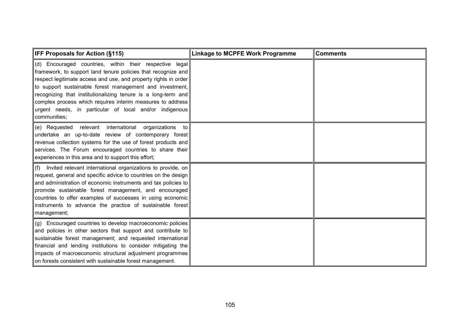| <b>IFF Proposals for Action (§115)</b>                                                                                                                                                                                                                                                                                                                                                                                                                           | <b>Linkage to MCPFE Work Programme</b> | <b>Comments</b> |
|------------------------------------------------------------------------------------------------------------------------------------------------------------------------------------------------------------------------------------------------------------------------------------------------------------------------------------------------------------------------------------------------------------------------------------------------------------------|----------------------------------------|-----------------|
| (d) Encouraged countries, within their respective legal<br>framework, to support land tenure policies that recognize and<br>respect legitimate access and use, and property rights in order<br>to support sustainable forest management and investment,<br>recognizing that institutionalizing tenure is a long-term and<br>complex process which requires interim measures to address<br>urgent needs, in particular of local and/or indigenous<br>communities; |                                        |                 |
| (e) Requested relevant international organizations to<br>undertake an up-to-date review of contemporary forest<br>revenue collection systems for the use of forest products and<br>services. The Forum encouraged countries to share their<br>experiences in this area and to support this effort;                                                                                                                                                               |                                        |                 |
| Invited relevant international organizations to provide, on<br>(f)<br>request, general and specific advice to countries on the design<br>and administration of economic instruments and tax policies to<br>promote sustainable forest management, and encouraged<br>countries to offer examples of successes in using economic<br>instruments to advance the practice of sustainable forest<br>management;                                                       |                                        |                 |
| (g) Encouraged countries to develop macroeconomic policies<br>and policies in other sectors that support and contribute to<br>sustainable forest management; and requested international<br>financial and lending institutions to consider mitigating the<br>impacts of macroeconomic structural adjustment programmes<br>on forests consistent with sustainable forest management.                                                                              |                                        |                 |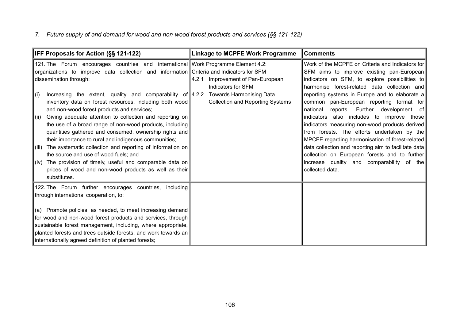## *7. Future supply of and demand for wood and non-wood forest products and services (§§ 121-122)*

| IFF Proposals for Action (§§ 121-122)                                                                                                                                                                                                                                                                                                                                                                                                                                                                                                                                                                                                                                                                                                  | <b>Linkage to MCPFE Work Programme</b>                                                                | <b>Comments</b>                                                                                                                                                                                                                                                                                                                                                                                                                                                                                                                                                                                       |
|----------------------------------------------------------------------------------------------------------------------------------------------------------------------------------------------------------------------------------------------------------------------------------------------------------------------------------------------------------------------------------------------------------------------------------------------------------------------------------------------------------------------------------------------------------------------------------------------------------------------------------------------------------------------------------------------------------------------------------------|-------------------------------------------------------------------------------------------------------|-------------------------------------------------------------------------------------------------------------------------------------------------------------------------------------------------------------------------------------------------------------------------------------------------------------------------------------------------------------------------------------------------------------------------------------------------------------------------------------------------------------------------------------------------------------------------------------------------------|
| 121. The Forum encourages countries and international Work Programme Element 4.2:<br>organizations to improve data collection and information Criteria and Indicators for SFM<br>dissemination through:<br>Increasing the extent, quality and comparability of 4.2.2 Towards Harmonising Data<br>(i)<br>inventory data on forest resources, including both wood<br>and non-wood forest products and services;<br>Giving adequate attention to collection and reporting on<br>(ii)<br>the use of a broad range of non-wood products, including<br>quantities gathered and consumed, ownership rights and<br>their importance to rural and indigenous communities;<br>The systematic collection and reporting of information on<br>(iii) | Improvement of Pan-European<br>4.2.1<br>Indicators for SFM<br><b>Collection and Reporting Systems</b> | Work of the MCPFE on Criteria and Indicators for<br>SFM aims to improve existing pan-European<br>indicators on SFM, to explore possibilities to<br>harmonise forest-related data collection and<br>reporting systems in Europe and to elaborate a<br>common pan-European reporting format for<br>reports. Further development of<br>national<br>indicators also includes to improve those<br>indicators measuring non-wood products derived<br>from forests. The efforts undertaken by the<br>MPCFE regarding harmonisation of forest-related<br>data collection and reporting aim to facilitate data |
| the source and use of wood fuels; and<br>(iv) The provision of timely, useful and comparable data on<br>prices of wood and non-wood products as well as their<br>substitutes.                                                                                                                                                                                                                                                                                                                                                                                                                                                                                                                                                          |                                                                                                       | collection on European forests and to further<br>increase quality and comparability of the<br>collected data.                                                                                                                                                                                                                                                                                                                                                                                                                                                                                         |
| 122. The Forum further encourages countries, including<br>through international cooperation, to:                                                                                                                                                                                                                                                                                                                                                                                                                                                                                                                                                                                                                                       |                                                                                                       |                                                                                                                                                                                                                                                                                                                                                                                                                                                                                                                                                                                                       |
| (a) Promote policies, as needed, to meet increasing demand<br>for wood and non-wood forest products and services, through<br>sustainable forest management, including, where appropriate,<br>planted forests and trees outside forests, and work towards an<br>internationally agreed definition of planted forests;                                                                                                                                                                                                                                                                                                                                                                                                                   |                                                                                                       |                                                                                                                                                                                                                                                                                                                                                                                                                                                                                                                                                                                                       |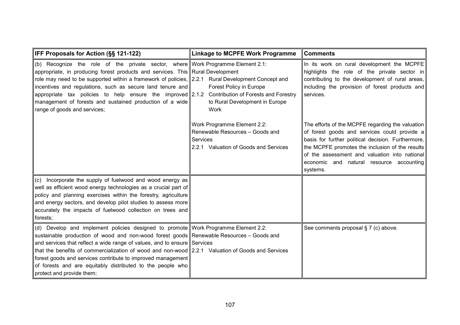| <b>IFF Proposals for Action (§§ 121-122)</b>                                                                                                                                                                                                                                                                                                                                                                                                                                                                              | <b>Linkage to MCPFE Work Programme</b>                                                                              | <b>Comments</b>                                                                                                                                                                                                                                                                                                      |
|---------------------------------------------------------------------------------------------------------------------------------------------------------------------------------------------------------------------------------------------------------------------------------------------------------------------------------------------------------------------------------------------------------------------------------------------------------------------------------------------------------------------------|---------------------------------------------------------------------------------------------------------------------|----------------------------------------------------------------------------------------------------------------------------------------------------------------------------------------------------------------------------------------------------------------------------------------------------------------------|
| (b) Recognize the role of the private sector, where Work Programme Element 2.1:<br>appropriate, in producing forest products and services. This Rural Development<br>role may need to be supported within a framework of policies, 2.2.1 Rural Development Concept and<br>incentives and regulations, such as secure land tenure and<br>appropriate tax policies to help ensure the improved $2.1.2$<br>management of forests and sustained production of a wide<br>range of goods and services;                          | Forest Policy in Europe<br>Contribution of Forests and Forestry<br>to Rural Development in Europe<br><b>Work</b>    | In its work on rural development the MCPFE<br>highlights the role of the private sector in<br>contributing to the development of rural areas,<br>including the provision of forest products and<br>services.                                                                                                         |
|                                                                                                                                                                                                                                                                                                                                                                                                                                                                                                                           | Work Programme Element 2.2:<br>Renewable Resources - Goods and<br>Services<br>2.2.1 Valuation of Goods and Services | The efforts of the MCPFE regarding the valuation<br>of forest goods and services could provide $a$<br>basis for further political decision. Furthermore,<br>the MCPFE promotes the inclusion of the results<br>of the assessment and valuation into national<br>economic and natural resource accounting<br>systems. |
| (c) Incorporate the supply of fuelwood and wood energy as<br>well as efficient wood energy technologies as a crucial part of<br>policy and planning exercises within the forestry, agriculture<br>and energy sectors, and develop pilot studies to assess more<br>accurately the impacts of fuelwood collection on trees and<br>forests;                                                                                                                                                                                  |                                                                                                                     |                                                                                                                                                                                                                                                                                                                      |
| (d) Develop and implement policies designed to promote Work Programme Element 2.2:<br>sustainable production of wood and non-wood forest goods Renewable Resources - Goods and<br>and services that reflect a wide range of values, and to ensure Services<br>that the benefits of commercialization of wood and non-wood 2.2.1 Valuation of Goods and Services<br>forest goods and services contribute to improved management<br>of forests and are equitably distributed to the people who<br>protect and provide them; |                                                                                                                     | See comments proposal § 7 (c) above.                                                                                                                                                                                                                                                                                 |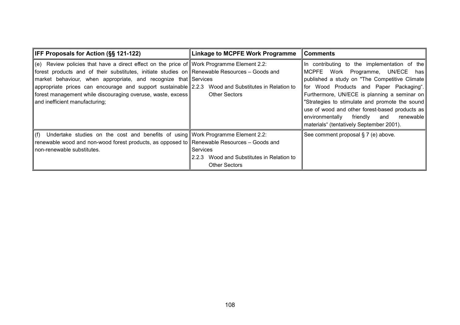| <b>IFF Proposals for Action (§§ 121-122)</b>                                                                                                                                                                                                                                                                                                                                                                                                                                | <b>Linkage to MCPFE Work Programme</b>                                           | ∣Comments                                                                                                                                                                                                                                                                                                                                                                                                                       |
|-----------------------------------------------------------------------------------------------------------------------------------------------------------------------------------------------------------------------------------------------------------------------------------------------------------------------------------------------------------------------------------------------------------------------------------------------------------------------------|----------------------------------------------------------------------------------|---------------------------------------------------------------------------------------------------------------------------------------------------------------------------------------------------------------------------------------------------------------------------------------------------------------------------------------------------------------------------------------------------------------------------------|
| $\ $ (e) Review policies that have a direct effect on the price of Work Programme Element 2.2:<br>forest products and of their substitutes, initiate studies on Renewable Resources – Goods and<br>market behaviour, when appropriate, and recognize that Services<br>appropriate prices can encourage and support sustainable 2.2.3 Wood and Substitutes in Relation to<br>forest management while discouraging overuse, waste, excess  <br>and inefficient manufacturing; | <b>Other Sectors</b>                                                             | In contributing to the implementation of the<br>MCPFE Work Programme, UN/ECE has<br>published a study on "The Competitive Climate<br>for Wood Products and Paper Packaging".<br>Furthermore, UN/ECE is planning a seminar on<br>"Strategies to stimulate and promote the sound<br>use of wood and other forest-based products as<br>friendly<br>renewable<br>environmentally<br>and<br>materials" (tentatively September 2001). |
| ∥(f) Undertake studies on the cost and benefits of using  Work Programme Element 2.2:<br>renewable wood and non-wood forest products, as opposed to Renewable Resources $-$ Goods and<br>non-renewable substitutes.                                                                                                                                                                                                                                                         | Services<br>Wood and Substitutes in Relation to<br>2.2.3<br><b>Other Sectors</b> | See comment proposal § 7 (e) above.                                                                                                                                                                                                                                                                                                                                                                                             |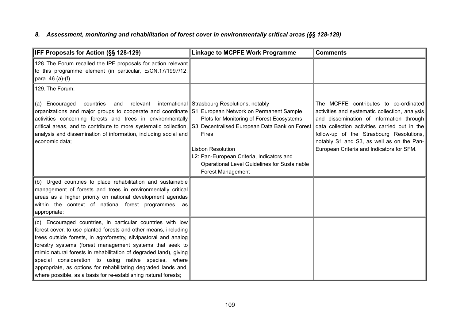## *8. Assessment, monitoring and rehabilitation of forest cover in environmentally critical areas (§§ 128-129)*

| IFF Proposals for Action (§§ 128-129)                                                                                                                                                                                                                                                                                                                                                                                                                                                                                           | <b>Linkage to MCPFE Work Programme</b>                                                                                                                                                                                                                          | <b>Comments</b>                                                                                                                                                                                                                                                                                                            |
|---------------------------------------------------------------------------------------------------------------------------------------------------------------------------------------------------------------------------------------------------------------------------------------------------------------------------------------------------------------------------------------------------------------------------------------------------------------------------------------------------------------------------------|-----------------------------------------------------------------------------------------------------------------------------------------------------------------------------------------------------------------------------------------------------------------|----------------------------------------------------------------------------------------------------------------------------------------------------------------------------------------------------------------------------------------------------------------------------------------------------------------------------|
| 128. The Forum recalled the IPF proposals for action relevant<br>to this programme element (in particular, E/CN.17/1997/12,<br>para. 46 (a)-(f).                                                                                                                                                                                                                                                                                                                                                                                |                                                                                                                                                                                                                                                                 |                                                                                                                                                                                                                                                                                                                            |
| 129. The Forum:                                                                                                                                                                                                                                                                                                                                                                                                                                                                                                                 |                                                                                                                                                                                                                                                                 |                                                                                                                                                                                                                                                                                                                            |
| (a) Encouraged<br>countries<br>relevant<br>and<br>organizations and major groups to cooperate and coordinate S1: European Network on Permanent Sample<br>activities concerning forests and trees in environmentally<br>critical areas, and to contribute to more systematic collection, S3: Decentralised European Data Bank on Forest<br>analysis and dissemination of information, including social and<br>economic data;                                                                                                     | international Strasbourg Resolutions, notably<br>Plots for Monitoring of Forest Ecosystems<br><b>Fires</b><br><b>Lisbon Resolution</b><br>L2: Pan-European Criteria, Indicators and<br>Operational Level Guidelines for Sustainable<br><b>Forest Management</b> | The MCPFE contributes to co-ordinated<br>activities and systematic collection, analysis<br>and dissemination of information through<br>data collection activities carried out in the<br>follow-up of the Strasbourg Resolutions,<br>notably S1 and S3, as well as on the Pan-<br>European Criteria and Indicators for SFM. |
| (b) Urged countries to place rehabilitation and sustainable<br>management of forests and trees in environmentally critical<br>areas as a higher priority on national development agendas<br>within the context of national forest programmes, as<br>appropriate;                                                                                                                                                                                                                                                                |                                                                                                                                                                                                                                                                 |                                                                                                                                                                                                                                                                                                                            |
| (c) Encouraged countries, in particular countries with low<br>forest cover, to use planted forests and other means, including<br>trees outside forests, in agroforestry, silvipastoral and analog<br>forestry systems (forest management systems that seek to<br>mimic natural forests in rehabilitation of degraded land), giving<br>special consideration to using native species, where<br>appropriate, as options for rehabilitating degraded lands and,<br>where possible, as a basis for re-establishing natural forests; |                                                                                                                                                                                                                                                                 |                                                                                                                                                                                                                                                                                                                            |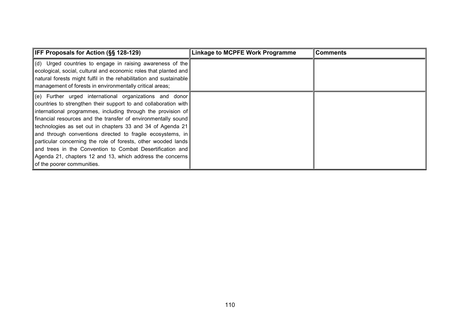| <b>IFF Proposals for Action (SS 128-129)</b>                                                                                                                                                                                                                                                                                                                                                                                                                                                                                                                                                                              | <b>Linkage to MCPFE Work Programme</b> | Comments |
|---------------------------------------------------------------------------------------------------------------------------------------------------------------------------------------------------------------------------------------------------------------------------------------------------------------------------------------------------------------------------------------------------------------------------------------------------------------------------------------------------------------------------------------------------------------------------------------------------------------------------|----------------------------------------|----------|
| $\parallel$ (d) Urged countries to engage in raising awareness of the<br>ecological, social, cultural and economic roles that planted and                                                                                                                                                                                                                                                                                                                                                                                                                                                                                 |                                        |          |
| natural forests might fulfil in the rehabilitation and sustainable<br>management of forests in environmentally critical areas;                                                                                                                                                                                                                                                                                                                                                                                                                                                                                            |                                        |          |
| $\vert$ (e) Further urged international organizations and donor<br>countries to strengthen their support to and collaboration with<br>linternational programmes, including through the provision of<br>financial resources and the transfer of environmentally sound<br>technologies as set out in chapters 33 and 34 of Agenda 21<br>and through conventions directed to fragile ecosystems, in<br>particular concerning the role of forests, other wooded lands<br>and trees in the Convention to Combat Desertification and<br>Agenda 21, chapters 12 and 13, which address the concerns<br>of the poorer communities. |                                        |          |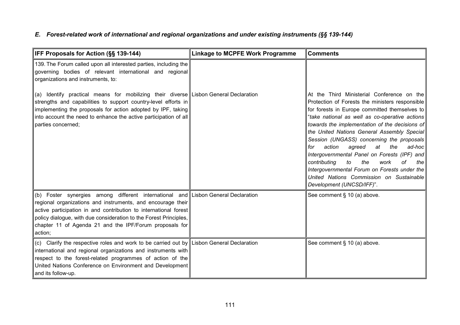## *E. Forest-related work of international and regional organizations and under existing instruments (§§ 139-144)*

| IFF Proposals for Action (§§ 139-144)                                                                                                                                                                                                                                                                                                                           | <b>Linkage to MCPFE Work Programme</b> | <b>Comments</b>                                                                                                                                                                                                                                                                                                                                                                                                                                                                                                                                                                                                             |
|-----------------------------------------------------------------------------------------------------------------------------------------------------------------------------------------------------------------------------------------------------------------------------------------------------------------------------------------------------------------|----------------------------------------|-----------------------------------------------------------------------------------------------------------------------------------------------------------------------------------------------------------------------------------------------------------------------------------------------------------------------------------------------------------------------------------------------------------------------------------------------------------------------------------------------------------------------------------------------------------------------------------------------------------------------------|
| 139. The Forum called upon all interested parties, including the<br>governing bodies of relevant international and regional<br>organizations and instruments, to:                                                                                                                                                                                               |                                        |                                                                                                                                                                                                                                                                                                                                                                                                                                                                                                                                                                                                                             |
| (a) Identify practical means for mobilizing their diverse Lisbon General Declaration<br>strengths and capabilities to support country-level efforts in<br>implementing the proposals for action adopted by IPF, taking<br>into account the need to enhance the active participation of all<br>parties concerned;                                                |                                        | At the Third Ministerial Conference on the<br>Protection of Forests the ministers responsible<br>for forests in Europe committed themselves to<br>"take national as well as co-operative actions<br>towards the implementation of the decisions of<br>the United Nations General Assembly Special<br>Session (UNGASS) concerning the proposals<br>action<br>agreed<br>the<br>at<br>ad-hoc<br>for<br>Intergovernmental Panel on Forests (IPF) and<br>contributing<br>the<br>of<br>to<br>work<br>the<br>Intergovernmental Forum on Forests under the<br>United Nations Commission on Sustainable<br>Development (UNCSD/IFF)". |
| (b) Foster synergies among different international and Lisbon General Declaration<br>regional organizations and instruments, and encourage their<br>active participation in and contribution to international forest<br>policy dialogue, with due consideration to the Forest Principles,<br>chapter 11 of Agenda 21 and the IPF/Forum proposals for<br>action; |                                        | See comment § 10 (a) above.                                                                                                                                                                                                                                                                                                                                                                                                                                                                                                                                                                                                 |
| (c) Clarify the respective roles and work to be carried out by Lisbon General Declaration<br>international and regional organizations and instruments with<br>respect to the forest-related programmes of action of the<br>United Nations Conference on Environment and Development<br>and its follow-up.                                                       |                                        | See comment § 10 (a) above.                                                                                                                                                                                                                                                                                                                                                                                                                                                                                                                                                                                                 |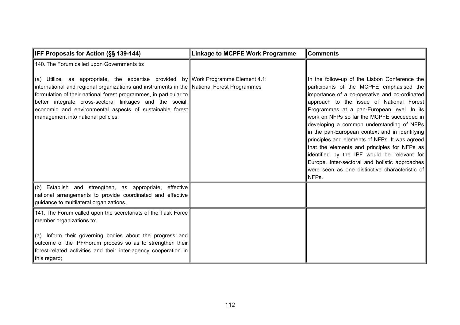| IFF Proposals for Action (§§ 139-144)                                                                                                                                                                                                                                                                                                                                                                                       | <b>Linkage to MCPFE Work Programme</b> | <b>Comments</b>                                                                                                                                                                                                                                                                                                                                                                                         |
|-----------------------------------------------------------------------------------------------------------------------------------------------------------------------------------------------------------------------------------------------------------------------------------------------------------------------------------------------------------------------------------------------------------------------------|----------------------------------------|---------------------------------------------------------------------------------------------------------------------------------------------------------------------------------------------------------------------------------------------------------------------------------------------------------------------------------------------------------------------------------------------------------|
| 140. The Forum called upon Governments to:<br>(a) Utilize, as appropriate, the expertise provided by Work Programme Element 4.1:<br>international and regional organizations and instruments in the National Forest Programmes<br>formulation of their national forest programmes, in particular to<br>better integrate cross-sectoral linkages and the social,<br>economic and environmental aspects of sustainable forest |                                        | In the follow-up of the Lisbon Conference the<br>participants of the MCPFE emphasised the<br>importance of a co-operative and co-ordinated<br>approach to the issue of National Forest<br>Programmes at a pan-European level. In its                                                                                                                                                                    |
| management into national policies;                                                                                                                                                                                                                                                                                                                                                                                          |                                        | work on NFPs so far the MCPFE succeeded in<br>developing a common understanding of NFPs<br>in the pan-European context and in identifying<br>principles and elements of NFPs. It was agreed<br>that the elements and principles for NFPs as<br>identified by the IPF would be relevant for<br>Europe. Inter-sectoral and holistic approaches<br>were seen as one distinctive characteristic of<br>NFPs. |
| (b) Establish and strengthen, as appropriate, effective<br>national arrangements to provide coordinated and effective<br>guidance to multilateral organizations.                                                                                                                                                                                                                                                            |                                        |                                                                                                                                                                                                                                                                                                                                                                                                         |
| 141. The Forum called upon the secretariats of the Task Force<br>member organizations to:                                                                                                                                                                                                                                                                                                                                   |                                        |                                                                                                                                                                                                                                                                                                                                                                                                         |
| (a) Inform their governing bodies about the progress and<br>outcome of the IPF/Forum process so as to strengthen their<br>forest-related activities and their inter-agency cooperation in<br>this regard;                                                                                                                                                                                                                   |                                        |                                                                                                                                                                                                                                                                                                                                                                                                         |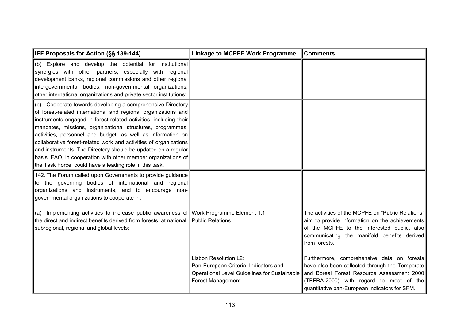| <b>IFF Proposals for Action (§§ 139-144)</b>                                                                                                                                                                                                                                                                                                                                                                                                                                                                                                                                                     | <b>Linkage to MCPFE Work Programme</b>                                                                                                     | <b>Comments</b>                                                                                                                                                                                                                        |
|--------------------------------------------------------------------------------------------------------------------------------------------------------------------------------------------------------------------------------------------------------------------------------------------------------------------------------------------------------------------------------------------------------------------------------------------------------------------------------------------------------------------------------------------------------------------------------------------------|--------------------------------------------------------------------------------------------------------------------------------------------|----------------------------------------------------------------------------------------------------------------------------------------------------------------------------------------------------------------------------------------|
| (b) Explore and develop the potential for institutional<br>synergies with other partners, especially with regional<br>development banks, regional commissions and other regional<br>intergovernmental bodies, non-governmental organizations,<br>other international organizations and private sector institutions;                                                                                                                                                                                                                                                                              |                                                                                                                                            |                                                                                                                                                                                                                                        |
| (c) Cooperate towards developing a comprehensive Directory<br>of forest-related international and regional organizations and<br>instruments engaged in forest-related activities, including their<br>mandates, missions, organizational structures, programmes,<br>activities, personnel and budget, as well as information on<br>collaborative forest-related work and activities of organizations<br>and instruments. The Directory should be updated on a regular<br>basis. FAO, in cooperation with other member organizations of<br>the Task Force, could have a leading role in this task. |                                                                                                                                            |                                                                                                                                                                                                                                        |
| 142. The Forum called upon Governments to provide guidance<br>to the governing bodies of international and regional<br>organizations and instruments, and to encourage non-<br>governmental organizations to cooperate in:                                                                                                                                                                                                                                                                                                                                                                       |                                                                                                                                            |                                                                                                                                                                                                                                        |
| (a) Implementing activities to increase public awareness of Work Programme Element 1.1:<br>the direct and indirect benefits derived from forests, at national, Public Relations<br>subregional, regional and global levels;                                                                                                                                                                                                                                                                                                                                                                      |                                                                                                                                            | The activities of the MCPFE on "Public Relations"<br>aim to provide information on the achievements<br>of the MCPFE to the interested public, also<br>communicating the manifold benefits derived<br>from forests.                     |
|                                                                                                                                                                                                                                                                                                                                                                                                                                                                                                                                                                                                  | Lisbon Resolution L2:<br>Pan-European Criteria, Indicators and<br><b>Operational Level Guidelines for Sustainable</b><br>Forest Management | Furthermore, comprehensive data on forests<br>have also been collected through the Temperate<br>and Boreal Forest Resource Assessment 2000<br>(TBFRA-2000) with regard to most of the<br>quantitative pan-European indicators for SFM. |